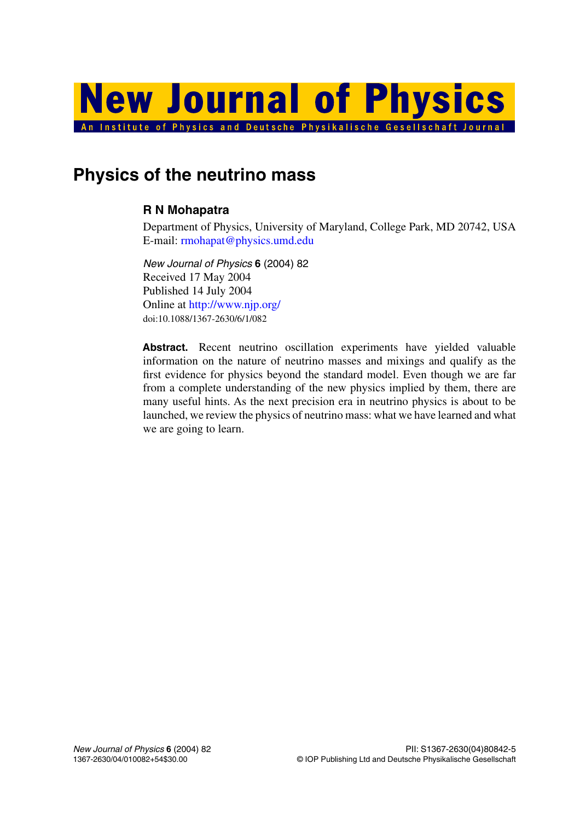

# **Physics of the neutrino mass**

# **R N Mohapatra**

Department of Physics, University of Maryland, College Park, MD 20742, USA E-mail: [rmohapat@physics.umd.edu](mailto:rmohapat@physics.umd.edu)

New Journal of Physics **6** (2004) 82 Received 17 May 2004 Published 14 July 2004 Online at <http://www.njp.org/> doi:10.1088/1367-2630/6/1/082

**Abstract.** Recent neutrino oscillation experiments have yielded valuable information on the nature of neutrino masses and mixings and qualify as the first evidence for physics beyond the standard model. Even though we are far from a complete understanding of the new physics implied by them, there are many useful hints. As the next precision era in neutrino physics is about to be launched, we review the physics of neutrino mass: what we have learned and what we are going to learn.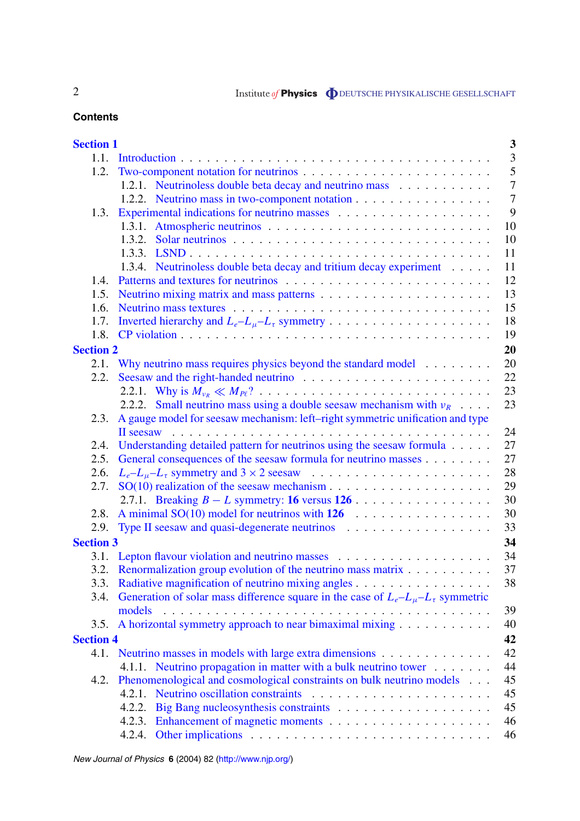# **Contents**

| <b>Section 1</b> | 3                                                                                          |
|------------------|--------------------------------------------------------------------------------------------|
| 1.1.             | $\overline{3}$                                                                             |
| 1.2.             | 5                                                                                          |
|                  | $\overline{7}$<br>1.2.1. Neutrinoless double beta decay and neutrino mass                  |
|                  | $\overline{7}$<br>1.2.2. Neutrino mass in two-component notation                           |
| 1.3.             | 9                                                                                          |
|                  | 10                                                                                         |
|                  | 10<br>1.3.2.                                                                               |
|                  | 11                                                                                         |
|                  | 1.3.4. Neutrinoless double beta decay and tritium decay experiment<br>11                   |
| 1.4.             | 12                                                                                         |
| 1.5.             | 13                                                                                         |
| 1.6.             | 15                                                                                         |
| 1.7.             | 18                                                                                         |
| 1.8.             | 19                                                                                         |
| <b>Section 2</b> | 20                                                                                         |
| 2.1.             | 20<br>Why neutrino mass requires physics beyond the standard model                         |
| 2.2.             | 22                                                                                         |
|                  | 23                                                                                         |
|                  |                                                                                            |
|                  | 23<br>2.2.2. Small neutrino mass using a double seesaw mechanism with $v_R$                |
| 2.3.             | A gauge model for seesaw mechanism: left-right symmetric unification and type              |
|                  | 24                                                                                         |
| 2.4.             | Understanding detailed pattern for neutrinos using the seesaw formula<br>27                |
| 2.5.             | 27<br>General consequences of the seesaw formula for neutrino masses                       |
| 2.6.             | 28                                                                                         |
| 2.7.             | 29                                                                                         |
|                  | 30                                                                                         |
| 2.8.             | 30                                                                                         |
| 2.9.             | 33                                                                                         |
| <b>Section 3</b> | 34                                                                                         |
|                  | 34<br>3.1. Lepton flavour violation and neutrino masses                                    |
|                  | 3.2. Renormalization group evolution of the neutrino mass matrix<br>37                     |
| 3.3.             | Radiative magnification of neutrino mixing angles<br>38                                    |
| 3.4.             | Generation of solar mass difference square in the case of $L_e - L_\mu - L_\tau$ symmetric |
|                  | 39<br>models                                                                               |
| 3.5.             | A horizontal symmetry approach to near bimaximal mixing<br>40                              |
| <b>Section 4</b> | 42                                                                                         |
| 4.1.             | 42<br>Neutrino masses in models with large extra dimensions                                |
|                  | 44<br>4.1.1. Neutrino propagation in matter with a bulk neutrino tower                     |
| 4.2.             | Phenomenological and cosmological constraints on bulk neutrino models<br>45                |
|                  | 45<br>4.2.1.                                                                               |
|                  | 45<br>4.2.2.                                                                               |
|                  | 46<br>4.2.3.                                                                               |
|                  | 46<br>4.2.4.                                                                               |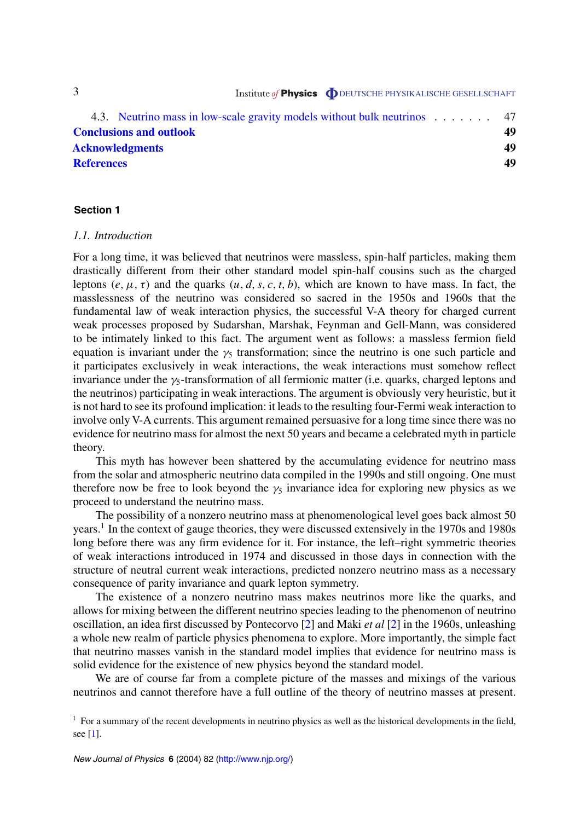<span id="page-2-0"></span>

|                   | 4.3. Neutrino mass in low-scale gravity models without bulk neutrinos 47 |    |  |
|-------------------|--------------------------------------------------------------------------|----|--|
|                   | <b>Conclusions and outlook</b>                                           |    |  |
|                   | <b>Acknowledgments</b>                                                   | 49 |  |
| <b>References</b> |                                                                          | 49 |  |

#### **Section 1**

#### *1.1. Introduction*

For a long time, it was believed that neutrinos were massless, spin-half particles, making them drastically different from their other standard model spin-half cousins such as the charged leptons  $(e, \mu, \tau)$  and the quarks  $(u, d, s, c, t, b)$ , which are known to have mass. In fact, the masslessness of the neutrino was considered so sacred in the 1950s and 1960s that the fundamental law of weak interaction physics, the successful V-A theory for charged current weak processes proposed by Sudarshan, Marshak, Feynman and Gell-Mann, was considered to be intimately linked to this fact. The argument went as follows: a massless fermion field equation is invariant under the  $\gamma_5$  transformation; since the neutrino is one such particle and it participates exclusively in weak interactions, the weak interactions must somehow reflect invariance under the  $\gamma_5$ -transformation of all fermionic matter (i.e. quarks, charged leptons and the neutrinos) participating in weak interactions. The argument is obviously very heuristic, but it is not hard to see its profound implication: it leads to the resulting four-Fermi weak interaction to involve only V-A currents. This argument remained persuasive for a long time since there was no evidence for neutrino mass for almost the next 50 years and became a celebrated myth in particle theory.

This myth has however been shattered by the accumulating evidence for neutrino mass from the solar and atmospheric neutrino data compiled in the 1990s and still ongoing. One must therefore now be free to look beyond the  $\gamma_5$  invariance idea for exploring new physics as we proceed to understand the neutrino mass.

The possibility of a nonzero neutrino mass at phenomenological level goes back almost 50 years.1 In the context of gauge theories, they were discussed extensively in the 1970s and 1980s long before there was any firm evidence for it. For instance, the left–right symmetric theories of weak interactions introduced in 1974 and discussed in those days in connection with the structure of neutral current weak interactions, predicted nonzero neutrino mass as a necessary consequence of parity invariance and quark lepton symmetry.

The existence of a nonzero neutrino mass makes neutrinos more like the quarks, and allows for mixing between the different neutrino species leading to the phenomenon of neutrino oscillation, an idea first discussed by Pontecorvo [[2\]](#page-48-0) and Maki *et al* [\[2](#page-48-0)] in the 1960s, unleashing a whole new realm of particle physics phenomena to explore. More importantly, the simple fact that neutrino masses vanish in the standard model implies that evidence for neutrino mass is solid evidence for the existence of new physics beyond the standard model.

We are of course far from a complete picture of the masses and mixings of the various neutrinos and cannot therefore have a full outline of the theory of neutrino masses at present.

<sup>1</sup> For a summary of the recent developments in neutrino physics as well as the historical developments in the field, see [[1\]](#page-48-0).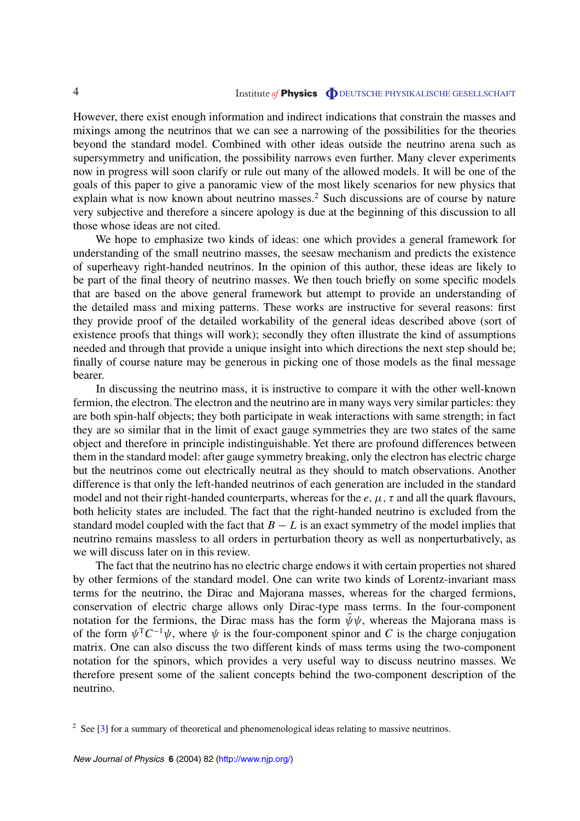# 4 Institute of **Physics DEUTSCHE PHYSIKALISCHE GESELLSCHAFT**

However, there exist enough information and indirect indications that constrain the masses and mixings among the neutrinos that we can see a narrowing of the possibilities for the theories beyond the standard model. Combined with other ideas outside the neutrino arena such as supersymmetry and unification, the possibility narrows even further. Many clever experiments now in progress will soon clarify or rule out many of the allowed models. It will be one of the goals of this paper to give a panoramic view of the most likely scenarios for new physics that explain what is now known about neutrino masses.<sup>2</sup> Such discussions are of course by nature very subjective and therefore a sincere apology is due at the beginning of this discussion to all those whose ideas are not cited.

We hope to emphasize two kinds of ideas: one which provides a general framework for understanding of the small neutrino masses, the seesaw mechanism and predicts the existence of superheavy right-handed neutrinos. In the opinion of this author, these ideas are likely to be part of the final theory of neutrino masses. We then touch briefly on some specific models that are based on the above general framework but attempt to provide an understanding of the detailed mass and mixing patterns. These works are instructive for several reasons: first they provide proof of the detailed workability of the general ideas described above (sort of existence proofs that things will work); secondly they often illustrate the kind of assumptions needed and through that provide a unique insight into which directions the next step should be; finally of course nature may be generous in picking one of those models as the final message bearer.

In discussing the neutrino mass, it is instructive to compare it with the other well-known fermion, the electron. The electron and the neutrino are in many ways very similar particles: they are both spin-half objects; they both participate in weak interactions with same strength; in fact they are so similar that in the limit of exact gauge symmetries they are two states of the same object and therefore in principle indistinguishable. Yet there are profound differences between them in the standard model: after gauge symmetry breaking, only the electron has electric charge but the neutrinos come out electrically neutral as they should to match observations. Another difference is that only the left-handed neutrinos of each generation are included in the standard model and not their right-handed counterparts, whereas for the  $e, \mu, \tau$  and all the quark flavours, both helicity states are included. The fact that the right-handed neutrino is excluded from the standard model coupled with the fact that  $B - L$  is an exact symmetry of the model implies that neutrino remains massless to all orders in perturbation theory as well as nonperturbatively, as we will discuss later on in this review.

The fact that the neutrino has no electric charge endows it with certain properties not shared by other fermions of the standard model. One can write two kinds of Lorentz-invariant mass terms for the neutrino, the Dirac and Majorana masses, whereas for the charged fermions, conservation of electric charge allows only Dirac-type mass terms. In the four-component notation for the fermions, the Dirac mass has the form  $\bar{\psi}\psi$ , whereas the Majorana mass is of the form  $\psi^T C^{-1} \psi$ , where  $\psi$  is the four-component spinor and *C* is the charge conjugation matrix. One can also discuss the two different kinds of mass terms using the two-component notation for the spinors, which provides a very useful way to discuss neutrino masses. We therefore present some of the salient concepts behind the two-component description of the neutrino.

 $2$  See [[3\]](#page-49-0) for a summary of theoretical and phenomenological ideas relating to massive neutrinos.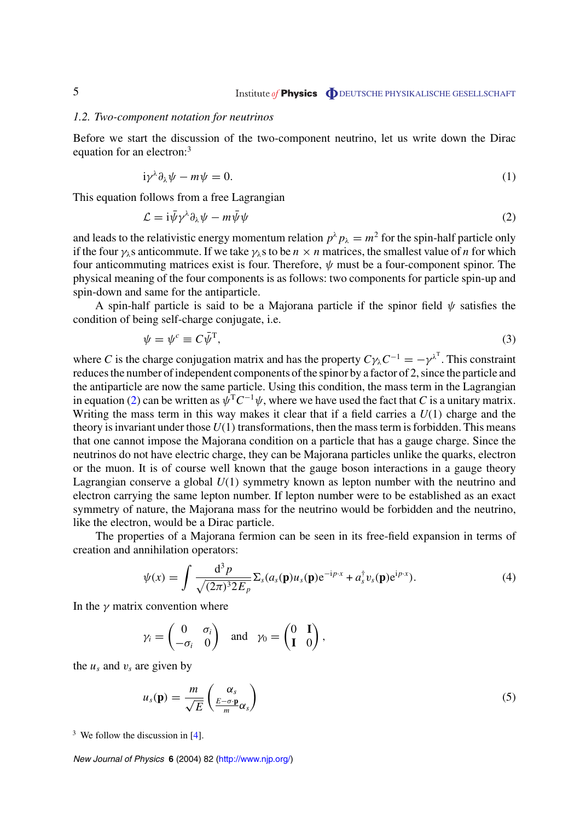#### <span id="page-4-0"></span>*1.2. Two-component notation for neutrinos*

Before we start the discussion of the two-component neutrino, let us write down the Dirac equation for an electron:<sup>3</sup>

$$
i\gamma^{\lambda}\partial_{\lambda}\psi - m\psi = 0. \tag{1}
$$

This equation follows from a free Lagrangian

$$
\mathcal{L} = i\bar{\psi}\gamma^{\lambda}\partial_{\lambda}\psi - m\bar{\psi}\psi\tag{2}
$$

and leads to the relativistic energy momentum relation  $p^{\lambda} p_{\lambda} = m^2$  for the spin-half particle only if the four  $\gamma_1$ s anticommute. If we take  $\gamma_1$ s to be  $n \times n$  matrices, the smallest value of *n* for which four anticommuting matrices exist is four. Therefore,  $\psi$  must be a four-component spinor. The physical meaning of the four components is as follows: two components for particle spin-up and spin-down and same for the antiparticle.

A spin-half particle is said to be a Majorana particle if the spinor field *ψ* satisfies the condition of being self-charge conjugate, i.e.

$$
\psi = \psi^c \equiv C\bar{\psi}^T,\tag{3}
$$

where *C* is the charge conjugation matrix and has the property  $C_{\gamma\lambda}C^{-1} = -\gamma^{\lambda^T}$ . This constraint reduces the number of independent components of the spinor by a factor of 2, since the particle and the antiparticle are now the same particle. Using this condition, the mass term in the Lagrangian in equation (2) can be written as  $\psi^{T}C^{-1}\psi$ , where we have used the fact that *C* is a unitary matrix. Writing the mass term in this way makes it clear that if a field carries a *U(*1*)* charge and the theory is invariant under those  $U(1)$  transformations, then the mass term is forbidden. This means that one cannot impose the Majorana condition on a particle that has a gauge charge. Since the neutrinos do not have electric charge, they can be Majorana particles unlike the quarks, electron or the muon. It is of course well known that the gauge boson interactions in a gauge theory Lagrangian conserve a global *U(*1*)* symmetry known as lepton number with the neutrino and electron carrying the same lepton number. If lepton number were to be established as an exact symmetry of nature, the Majorana mass for the neutrino would be forbidden and the neutrino, like the electron, would be a Dirac particle.

The properties of a Majorana fermion can be seen in its free-field expansion in terms of creation and annihilation operators:

$$
\psi(x) = \int \frac{\mathrm{d}^3 p}{\sqrt{(2\pi)^3 2E_p}} \Sigma_s(a_s(\mathbf{p})u_s(\mathbf{p})e^{-ip\cdot x} + a_s^{\dagger} v_s(\mathbf{p})e^{ip\cdot x}). \tag{4}
$$

In the  $\gamma$  matrix convention where

$$
\gamma_i = \begin{pmatrix} 0 & \sigma_i \\ -\sigma_i & 0 \end{pmatrix}
$$
 and  $\gamma_0 = \begin{pmatrix} 0 & \mathbf{I} \\ \mathbf{I} & 0 \end{pmatrix}$ ,

the  $u_s$  and  $v_s$  are given by

$$
u_s(\mathbf{p}) = \frac{m}{\sqrt{E}} \left( \frac{\alpha_s}{\frac{E - \sigma \cdot \mathbf{p}}{m} \alpha_s} \right)
$$
 (5)

 $3$  We follow the discussion in [\[4](#page-49-0)].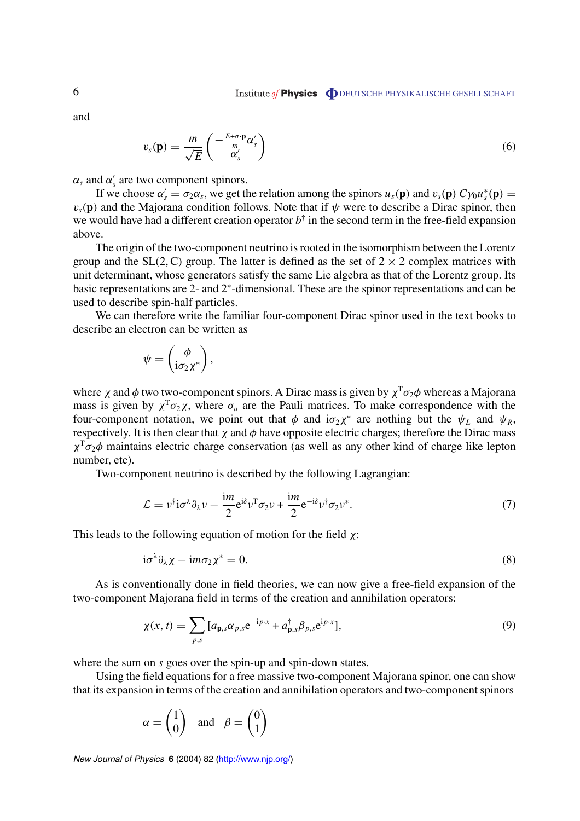<span id="page-5-0"></span>and

$$
v_s(\mathbf{p}) = \frac{m}{\sqrt{E}} \begin{pmatrix} -\frac{E+\sigma \cdot \mathbf{p}}{m} \alpha_s'\\ \alpha_s' \end{pmatrix}
$$
 (6)

*αs* and *α <sup>s</sup>* are two component spinors.

If we choose  $\alpha'_{s} = \sigma_{2}\alpha_{s}$ , we get the relation among the spinors  $u_{s}(\mathbf{p})$  and  $v_{s}(\mathbf{p}) C\gamma_{0}u_{s}^{*}(\mathbf{p}) =$  $v_s(\mathbf{p})$  and the Majorana condition follows. Note that if  $\psi$  were to describe a Dirac spinor, then we would have had a different creation operator  $b^{\dagger}$  in the second term in the free-field expansion above.

The origin of the two-component neutrino is rooted in the isomorphism between the Lorentz group and the  $SL(2, C)$  group. The latter is defined as the set of  $2 \times 2$  complex matrices with unit determinant, whose generators satisfy the same Lie algebra as that of the Lorentz group. Its basic representations are 2- and 2∗-dimensional. These are the spinor representations and can be used to describe spin-half particles.

We can therefore write the familiar four-component Dirac spinor used in the text books to describe an electron can be written as

$$
\psi = \begin{pmatrix} \phi \\ i\sigma_2 \chi^* \end{pmatrix},
$$

where *χ* and  $\phi$  two two-component spinors. A Dirac mass is given by  $\chi^T \sigma_2 \phi$  whereas a Majorana mass is given by  $\chi^T \sigma_2 \chi$ , where  $\sigma_a$  are the Pauli matrices. To make correspondence with the four-component notation, we point out that  $\phi$  and  $i\sigma_2\chi^*$  are nothing but the  $\psi_L$  and  $\psi_R$ , respectively. It is then clear that  $\chi$  and  $\phi$  have opposite electric charges; therefore the Dirac mass  $\chi^T \sigma_2 \phi$  maintains electric charge conservation (as well as any other kind of charge like lepton number, etc).

Two-component neutrino is described by the following Lagrangian:

$$
\mathcal{L} = \nu^{\dagger} i \sigma^{\lambda} \partial_{\lambda} \nu - \frac{im}{2} e^{i\delta} \nu^{T} \sigma_{2} \nu + \frac{im}{2} e^{-i\delta} \nu^{\dagger} \sigma_{2} \nu^{*}.
$$
\n(7)

This leads to the following equation of motion for the field *χ*:

$$
i\sigma^{\lambda}\partial_{\lambda}\chi - im\sigma_2\chi^* = 0. \tag{8}
$$

As is conventionally done in field theories, we can now give a free-field expansion of the two-component Majorana field in terms of the creation and annihilation operators:

$$
\chi(x,t) = \sum_{p,s} \left[ a_{\mathbf{p},s} \alpha_{p,s} e^{-ip \cdot x} + a_{\mathbf{p},s}^{\dagger} \beta_{p,s} e^{ip \cdot x} \right],\tag{9}
$$

where the sum on *s* goes over the spin-up and spin-down states.

Using the field equations for a free massive two-component Majorana spinor, one can show that its expansion in terms of the creation and annihilation operators and two-component spinors

$$
\alpha = \begin{pmatrix} 1 \\ 0 \end{pmatrix} \quad \text{and} \quad \beta = \begin{pmatrix} 0 \\ 1 \end{pmatrix}
$$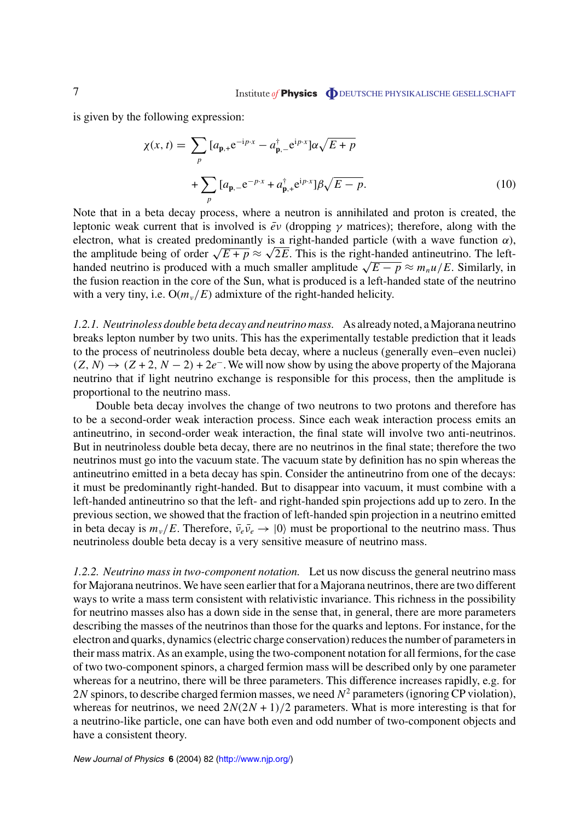<span id="page-6-0"></span>is given by the following expression:

$$
\chi(x,t) = \sum_{p} [a_{p,+}e^{-ip\cdot x} - a_{p,-}^{\dagger}e^{ip\cdot x}] \alpha \sqrt{E + p} + \sum_{p} [a_{p,-}e^{-p\cdot x} + a_{p,+}^{\dagger}e^{ip\cdot x}] \beta \sqrt{E - p}.
$$
\n(10)

Note that in a beta decay process, where a neutron is annihilated and proton is created, the leptonic weak current that is involved is  $\bar{e}v$  (dropping  $\gamma$  matrices); therefore, along with the electron, what is created predominantly is a right-handed particle (with a wave function  $\alpha$ ), the amplitude being of order  $\sqrt{E+p} \approx \sqrt{2E}$ . This is the right-handed antineutrino. The lefthanded neutrino is produced with a much smaller amplitude  $\sqrt{E - p} \approx m_n u/E$ . Similarly, in the fusion reaction in the core of the Sun, what is produced is a left-handed state of the neutrino with a very tiny, i.e.  $O(m_v/E)$  admixture of the right-handed helicity.

*1.2.1. Neutrinoless double beta decay and neutrino mass.* As already noted, aMajorana neutrino breaks lepton number by two units. This has the experimentally testable prediction that it leads to the process of neutrinoless double beta decay, where a nucleus (generally even–even nuclei)  $(Z, N) \rightarrow (Z + 2, N - 2) + 2e^-$ . We will now show by using the above property of the Majorana neutrino that if light neutrino exchange is responsible for this process, then the amplitude is proportional to the neutrino mass.

Double beta decay involves the change of two neutrons to two protons and therefore has to be a second-order weak interaction process. Since each weak interaction process emits an antineutrino, in second-order weak interaction, the final state will involve two anti-neutrinos. But in neutrinoless double beta decay, there are no neutrinos in the final state; therefore the two neutrinos must go into the vacuum state. The vacuum state by definition has no spin whereas the antineutrino emitted in a beta decay has spin. Consider the antineutrino from one of the decays: it must be predominantly right-handed. But to disappear into vacuum, it must combine with a left-handed antineutrino so that the left- and right-handed spin projections add up to zero. In the previous section, we showed that the fraction of left-handed spin projection in a neutrino emitted in beta decay is  $m_{\nu}/E$ . Therefore,  $\bar{\nu}_e \bar{\nu}_e \rightarrow |0\rangle$  must be proportional to the neutrino mass. Thus neutrinoless double beta decay is a very sensitive measure of neutrino mass.

*1.2.2. Neutrino mass in two-component notation.* Let us now discuss the general neutrino mass for Majorana neutrinos.We have seen earlier that for a Majorana neutrinos, there are two different ways to write a mass term consistent with relativistic invariance. This richness in the possibility for neutrino masses also has a down side in the sense that, in general, there are more parameters describing the masses of the neutrinos than those for the quarks and leptons. For instance, for the electron and quarks, dynamics (electric charge conservation) reduces the number of parameters in their mass matrix. As an example, using the two-component notation for all fermions, for the case of two two-component spinors, a charged fermion mass will be described only by one parameter whereas for a neutrino, there will be three parameters. This difference increases rapidly, e.g. for 2*N* spinors, to describe charged fermion masses, we need  $N^2$  parameters (ignoring CP violation), whereas for neutrinos, we need  $2N(2N + 1)/2$  parameters. What is more interesting is that for a neutrino-like particle, one can have both even and odd number of two-component objects and have a consistent theory.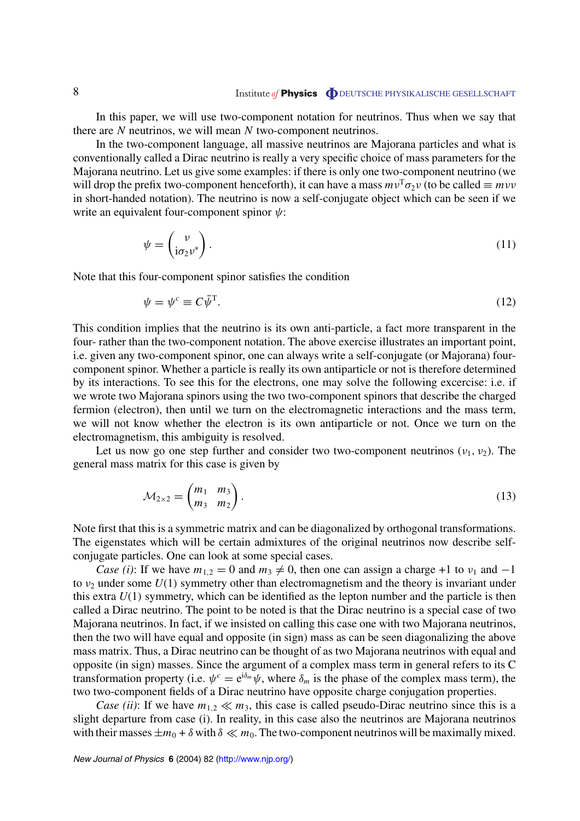<span id="page-7-0"></span>In this paper, we will use two-component notation for neutrinos. Thus when we say that there are *N* neutrinos, we will mean *N* two-component neutrinos.

In the two-component language, all massive neutrinos are Majorana particles and what is conventionally called a Dirac neutrino is really a very specific choice of mass parameters for the Majorana neutrino. Let us give some examples: if there is only one two-component neutrino (we will drop the prefix two-component henceforth), it can have a mass  $mv^T\sigma_2v$  (to be called  $\equiv mvv$ in short-handed notation). The neutrino is now a self-conjugate object which can be seen if we write an equivalent four-component spinor *ψ*:

$$
\psi = \begin{pmatrix} \nu \\ i\sigma_2 \nu^* \end{pmatrix} . \tag{11}
$$

Note that this four-component spinor satisfies the condition

$$
\psi = \psi^c \equiv C\bar{\psi}^T. \tag{12}
$$

This condition implies that the neutrino is its own anti-particle, a fact more transparent in the four- rather than the two-component notation. The above exercise illustrates an important point, i.e. given any two-component spinor, one can always write a self-conjugate (or Majorana) fourcomponent spinor. Whether a particle is really its own antiparticle or not is therefore determined by its interactions. To see this for the electrons, one may solve the following excercise: i.e. if we wrote two Majorana spinors using the two two-component spinors that describe the charged fermion (electron), then until we turn on the electromagnetic interactions and the mass term, we will not know whether the electron is its own antiparticle or not. Once we turn on the electromagnetism, this ambiguity is resolved.

Let us now go one step further and consider two two-component neutrinos  $(v_1, v_2)$ . The general mass matrix for this case is given by

$$
\mathcal{M}_{2\times 2} = \begin{pmatrix} m_1 & m_3 \\ m_3 & m_2 \end{pmatrix} . \tag{13}
$$

Note first that this is a symmetric matrix and can be diagonalized by orthogonal transformations. The eigenstates which will be certain admixtures of the original neutrinos now describe selfconjugate particles. One can look at some special cases.

*Case (i)*: If we have  $m_{1,2} = 0$  and  $m_3 \neq 0$ , then one can assign a charge +1 to  $v_1$  and  $-1$ to  $v_2$  under some  $U(1)$  symmetry other than electromagnetism and the theory is invariant under this extra  $U(1)$  symmetry, which can be identified as the lepton number and the particle is then called a Dirac neutrino. The point to be noted is that the Dirac neutrino is a special case of two Majorana neutrinos. In fact, if we insisted on calling this case one with two Majorana neutrinos, then the two will have equal and opposite (in sign) mass as can be seen diagonalizing the above mass matrix. Thus, a Dirac neutrino can be thought of as two Majorana neutrinos with equal and opposite (in sign) masses. Since the argument of a complex mass term in general refers to its C transformation property (i.e.  $\psi^c = e^{i\delta_m}\psi$ , where  $\delta_m$  is the phase of the complex mass term), the two two-component fields of a Dirac neutrino have opposite charge conjugation properties.

*Case (ii)*: If we have  $m_{1,2} \ll m_3$ , this case is called pseudo-Dirac neutrino since this is a slight departure from case (i). In reality, in this case also the neutrinos are Majorana neutrinos with their masses  $\pm m_0 + \delta$  with  $\delta \ll m_0$ . The two-component neutrinos will be maximally mixed.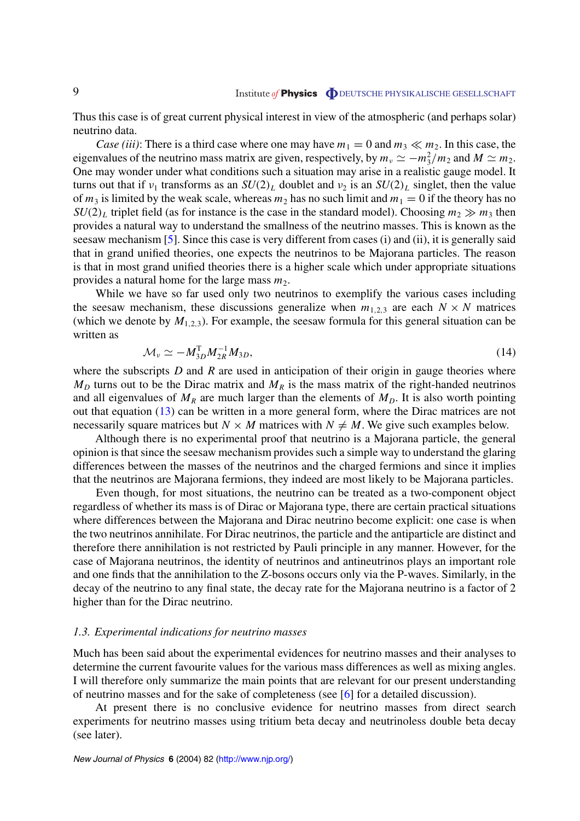<span id="page-8-0"></span>Thus this case is of great current physical interest in view of the atmospheric (and perhaps solar) neutrino data.

*Case (iii)*: There is a third case where one may have  $m_1 = 0$  and  $m_3 \ll m_2$ . In this case, the eigenvalues of the neutrino mass matrix are given, respectively, by  $m_v \simeq -m_3^2/m_2$  and  $M \simeq m_2$ . One may wonder under what conditions such a situation may arise in a realistic gauge model. It turns out that if  $v_1$  transforms as an  $SU(2)_L$  doublet and  $v_2$  is an  $SU(2)_L$  singlet, then the value of  $m_3$  is limited by the weak scale, whereas  $m_2$  has no such limit and  $m_1 = 0$  if the theory has no  $SU(2)_L$  triplet field (as for instance is the case in the standard model). Choosing  $m_2 \gg m_3$  then provides a natural way to understand the smallness of the neutrino masses. This is known as the seesaw mechanism [\[5](#page-49-0)]. Since this case is very different from cases (i) and (ii), it is generally said that in grand unified theories, one expects the neutrinos to be Majorana particles. The reason is that in most grand unified theories there is a higher scale which under appropriate situations provides a natural home for the large mass  $m_2$ .

While we have so far used only two neutrinos to exemplify the various cases including the seesaw mechanism, these discussions generalize when  $m_{1,2,3}$  are each  $N \times N$  matrices (which we denote by  $M_{1,2,3}$ ). For example, the seesaw formula for this general situation can be written as

$$
\mathcal{M}_{\nu} \simeq -M_{3D}^{\rm T} M_{2R}^{-1} M_{3D},\tag{14}
$$

where the subscripts *D* and *R* are used in anticipation of their origin in gauge theories where  $M_D$  turns out to be the Dirac matrix and  $M_R$  is the mass matrix of the right-handed neutrinos and all eigenvalues of  $M_R$  are much larger than the elements of  $M_D$ . It is also worth pointing out that equation [\(13](#page-7-0)) can be written in a more general form, where the Dirac matrices are not necessarily square matrices but  $N \times M$  matrices with  $N \neq M$ . We give such examples below.

Although there is no experimental proof that neutrino is a Majorana particle, the general opinion is that since the seesaw mechanism provides such a simple way to understand the glaring differences between the masses of the neutrinos and the charged fermions and since it implies that the neutrinos are Majorana fermions, they indeed are most likely to be Majorana particles.

Even though, for most situations, the neutrino can be treated as a two-component object regardless of whether its mass is of Dirac or Majorana type, there are certain practical situations where differences between the Majorana and Dirac neutrino become explicit: one case is when the two neutrinos annihilate. For Dirac neutrinos, the particle and the antiparticle are distinct and therefore there annihilation is not restricted by Pauli principle in any manner. However, for the case of Majorana neutrinos, the identity of neutrinos and antineutrinos plays an important role and one finds that the annihilation to the Z-bosons occurs only via the P-waves. Similarly, in the decay of the neutrino to any final state, the decay rate for the Majorana neutrino is a factor of 2 higher than for the Dirac neutrino.

#### *1.3. Experimental indications for neutrino masses*

Much has been said about the experimental evidences for neutrino masses and their analyses to determine the current favourite values for the various mass differences as well as mixing angles. I will therefore only summarize the main points that are relevant for our present understanding of neutrino masses and for the sake of completeness (see [\[6](#page-49-0)] for a detailed discussion).

At present there is no conclusive evidence for neutrino masses from direct search experiments for neutrino masses using tritium beta decay and neutrinoless double beta decay (see later).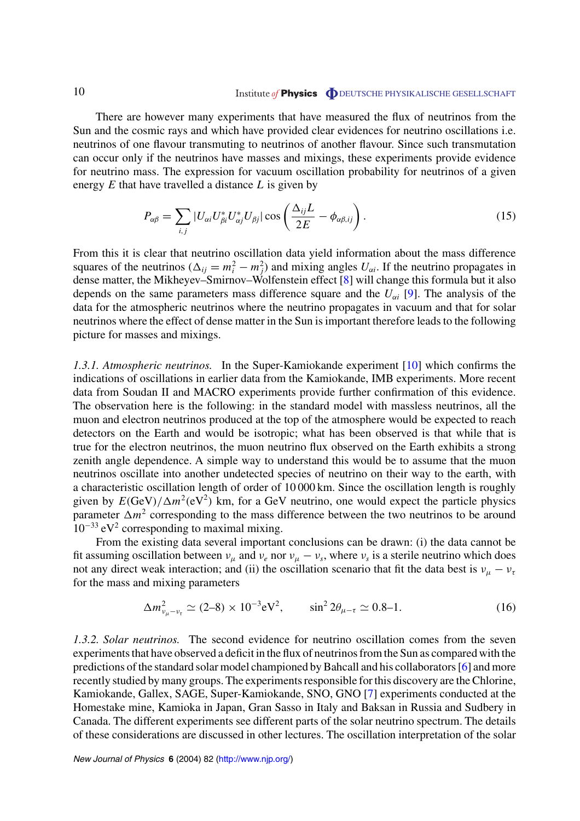<span id="page-9-0"></span>There are however many experiments that have measured the flux of neutrinos from the Sun and the cosmic rays and which have provided clear evidences for neutrino oscillations i.e. neutrinos of one flavour transmuting to neutrinos of another flavour. Since such transmutation can occur only if the neutrinos have masses and mixings, these experiments provide evidence for neutrino mass. The expression for vacuum oscillation probability for neutrinos of a given energy *E* that have travelled a distance *L* is given by

$$
P_{\alpha\beta} = \sum_{i,j} |U_{\alpha i} U_{\beta i}^* U_{\alpha j}^* U_{\beta j}| \cos \left(\frac{\Delta_{ij} L}{2E} - \phi_{\alpha\beta,ij}\right). \tag{15}
$$

From this it is clear that neutrino oscillation data yield information about the mass difference squares of the neutrinos ( $\Delta_{ij} = m_i^2 - m_j^2$ ) and mixing angles  $U_{\alpha i}$ . If the neutrino propagates in dense matter, the Mikheyev–Smirnov–Wolfenstein effect [\[8](#page-49-0)] will change this formula but it also depends on the same parameters mass difference square and the *Uαi* [\[9](#page-49-0)]. The analysis of the data for the atmospheric neutrinos where the neutrino propagates in vacuum and that for solar neutrinos where the effect of dense matter in the Sun is important therefore leads to the following picture for masses and mixings.

*1.3.1. Atmospheric neutrinos.* In the Super-Kamiokande experiment [[10\]](#page-49-0) which confirms the indications of oscillations in earlier data from the Kamiokande, IMB experiments. More recent data from Soudan II and MACRO experiments provide further confirmation of this evidence. The observation here is the following: in the standard model with massless neutrinos, all the muon and electron neutrinos produced at the top of the atmosphere would be expected to reach detectors on the Earth and would be isotropic; what has been observed is that while that is true for the electron neutrinos, the muon neutrino flux observed on the Earth exhibits a strong zenith angle dependence. A simple way to understand this would be to assume that the muon neutrinos oscillate into another undetected species of neutrino on their way to the earth, with a characteristic oscillation length of order of 10 000 km. Since the oscillation length is roughly given by  $E(\text{GeV})/\Delta m^2(\text{eV}^2)$  km, for a GeV neutrino, one would expect the particle physics parameter  $\Delta m^2$  corresponding to the mass difference between the two neutrinos to be around  $10^{-33}$  eV<sup>2</sup> corresponding to maximal mixing.

From the existing data several important conclusions can be drawn: (i) the data cannot be fit assuming oscillation between  $v_\mu$  and  $v_e$  nor  $v_\mu - v_s$ , where  $v_s$  is a sterile neutrino which does not any direct weak interaction; and (ii) the oscillation scenario that fit the data best is  $v_{\mu} - v_{\tau}$ for the mass and mixing parameters

$$
\Delta m_{\nu_{\mu}-\nu_{\tau}}^2 \simeq (2-8) \times 10^{-3} \text{eV}^2, \qquad \sin^2 2\theta_{\mu-\tau} \simeq 0.8-1. \tag{16}
$$

*1.3.2. Solar neutrinos.* The second evidence for neutrino oscillation comes from the seven experiments that have observed a deficit in the flux of neutrinos from the Sun as compared with the predictions of the standard solar model championed by Bahcall and his collaborators [[6\]](#page-49-0) and more recently studied by many groups. The experiments responsible for this discovery are the Chlorine, Kamiokande, Gallex, SAGE, Super-Kamiokande, SNO, GNO [\[7](#page-49-0)] experiments conducted at the Homestake mine, Kamioka in Japan, Gran Sasso in Italy and Baksan in Russia and Sudbery in Canada. The different experiments see different parts of the solar neutrino spectrum. The details of these considerations are discussed in other lectures. The oscillation interpretation of the solar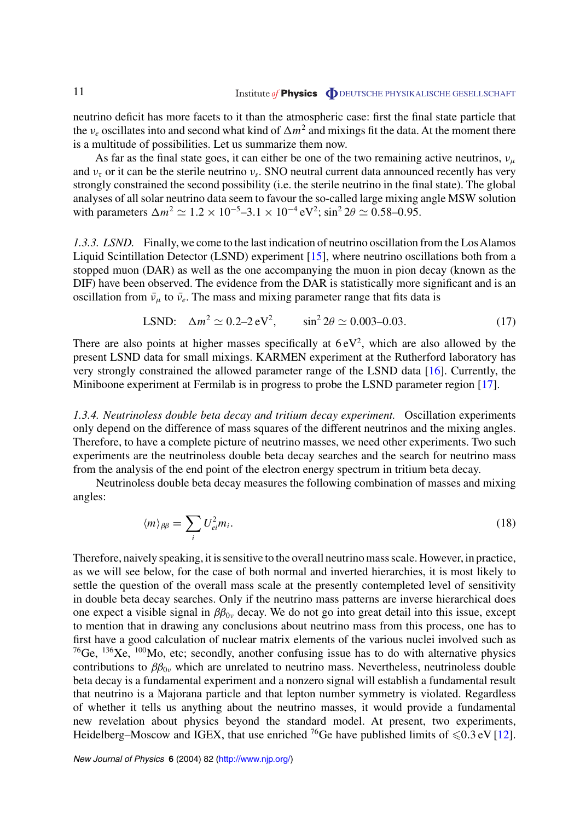<span id="page-10-0"></span>neutrino deficit has more facets to it than the atmospheric case: first the final state particle that the  $v_e$  oscillates into and second what kind of  $\Delta m^2$  and mixings fit the data. At the moment there is a multitude of possibilities. Let us summarize them now.

As far as the final state goes, it can either be one of the two remaining active neutrinos,  $v_u$ and  $v<sub>\tau</sub>$  or it can be the sterile neutrino  $v<sub>s</sub>$ . SNO neutral current data announced recently has very strongly constrained the second possibility (i.e. the sterile neutrino in the final state). The global analyses of all solar neutrino data seem to favour the so-called large mixing angle MSW solution with parameters  $\Delta m^2 \simeq 1.2 \times 10^{-5} - 3.1 \times 10^{-4} \text{ eV}^2$ ;  $\sin^2 2\theta \simeq 0.58 - 0.95$ .

*1.3.3. LSND.* Finally, we come to the last indication of neutrino oscillation from the Los Alamos Liquid Scintillation Detector (LSND) experiment [[15\]](#page-49-0), where neutrino oscillations both from a stopped muon (DAR) as well as the one accompanying the muon in pion decay (known as the DIF) have been observed. The evidence from the DAR is statistically more significant and is an oscillation from  $\bar{v}_\mu$  to  $\bar{v}_e$ . The mass and mixing parameter range that fits data is

LSND: 
$$
\Delta m^2 \simeq 0.2-2 \,\text{eV}^2
$$
,  $\sin^2 2\theta \simeq 0.003-0.03$ . (17)

There are also points at higher masses specifically at  $6 \text{ eV}^2$ , which are also allowed by the present LSND data for small mixings. KARMEN experiment at the Rutherford laboratory has very strongly constrained the allowed parameter range of the LSND data [[16\]](#page-49-0). Currently, the Miniboone experiment at Fermilab is in progress to probe the LSND parameter region [[17\]](#page-49-0).

*1.3.4. Neutrinoless double beta decay and tritium decay experiment.* Oscillation experiments only depend on the difference of mass squares of the different neutrinos and the mixing angles. Therefore, to have a complete picture of neutrino masses, we need other experiments. Two such experiments are the neutrinoless double beta decay searches and the search for neutrino mass from the analysis of the end point of the electron energy spectrum in tritium beta decay.

Neutrinoless double beta decay measures the following combination of masses and mixing angles:

$$
\langle m \rangle_{\beta\beta} = \sum_{i} U_{ei}^2 m_i. \tag{18}
$$

Therefore, naively speaking, it is sensitive to the overall neutrino mass scale. However, in practice, as we will see below, for the case of both normal and inverted hierarchies, it is most likely to settle the question of the overall mass scale at the presently contempleted level of sensitivity in double beta decay searches. Only if the neutrino mass patterns are inverse hierarchical does one expect a visible signal in *ββ*0*<sup>ν</sup>* decay. We do not go into great detail into this issue, except to mention that in drawing any conclusions about neutrino mass from this process, one has to first have a good calculation of nuclear matrix elements of the various nuclei involved such as <sup>76</sup>Ge, <sup>136</sup>Xe, <sup>100</sup>Mo, etc; secondly, another confusing issue has to do with alternative physics contributions to  $\beta \beta_{0\nu}$  which are unrelated to neutrino mass. Nevertheless, neutrinoless double beta decay is a fundamental experiment and a nonzero signal will establish a fundamental result that neutrino is a Majorana particle and that lepton number symmetry is violated. Regardless of whether it tells us anything about the neutrino masses, it would provide a fundamental new revelation about physics beyond the standard model. At present, two experiments, Heidelberg–Moscow and IGEX, that use enriched <sup>76</sup>Ge have published limits of  $\leq 0.3 \text{ eV}$  [\[12](#page-49-0)].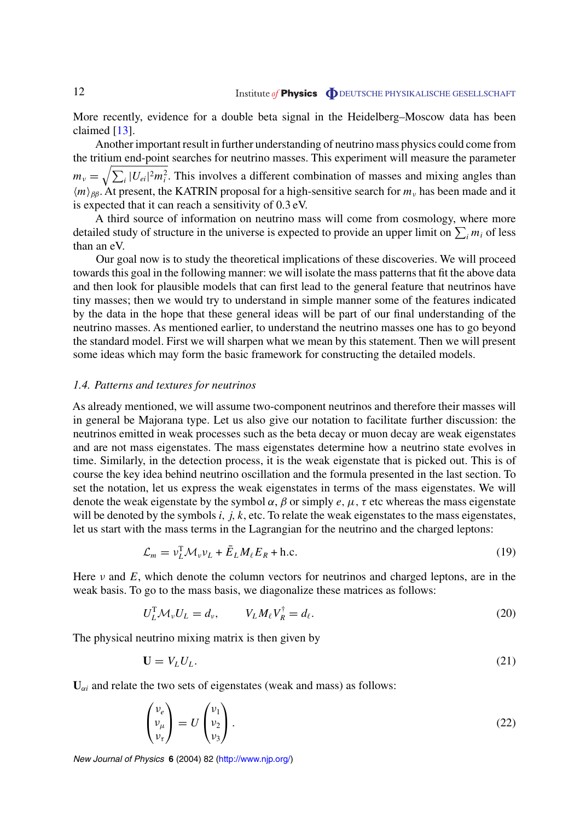<span id="page-11-0"></span>More recently, evidence for a double beta signal in the Heidelberg–Moscow data has been claimed [[13\]](#page-49-0).

Another important result in further understanding of neutrino mass physics could come from the tritium end-point searches for neutrino masses. This experiment will measure the parameter  $m_{\nu} = \sqrt{\sum_i |U_{ei}|^2 m_i^2}$ . This involves a different combination of masses and mixing angles than  $(m)_{\beta\beta}$ . At present, the KATRIN proposal for a high-sensitive search for  $m_{\nu}$  has been made and it is expected that it can reach a sensitivity of 0.3 eV.

A third source of information on neutrino mass will come from cosmology, where more detailed study of structure in the universe is expected to provide an upper limit on  $\sum_i m_i$  of less than an eV.

Our goal now is to study the theoretical implications of these discoveries. We will proceed towards this goal in the following manner: we will isolate the mass patterns that fit the above data and then look for plausible models that can first lead to the general feature that neutrinos have tiny masses; then we would try to understand in simple manner some of the features indicated by the data in the hope that these general ideas will be part of our final understanding of the neutrino masses. As mentioned earlier, to understand the neutrino masses one has to go beyond the standard model. First we will sharpen what we mean by this statement. Then we will present some ideas which may form the basic framework for constructing the detailed models.

#### *1.4. Patterns and textures for neutrinos*

As already mentioned, we will assume two-component neutrinos and therefore their masses will in general be Majorana type. Let us also give our notation to facilitate further discussion: the neutrinos emitted in weak processes such as the beta decay or muon decay are weak eigenstates and are not mass eigenstates. The mass eigenstates determine how a neutrino state evolves in time. Similarly, in the detection process, it is the weak eigenstate that is picked out. This is of course the key idea behind neutrino oscillation and the formula presented in the last section. To set the notation, let us express the weak eigenstates in terms of the mass eigenstates. We will denote the weak eigenstate by the symbol  $\alpha$ ,  $\beta$  or simply  $e$ ,  $\mu$ ,  $\tau$  etc whereas the mass eigenstate will be denoted by the symbols *i, j, k*, etc. To relate the weak eigenstates to the mass eigenstates, let us start with the mass terms in the Lagrangian for the neutrino and the charged leptons:

$$
\mathcal{L}_m = \nu_L^{\mathrm{T}} \mathcal{M}_\nu \nu_L + \bar{E}_L M_\ell E_R + \text{h.c.}
$$
\n(19)

Here *ν* and *E*, which denote the column vectors for neutrinos and charged leptons, are in the weak basis. To go to the mass basis, we diagonalize these matrices as follows:

$$
U_L^{\mathrm{T}} \mathcal{M}_\nu U_L = d_\nu, \qquad V_L M_\ell V_R^\dagger = d_\ell. \tag{20}
$$

The physical neutrino mixing matrix is then given by

$$
\mathbf{U} = V_L U_L. \tag{21}
$$

**U***αi* and relate the two sets of eigenstates (weak and mass) as follows:

$$
\begin{pmatrix} \nu_e \\ \nu_\mu \\ \nu_\tau \end{pmatrix} = U \begin{pmatrix} \nu_1 \\ \nu_2 \\ \nu_3 \end{pmatrix} . \tag{22}
$$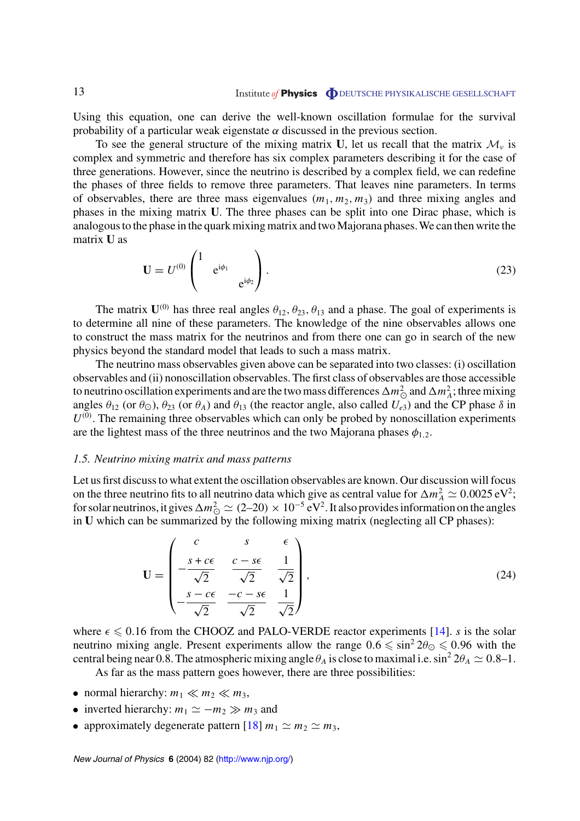<span id="page-12-0"></span>Using this equation, one can derive the well-known oscillation formulae for the survival probability of a particular weak eigenstate *α* discussed in the previous section.

To see the general structure of the mixing matrix **U**, let us recall that the matrix  $\mathcal{M}_v$  is complex and symmetric and therefore has six complex parameters describing it for the case of three generations. However, since the neutrino is described by a complex field, we can redefine the phases of three fields to remove three parameters. That leaves nine parameters. In terms of observables, there are three mass eigenvalues  $(m_1, m_2, m_3)$  and three mixing angles and phases in the mixing matrix **U**. The three phases can be split into one Dirac phase, which is analogous to the phase in the quark mixing matrix and two Majorana phases.We can then write the matrix **U** as

$$
\mathbf{U} = U^{(0)} \begin{pmatrix} 1 & 1 \\ 1 & e^{i\phi_1} \\ 1 & e^{i\phi_2} \end{pmatrix} . \tag{23}
$$

The matrix  $\mathbf{U}^{(0)}$  has three real angles  $\theta_{12}, \theta_{23}, \theta_{13}$  and a phase. The goal of experiments is to determine all nine of these parameters. The knowledge of the nine observables allows one to construct the mass matrix for the neutrinos and from there one can go in search of the new physics beyond the standard model that leads to such a mass matrix.

The neutrino mass observables given above can be separated into two classes: (i) oscillation observables and (ii) nonoscillation observables. The first class of observables are those accessible to neutrino oscillation experiments and are the two mass differences  $\Delta m^2$  and  $\Delta m^2$ ; three mixing angles  $\theta_{12}$  (or  $\theta_{\odot}$ ),  $\theta_{23}$  (or  $\theta_A$ ) and  $\theta_{13}$  (the reactor angle, also called  $U_{e3}$ ) and the CP phase  $\delta$  in  $U^{(0)}$ . The remaining three observables which can only be probed by nonoscillation experiments are the lightest mass of the three neutrinos and the two Majorana phases  $\phi_{1,2}$ .

#### *1.5. Neutrino mixing matrix and mass patterns*

Let us first discuss to what extent the oscillation observables are known. Our discussion will focus on the three neutrino fits to all neutrino data which give as central value for  $\Delta m_A^2 \simeq 0.0025 \text{ eV}^2$ ; for solar neutrinos, it gives  $\Delta m^2$   $\simeq$   $(2-20) \times 10^{-5}$  eV<sup>2</sup>. It also provides information on the angles in **U** which can be summarized by the following mixing matrix (neglecting all CP phases):

$$
\mathbf{U} = \begin{pmatrix} c & s & \epsilon \\ -\frac{s + c\epsilon}{\sqrt{2}} & \frac{c - s\epsilon}{\sqrt{2}} & \frac{1}{\sqrt{2}} \\ -\frac{s - c\epsilon}{\sqrt{2}} & \frac{-c - s\epsilon}{\sqrt{2}} & \frac{1}{\sqrt{2}} \end{pmatrix},
$$
(24)

where  $\epsilon \leq 0.16$  from the CHOOZ and PALO-VERDE reactor experiments [\[14](#page-49-0)]. *s* is the solar neutrino mixing angle. Present experiments allow the range  $0.\vec{6} \leqslant \sin^2 2\theta \leqslant 0.96$  with the central being near 0.8. The atmospheric mixing angle  $\theta_A$  is close to maximal i.e.  $\sin^2 2\theta_A \simeq 0.8-1$ . As far as the mass pattern goes however, there are three possibilities:

- normal hierarchy:  $m_1 \ll m_2 \ll m_3$ ,
- inverted hierarchy:  $m_1 \simeq -m_2 \gg m_3$  and
- approximately degenerate pattern [\[18](#page-49-0)]  $m_1 \simeq m_2 \simeq m_3$ ,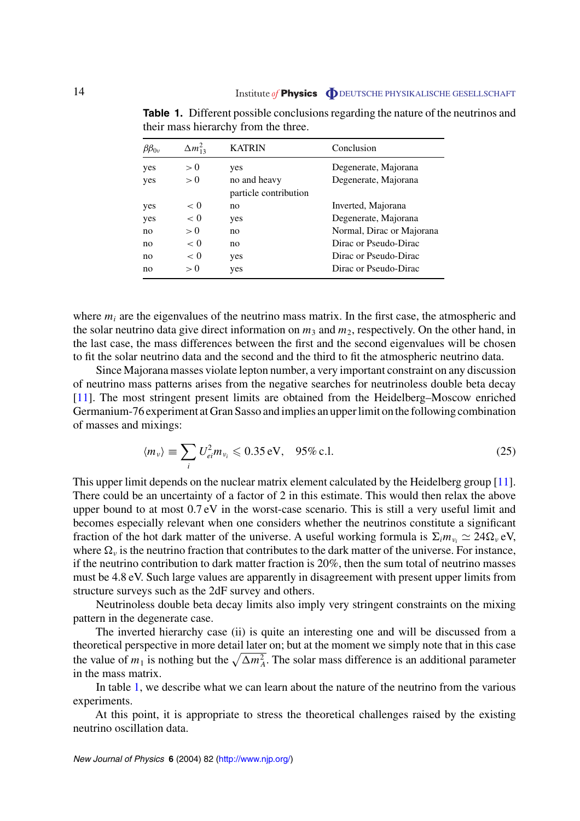| $\beta\beta_{0\nu}$ | $\Delta m_{13}^2$ | <b>KATRIN</b>                         | Conclusion                |
|---------------------|-------------------|---------------------------------------|---------------------------|
| yes                 | > 0               | yes                                   | Degenerate, Majorana      |
| yes                 | $>$ ()            | no and heavy<br>particle contribution | Degenerate, Majorana      |
| yes                 | $\lt 0$           | no                                    | Inverted, Majorana        |
| yes                 | < 0               | yes                                   | Degenerate, Majorana      |
| no                  | > 0               | no                                    | Normal, Dirac or Majorana |
| no                  | $\lt 0$           | no                                    | Dirac or Pseudo-Dirac     |
| no                  | < 0               | yes                                   | Dirac or Pseudo-Dirac     |
| no                  | > 0               | yes                                   | Dirac or Pseudo-Dirac     |

<span id="page-13-0"></span>**Table 1.** Different possible conclusions regarding the nature of the neutrinos and their mass hierarchy from the three.

where  $m_i$  are the eigenvalues of the neutrino mass matrix. In the first case, the atmospheric and the solar neutrino data give direct information on  $m_3$  and  $m_2$ , respectively. On the other hand, in the last case, the mass differences between the first and the second eigenvalues will be chosen to fit the solar neutrino data and the second and the third to fit the atmospheric neutrino data.

Since Majorana masses violate lepton number, a very important constraint on any discussion of neutrino mass patterns arises from the negative searches for neutrinoless double beta decay [[11\]](#page-49-0). The most stringent present limits are obtained from the Heidelberg–Moscow enriched Germanium-76 experiment at Gran Sasso and implies an upper limit on the following combination of masses and mixings:

$$
\langle m_{\nu} \rangle \equiv \sum_{i} U_{ei}^{2} m_{\nu_{i}} \leqslant 0.35 \,\text{eV}, \quad 95\% \,\text{c.l.}
$$
 (25)

This upper limit depends on the nuclear matrix element calculated by the Heidelberg group [\[11](#page-49-0)]. There could be an uncertainty of a factor of 2 in this estimate. This would then relax the above upper bound to at most 0.7 eV in the worst-case scenario. This is still a very useful limit and becomes especially relevant when one considers whether the neutrinos constitute a significant fraction of the hot dark matter of the universe. A useful working formula is  $\Sigma_i m_{\nu_i} \simeq 24 \Omega_{\nu} eV$ , where  $\Omega_{\nu}$  is the neutrino fraction that contributes to the dark matter of the universe. For instance, if the neutrino contribution to dark matter fraction is 20%, then the sum total of neutrino masses must be 4.8 eV. Such large values are apparently in disagreement with present upper limits from structure surveys such as the 2dF survey and others.

Neutrinoless double beta decay limits also imply very stringent constraints on the mixing pattern in the degenerate case.

The inverted hierarchy case (ii) is quite an interesting one and will be discussed from a theoretical perspective in more detail later on; but at the moment we simply note that in this case the value of  $m_1$  is nothing but the  $\sqrt{\Delta m_A^2}$ . The solar mass difference is an additional parameter in the mass matrix.

In table 1, we describe what we can learn about the nature of the neutrino from the various experiments.

At this point, it is appropriate to stress the theoretical challenges raised by the existing neutrino oscillation data.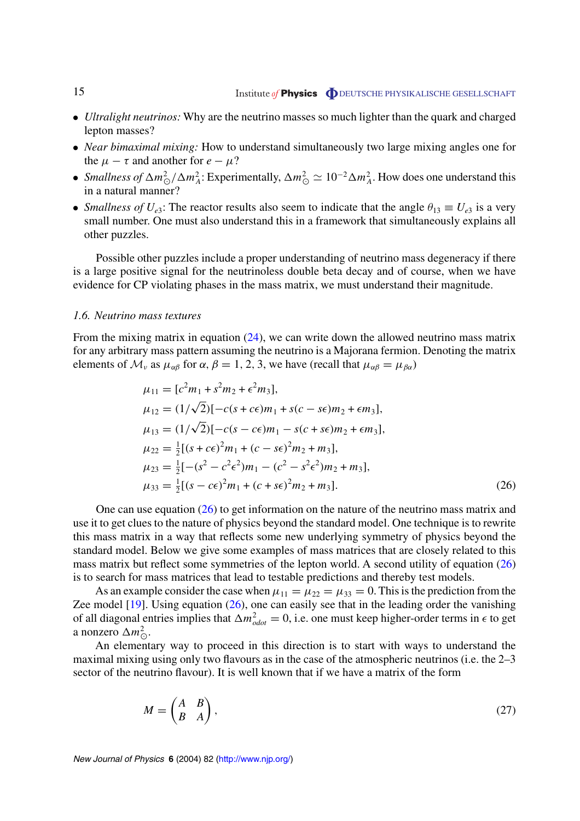- *Ultralight neutrinos:* Why are the neutrino masses so much lighter than the quark and charged lepton masses?
- *Near bimaximal mixing:* How to understand simultaneously two large mixing angles one for the  $\mu - \tau$  and another for  $e - \mu$ ?
- *Smallness of*  $\Delta m^2 \Delta m^2$ : Experimentally,  $\Delta m^2 \approx 10^{-2} \Delta m^2$ . How does one understand this in a natural manner?
- *Smallness of*  $U_{e3}$ : The reactor results also seem to indicate that the angle  $\theta_{13} \equiv U_{e3}$  is a very small number. One must also understand this in a framework that simultaneously explains all other puzzles.

Possible other puzzles include a proper understanding of neutrino mass degeneracy if there is a large positive signal for the neutrinoless double beta decay and of course, when we have evidence for CP violating phases in the mass matrix, we must understand their magnitude.

#### *1.6. Neutrino mass textures*

From the mixing matrix in equation ([24\)](#page-12-0), we can write down the allowed neutrino mass matrix for any arbitrary mass pattern assuming the neutrino is a Majorana fermion. Denoting the matrix elements of  $\mathcal{M}_\nu$  as  $\mu_{\alpha\beta}$  for  $\alpha, \beta = 1, 2, 3$ , we have (recall that  $\mu_{\alpha\beta} = \mu_{\beta\alpha}$ )

$$
\mu_{11} = [c^2 m_1 + s^2 m_2 + \epsilon^2 m_3],
$$
  
\n
$$
\mu_{12} = (1/\sqrt{2})[-c(s + c\epsilon)m_1 + s(c - s\epsilon)m_2 + \epsilon m_3],
$$
  
\n
$$
\mu_{13} = (1/\sqrt{2})[-c(s - c\epsilon)m_1 - s(c + s\epsilon)m_2 + \epsilon m_3],
$$
  
\n
$$
\mu_{22} = \frac{1}{2}[(s + c\epsilon)^2 m_1 + (c - s\epsilon)^2 m_2 + m_3],
$$
  
\n
$$
\mu_{23} = \frac{1}{2}[-(s^2 - c^2\epsilon^2)m_1 - (c^2 - s^2\epsilon^2)m_2 + m_3],
$$
  
\n
$$
\mu_{33} = \frac{1}{2}[(s - c\epsilon)^2 m_1 + (c + s\epsilon)^2 m_2 + m_3].
$$
\n(26)

One can use equation (26) to get information on the nature of the neutrino mass matrix and use it to get clues to the nature of physics beyond the standard model. One technique is to rewrite this mass matrix in a way that reflects some new underlying symmetry of physics beyond the standard model. Below we give some examples of mass matrices that are closely related to this mass matrix but reflect some symmetries of the lepton world. A second utility of equation (26) is to search for mass matrices that lead to testable predictions and thereby test models.

As an example consider the case when  $\mu_{11} = \mu_{22} = \mu_{33} = 0$ . This is the prediction from the Zee model [\[19](#page-49-0)]. Using equation (26), one can easily see that in the leading order the vanishing of all diagonal entries implies that  $\Delta m_{odot}^2 = 0$ , i.e. one must keep higher-order terms in  $\epsilon$  to get a nonzero  $\Delta m^2_{\odot}$ .

An elementary way to proceed in this direction is to start with ways to understand the maximal mixing using only two flavours as in the case of the atmospheric neutrinos (i.e. the 2–3 sector of the neutrino flavour). It is well known that if we have a matrix of the form

$$
M = \begin{pmatrix} A & B \\ B & A \end{pmatrix},\tag{27}
$$

<span id="page-14-0"></span>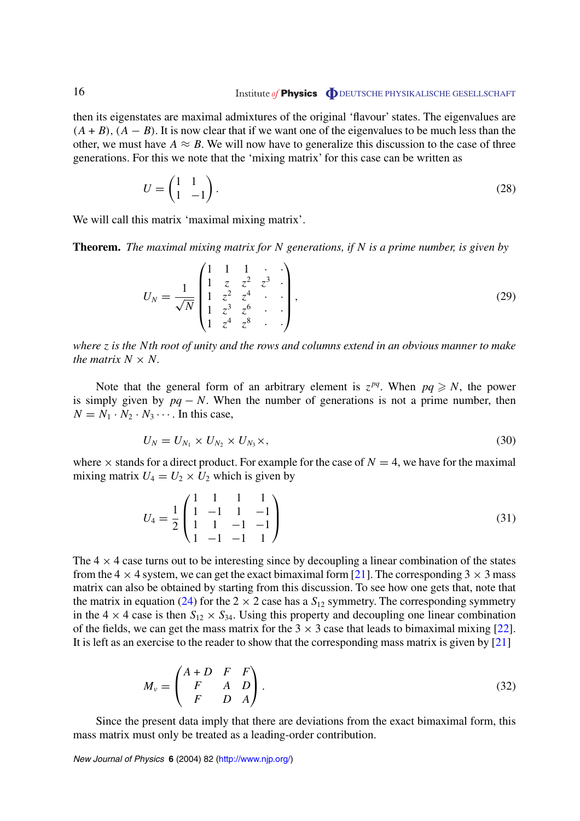then its eigenstates are maximal admixtures of the original 'flavour' states. The eigenvalues are  $(A + B)$ ,  $(A - B)$ . It is now clear that if we want one of the eigenvalues to be much less than the other, we must have  $A \approx B$ . We will now have to generalize this discussion to the case of three generations. For this we note that the 'mixing matrix' for this case can be written as

$$
U = \begin{pmatrix} 1 & 1 \\ 1 & -1 \end{pmatrix}.
$$
 (28)

We will call this matrix 'maximal mixing matrix'.

**Theorem.** *The maximal mixing matrix for N generations, if N is a prime number, is given by*

$$
U_N = \frac{1}{\sqrt{N}} \begin{pmatrix} 1 & 1 & 1 & \cdots & \cdot \\ 1 & z & z^2 & z^3 & \cdot \\ 1 & z^2 & z^4 & \cdots & \cdot \\ 1 & z^3 & z^6 & \cdots & \cdot \\ 1 & z^4 & z^8 & \cdots & \cdot \end{pmatrix},
$$
(29)

*where z is the Nth root of unity and the rows and columns extend in an obvious manner to make the matrix*  $N \times N$ *.* 

Note that the general form of an arbitrary element is  $z^{pq}$ . When  $pq \ge N$ , the power is simply given by  $pq - N$ . When the number of generations is not a prime number, then  $N = N_1 \cdot N_2 \cdot N_3 \cdot \cdots$ . In this case,

$$
U_N = U_{N_1} \times U_{N_2} \times U_{N_3} \times,
$$
\n(30)

where  $\times$  stands for a direct product. For example for the case of  $N = 4$ , we have for the maximal mixing matrix  $U_4 = U_2 \times U_2$  which is given by

$$
U_4 = \frac{1}{2} \begin{pmatrix} 1 & 1 & 1 & 1 \\ 1 & -1 & 1 & -1 \\ 1 & 1 & -1 & -1 \\ 1 & -1 & -1 & 1 \end{pmatrix}
$$
 (31)

The  $4 \times 4$  case turns out to be interesting since by decoupling a linear combination of the states from the 4  $\times$  4 system, we can get the exact bimaximal form [[21\]](#page-50-0). The corresponding 3  $\times$  3 mass matrix can also be obtained by starting from this discussion. To see how one gets that, note that the matrix in equation [\(24](#page-12-0)) for the  $2 \times 2$  case has a  $S_{12}$  symmetry. The corresponding symmetry in the  $4 \times 4$  case is then  $S_{12} \times S_{34}$ . Using this property and decoupling one linear combination of the fields, we can get the mass matrix for the  $3 \times 3$  case that leads to bimaximal mixing [\[22](#page-50-0)]. It is left as an exercise to the reader to show that the corresponding mass matrix is given by [\[21](#page-50-0)]

$$
M_{\nu} = \begin{pmatrix} A+D & F & F \\ F & A & D \\ F & D & A \end{pmatrix}.
$$
 (32)

Since the present data imply that there are deviations from the exact bimaximal form, this mass matrix must only be treated as a leading-order contribution.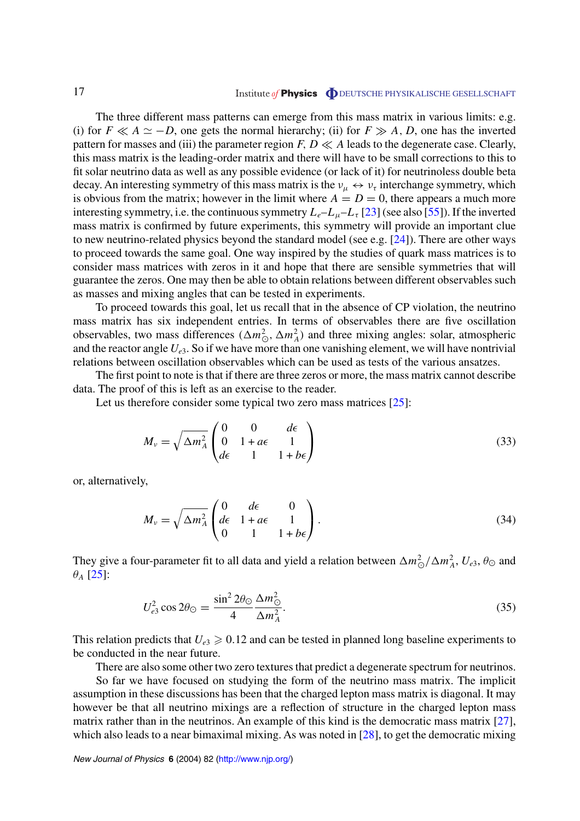<span id="page-16-0"></span>The three different mass patterns can emerge from this mass matrix in various limits: e.g. (i) for  $F \ll A \simeq -D$ , one gets the normal hierarchy; (ii) for  $F \gg A$ , D, one has the inverted pattern for masses and (iii) the parameter region  $F, D \ll A$  leads to the degenerate case. Clearly, this mass matrix is the leading-order matrix and there will have to be small corrections to this to fit solar neutrino data as well as any possible evidence (or lack of it) for neutrinoless double beta decay. An interesting symmetry of this mass matrix is the  $v_u \leftrightarrow v_\tau$  interchange symmetry, which is obvious from the matrix; however in the limit where  $A = D = 0$ , there appears a much more interesting symmetry, i.e. the continuous symmetry  $L_e - L_\mu - L_\tau$  [[23](#page-50-0)] (see also [\[55](#page-52-0)]). If the inverted mass matrix is confirmed by future experiments, this symmetry will provide an important clue to new neutrino-related physics beyond the standard model (see e.g.  $[24]$  $[24]$ ). There are other ways to proceed towards the same goal. One way inspired by the studies of quark mass matrices is to consider mass matrices with zeros in it and hope that there are sensible symmetries that will guarantee the zeros. One may then be able to obtain relations between different observables such as masses and mixing angles that can be tested in experiments.

To proceed towards this goal, let us recall that in the absence of CP violation, the neutrino mass matrix has six independent entries. In terms of observables there are five oscillation observables, two mass differences  $(\Delta m^2_A, \Delta m^2_A)$  and three mixing angles: solar, atmospheric and the reactor angle *Ue*3. So if we have more than one vanishing element, we will have nontrivial relations between oscillation observables which can be used as tests of the various ansatzes.

The first point to note is that if there are three zeros or more, the mass matrix cannot describe data. The proof of this is left as an exercise to the reader.

Let us therefore consider some typical two zero mass matrices [\[25](#page-50-0)]:

$$
M_{\nu} = \sqrt{\Delta m_A^2} \begin{pmatrix} 0 & 0 & d\epsilon \\ 0 & 1 + a\epsilon & 1 \\ d\epsilon & 1 & 1 + b\epsilon \end{pmatrix}
$$
 (33)

or, alternatively,

$$
M_{\nu} = \sqrt{\Delta m_A^2} \begin{pmatrix} 0 & d\epsilon & 0 \\ d\epsilon & 1 + a\epsilon & 1 \\ 0 & 1 & 1 + b\epsilon \end{pmatrix}.
$$
 (34)

They give a four-parameter fit to all data and yield a relation between  $\Delta m_{\odot}^2 / \Delta m_A^2$ ,  $U_{e3}$ ,  $\theta_{\odot}$  and  $\theta_A$  [[25](#page-50-0)]:

$$
U_{e3}^2 \cos 2\theta_{\odot} = \frac{\sin^2 2\theta_{\odot}}{4} \frac{\Delta m_{\odot}^2}{\Delta m_A^2}.
$$
 (35)

This relation predicts that  $U_{e3} \geqslant 0.12$  and can be tested in planned long baseline experiments to be conducted in the near future.

There are also some other two zero textures that predict a degenerate spectrum for neutrinos.

So far we have focused on studying the form of the neutrino mass matrix. The implicit assumption in these discussions has been that the charged lepton mass matrix is diagonal. It may however be that all neutrino mixings are a reflection of structure in the charged lepton mass matrix rather than in the neutrinos. An example of this kind is the democratic mass matrix [\[27](#page-50-0)], which also leads to a near bimaximal mixing. As was noted in  $[28]$  $[28]$ , to get the democratic mixing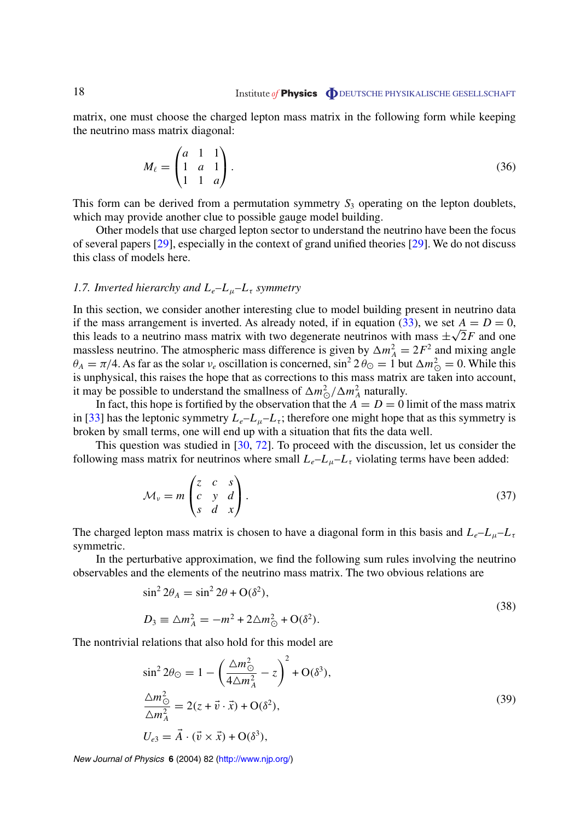<span id="page-17-0"></span>matrix, one must choose the charged lepton mass matrix in the following form while keeping the neutrino mass matrix diagonal:

$$
M_{\ell} = \begin{pmatrix} a & 1 & 1 \\ 1 & a & 1 \\ 1 & 1 & a \end{pmatrix} . \tag{36}
$$

This form can be derived from a permutation symmetry  $S_3$  operating on the lepton doublets, which may provide another clue to possible gauge model building.

Other models that use charged lepton sector to understand the neutrino have been the focus of several papers [\[29](#page-50-0)], especially in the context of grand unified theories [[29\]](#page-50-0). We do not discuss this class of models here.

#### *1.7. Inverted hierarchy and*  $L_e - L_u - L_{\tau}$  *symmetry*

In this section, we consider another interesting clue to model building present in neutrino data if the mass arrangement is inverted. As already noted, if in equation ([33\)](#page-16-0), we set  $A = D = 0$ , this leads to a neutrino mass matrix with two degenerate neutrinos with mass  $\pm \sqrt{2}F$  and one massless neutrino. The atmospheric mass difference is given by  $\Delta m_A^2 = 2F^2$  and mixing angle  $\theta_A = \pi/4$ . As far as the solar *ν<sub>e</sub>* oscillation is concerned,  $\sin^2 2 \theta_{\mathcal{O}} = 1$  but  $\Delta m_{\mathcal{O}}^2 = 0$ . While this is unphysical, this raises the hope that as corrections to this mass matrix are taken into account, it may be possible to understand the smallness of  $\Delta m^2_{\odot}/\Delta m^2_{\rm A}$  naturally.

In fact, this hope is fortified by the observation that the  $A = D = 0$  limit of the mass matrix in [\[33\]](#page-50-0) has the leptonic symmetry  $L_e - L_u - L_z$ ; therefore one might hope that as this symmetry is broken by small terms, one will end up with a situation that fits the data well.

This question was studied in [[30,](#page-50-0) [72](#page-53-0)]. To proceed with the discussion, let us consider the following mass matrix for neutrinos where small  $L_e - L_\mu - L_\tau$  violating terms have been added:

$$
\mathcal{M}_{\nu} = m \begin{pmatrix} z & c & s \\ c & y & d \\ s & d & x \end{pmatrix} . \tag{37}
$$

The charged lepton mass matrix is chosen to have a diagonal form in this basis and  $L_e - L_\mu - L_\tau$ symmetric.

In the perturbative approximation, we find the following sum rules involving the neutrino observables and the elements of the neutrino mass matrix. The two obvious relations are

$$
\sin^2 2\theta_A = \sin^2 2\theta + O(\delta^2),
$$
  
\n
$$
D_3 \equiv \Delta m_A^2 = -m^2 + 2\Delta m_{\odot}^2 + O(\delta^2).
$$
\n(38)

The nontrivial relations that also hold for this model are

$$
\sin^2 2\theta_{\odot} = 1 - \left(\frac{\Delta m_{\odot}^2}{4\Delta m_A^2} - z\right)^2 + O(\delta^3),
$$
  
\n
$$
\frac{\Delta m_{\odot}^2}{\Delta m_A^2} = 2(z + \vec{v} \cdot \vec{x}) + O(\delta^2),
$$
  
\n
$$
U_{e3} = \vec{A} \cdot (\vec{v} \times \vec{x}) + O(\delta^3),
$$
\n(39)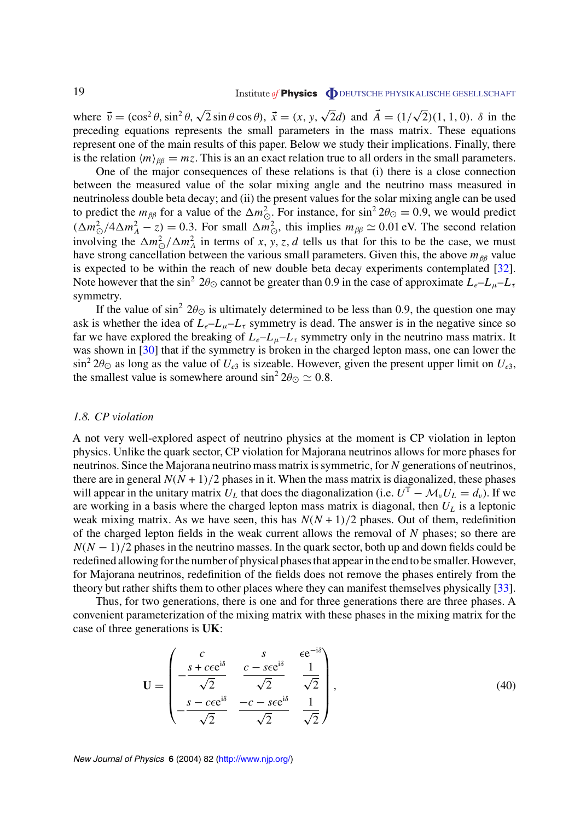<span id="page-18-0"></span>where  $\vec{v} = (\cos^2 \theta, \sin^2 \theta, \sqrt{2} \sin \theta \cos \theta)$ ,  $\vec{x} = (x, y, \sqrt{2}d)$  and  $\vec{A} = (1/\sqrt{2})(1, 1, 0)$ .  $\delta$  in the preceding equations represents the small parameters in the mass matrix. These equations represent one of the main results of this paper. Below we study their implications. Finally, there is the relation  $\langle m \rangle_{\beta\beta} = mz$ . This is an an exact relation true to all orders in the small parameters.

One of the major consequences of these relations is that (i) there is a close connection between the measured value of the solar mixing angle and the neutrino mass measured in neutrinoless double beta decay; and (ii) the present values for the solar mixing angle can be used to predict the  $m_{\beta\beta}$  for a value of the  $\Delta m_{\odot}^2$ . For instance, for sin<sup>2</sup>  $2\theta_{\odot} = 0.9$ , we would predict  $(\Delta m_{\odot}^2/4\Delta m_A^2 - z) = 0.3$ . For small  $\Delta m_{\odot}^2$ , this implies  $m_{\beta\beta} \simeq 0.01$  eV. The second relation involving the  $\Delta m^2 \Delta m^2$  in terms of *x*, *y*, *z*, *d* tells us that for this to be the case, we must have strong cancellation between the various small parameters. Given this, the above *m<sub>ββ</sub>* value is expected to be within the reach of new double beta decay experiments contemplated [\[32](#page-50-0)]. Note however that the sin<sup>2</sup> 2 $\theta_{\odot}$  cannot be greater than 0.9 in the case of approximate  $L_e - L_\mu - L_\tau$ symmetry.

If the value of  $\sin^2 2\theta_{\odot}$  is ultimately determined to be less than 0.9, the question one may ask is whether the idea of  $L_e - L_\mu - L_\tau$  symmetry is dead. The answer is in the negative since so far we have explored the breaking of  $L_e - L_\mu - L_\tau$  symmetry only in the neutrino mass matrix. It was shown in [[30](#page-50-0)] that if the symmetry is broken in the charged lepton mass, one can lower the  $\sin^2 2\theta_{\odot}$  as long as the value of  $U_{e3}$  is sizeable. However, given the present upper limit on  $U_{e3}$ , the smallest value is somewhere around  $\sin^2 2\theta \approx 0.8$ .

#### *1.8. CP violation*

A not very well-explored aspect of neutrino physics at the moment is CP violation in lepton physics. Unlike the quark sector, CP violation for Majorana neutrinos allows for more phases for neutrinos. Since the Majorana neutrino mass matrix is symmetric, for *N* generations of neutrinos, there are in general  $N(N + 1)/2$  phases in it. When the mass matrix is diagonalized, these phases will appear in the unitary matrix  $U_L$  that does the diagonalization (i.e.  $U^T - \mathcal{M}_{\nu} U_L = d_{\nu}$ ). If we are working in a basis where the charged lepton mass matrix is diagonal, then  $U_L$  is a leptonic weak mixing matrix. As we have seen, this has  $N(N + 1)/2$  phases. Out of them, redefinition of the charged lepton fields in the weak current allows the removal of *N* phases; so there are *N(N* − 1)/2 phases in the neutrino masses. In the quark sector, both up and down fields could be redefined allowing for the number of physical phases that appear in the end to be smaller. However, for Majorana neutrinos, redefinition of the fields does not remove the phases entirely from the theory but rather shifts them to other places where they can manifest themselves physically [\[33](#page-50-0)].

Thus, for two generations, there is one and for three generations there are three phases. A convenient parameterization of the mixing matrix with these phases in the mixing matrix for the case of three generations is **UK**:

$$
\mathbf{U} = \begin{pmatrix} c & s & \epsilon e^{-i\delta} \\ -\frac{s + c\epsilon e^{i\delta}}{\sqrt{2}} & \frac{c - s\epsilon e^{i\delta}}{\sqrt{2}} & \frac{1}{\sqrt{2}} \\ -\frac{s - c\epsilon e^{i\delta}}{\sqrt{2}} & \frac{-c - s\epsilon e^{i\delta}}{\sqrt{2}} & \frac{1}{\sqrt{2}} \end{pmatrix},
$$
(40)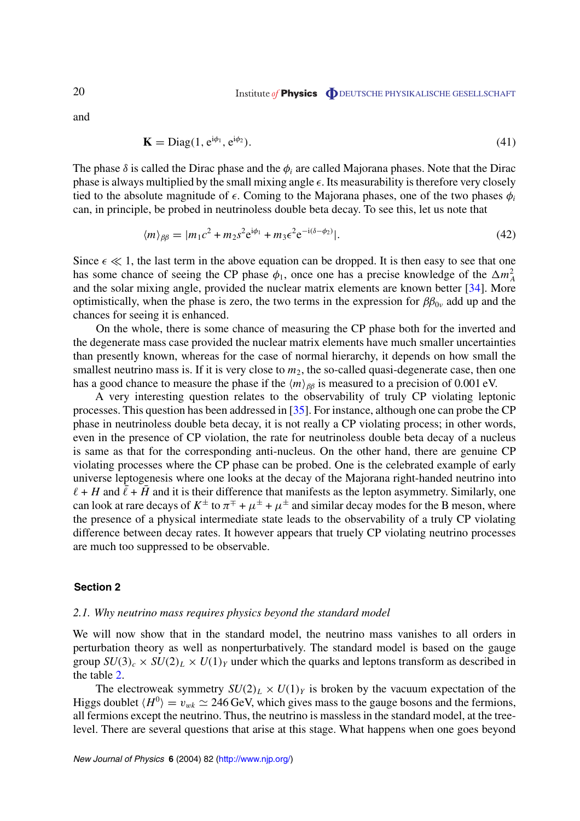<span id="page-19-0"></span>and

$$
\mathbf{K} = \text{Diag}(1, e^{i\phi_1}, e^{i\phi_2}).\tag{41}
$$

The phase  $\delta$  is called the Dirac phase and the  $\phi_i$  are called Majorana phases. Note that the Dirac phase is always multiplied by the small mixing angle  $\epsilon$ . Its measurability is therefore very closely tied to the absolute magnitude of  $\epsilon$ . Coming to the Majorana phases, one of the two phases  $\phi_i$ can, in principle, be probed in neutrinoless double beta decay. To see this, let us note that

$$
\langle m \rangle_{\beta\beta} = |m_1 c^2 + m_2 s^2 e^{i\phi_1} + m_3 \epsilon^2 e^{-i(\delta - \phi_2)}|.
$$
 (42)

Since  $\epsilon \ll 1$ , the last term in the above equation can be dropped. It is then easy to see that one has some chance of seeing the CP phase  $\phi_1$ , once one has a precise knowledge of the  $\Delta m_A^2$ and the solar mixing angle, provided the nuclear matrix elements are known better [\[34](#page-50-0)]. More optimistically, when the phase is zero, the two terms in the expression for *ββ*0*<sup>ν</sup>* add up and the chances for seeing it is enhanced.

On the whole, there is some chance of measuring the CP phase both for the inverted and the degenerate mass case provided the nuclear matrix elements have much smaller uncertainties than presently known, whereas for the case of normal hierarchy, it depends on how small the smallest neutrino mass is. If it is very close to  $m_2$ , the so-called quasi-degenerate case, then one has a good chance to measure the phase if the  $\langle m \rangle_{\beta\beta}$  is measured to a precision of 0.001 eV.

A very interesting question relates to the observability of truly CP violating leptonic processes. This question has been addressed in [[35\]](#page-51-0). For instance, although one can probe the CP phase in neutrinoless double beta decay, it is not really a CP violating process; in other words, even in the presence of CP violation, the rate for neutrinoless double beta decay of a nucleus is same as that for the corresponding anti-nucleus. On the other hand, there are genuine CP violating processes where the CP phase can be probed. One is the celebrated example of early universe leptogenesis where one looks at the decay of the Majorana right-handed neutrino into  $\ell + H$  and  $\bar{\ell} + \bar{H}$  and it is their difference that manifests as the lepton asymmetry. Similarly, one can look at rare decays of  $K^{\pm}$  to  $\pi^{\mp} + \mu^{\pm} + \mu^{\pm}$  and similar decay modes for the B meson, where the presence of a physical intermediate state leads to the observability of a truly CP violating difference between decay rates. It however appears that truely CP violating neutrino processes are much too suppressed to be observable.

#### **Section 2**

#### *2.1. Why neutrino mass requires physics beyond the standard model*

We will now show that in the standard model, the neutrino mass vanishes to all orders in perturbation theory as well as nonperturbatively. The standard model is based on the gauge group  $SU(3)_c \times SU(2)_L \times U(1)_Y$  under which the quarks and leptons transform as described in the table [2.](#page-20-0)

The electroweak symmetry  $SU(2)_L \times U(1)_Y$  is broken by the vacuum expectation of the Higgs doublet  $\langle H^0 \rangle = v_{wk} \simeq 246$  GeV, which gives mass to the gauge bosons and the fermions, all fermions except the neutrino. Thus, the neutrino is massless in the standard model, at the treelevel. There are several questions that arise at this stage. What happens when one goes beyond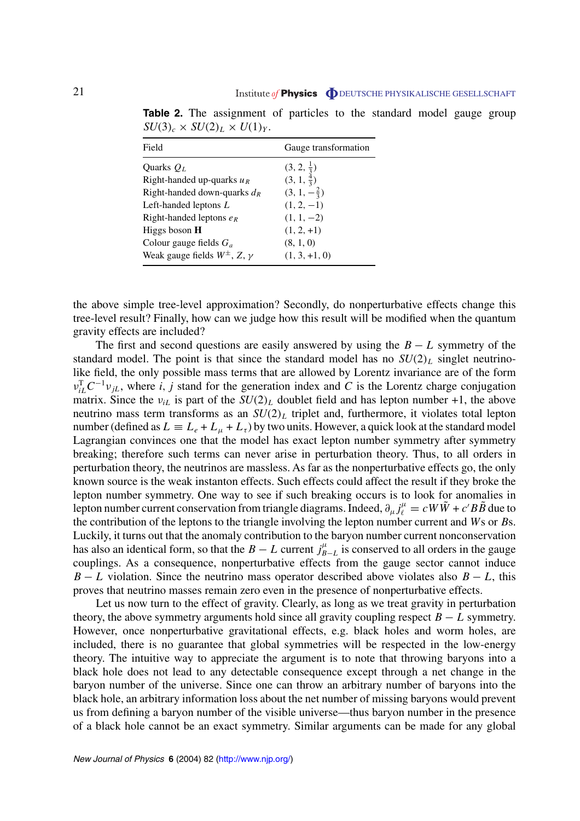| Field                                     | Gauge transformation   |
|-------------------------------------------|------------------------|
| Quarks $Q_L$                              | $(3, 2, \frac{1}{3})$  |
| Right-handed up-quarks $u_R$              | $(3, 1, \frac{4}{3})$  |
| Right-handed down-quarks $d_R$            | $(3, 1, -\frac{2}{3})$ |
| Left-handed leptons L                     | $(1, 2, -1)$           |
| Right-handed leptons $e_R$                | $(1, 1, -2)$           |
| Higgs boson <b>H</b>                      | $(1, 2, +1)$           |
| Colour gauge fields $G_a$                 | (8, 1, 0)              |
| Weak gauge fields $W^{\pm}$ , Z, $\gamma$ | $(1, 3, +1, 0)$        |
|                                           |                        |

<span id="page-20-0"></span>**Table 2.** The assignment of particles to the standard model gauge group  $SU(3)_c \times SU(2)_L \times U(1)_Y$ .

the above simple tree-level approximation? Secondly, do nonperturbative effects change this tree-level result? Finally, how can we judge how this result will be modified when the quantum gravity effects are included?

The first and second questions are easily answered by using the *B* − *L* symmetry of the standard model. The point is that since the standard model has no  $SU(2)_L$  singlet neutrinolike field, the only possible mass terms that are allowed by Lorentz invariance are of the form  $v_{iL}^T C^{-1} v_{jL}$ , where *i, j* stand for the generation index and *C* is the Lorentz charge conjugation matrix. Since the  $v_{iL}$  is part of the  $SU(2)<sub>L</sub>$  doublet field and has lepton number +1, the above neutrino mass term transforms as an  $SU(2)_L$  triplet and, furthermore, it violates total lepton number (defined as  $L \equiv L_e + L_\mu + L_\tau$ ) by two units. However, a quick look at the standard model Lagrangian convinces one that the model has exact lepton number symmetry after symmetry breaking; therefore such terms can never arise in perturbation theory. Thus, to all orders in perturbation theory, the neutrinos are massless. As far as the nonperturbative effects go, the only known source is the weak instanton effects. Such effects could affect the result if they broke the lepton number symmetry. One way to see if such breaking occurs is to look for anomalies in lepton number current conservation from triangle diagrams. Indeed,  $\partial_\mu j^\mu_\ell = cW\tilde{W} + c'B\tilde{B}$  due to the contribution of the leptons to the triangle involving the lepton number current and *W*s or *B*s. Luckily, it turns out that the anomaly contribution to the baryon number current nonconservation has also an identical form, so that the  $B - L$  current  $j_{B-L}^{\mu}$  is conserved to all orders in the gauge couplings. As a consequence, nonperturbative effects from the gauge sector cannot induce *B* − *L* violation. Since the neutrino mass operator described above violates also *B* − *L*, this proves that neutrino masses remain zero even in the presence of nonperturbative effects.

Let us now turn to the effect of gravity. Clearly, as long as we treat gravity in perturbation theory, the above symmetry arguments hold since all gravity coupling respect  $B - L$  symmetry. However, once nonperturbative gravitational effects, e.g. black holes and worm holes, are included, there is no guarantee that global symmetries will be respected in the low-energy theory. The intuitive way to appreciate the argument is to note that throwing baryons into a black hole does not lead to any detectable consequence except through a net change in the baryon number of the universe. Since one can throw an arbitrary number of baryons into the black hole, an arbitrary information loss about the net number of missing baryons would prevent us from defining a baryon number of the visible universe—thus baryon number in the presence of a black hole cannot be an exact symmetry. Similar arguments can be made for any global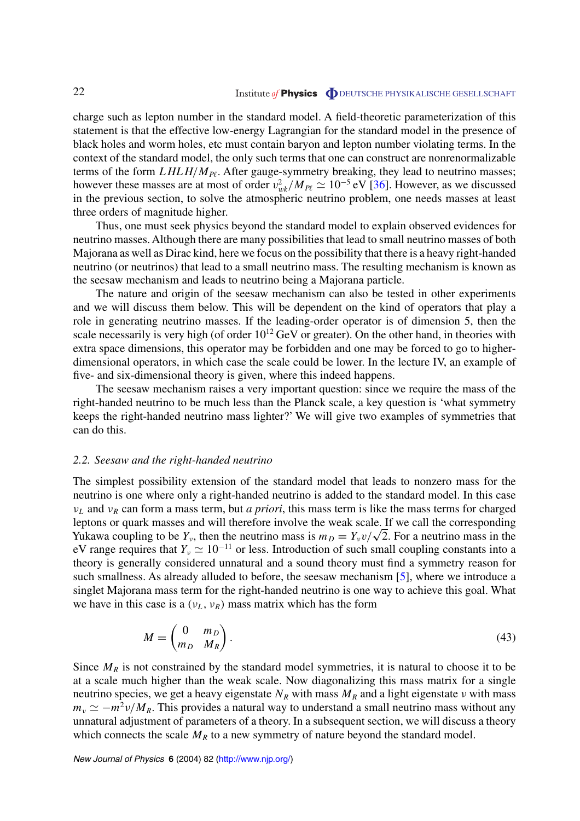# <span id="page-21-0"></span>22 Institute of **Physics DEUTSCHE PHYSIKALISCHE GESELLSCHAFT**

charge such as lepton number in the standard model. A field-theoretic parameterization of this statement is that the effective low-energy Lagrangian for the standard model in the presence of black holes and worm holes, etc must contain baryon and lepton number violating terms. In the context of the standard model, the only such terms that one can construct are nonrenormalizable terms of the form *LHLH/M<sub>Pl</sub>*. After gauge-symmetry breaking, they lead to neutrino masses; however these masses are at most of order  $v_{wk}^2/M_{P\ell} \simeq 10^{-5}$  eV [\[36\]](#page-51-0). However, as we discussed in the previous section, to solve the atmospheric neutrino problem, one needs masses at least three orders of magnitude higher.

Thus, one must seek physics beyond the standard model to explain observed evidences for neutrino masses. Although there are many possibilities that lead to small neutrino masses of both Majorana as well as Dirac kind, here we focus on the possibility that there is a heavy right-handed neutrino (or neutrinos) that lead to a small neutrino mass. The resulting mechanism is known as the seesaw mechanism and leads to neutrino being a Majorana particle.

The nature and origin of the seesaw mechanism can also be tested in other experiments and we will discuss them below. This will be dependent on the kind of operators that play a role in generating neutrino masses. If the leading-order operator is of dimension 5, then the scale necessarily is very high (of order  $10^{12}$  GeV or greater). On the other hand, in theories with extra space dimensions, this operator may be forbidden and one may be forced to go to higherdimensional operators, in which case the scale could be lower. In the lecture IV, an example of five- and six-dimensional theory is given, where this indeed happens.

The seesaw mechanism raises a very important question: since we require the mass of the right-handed neutrino to be much less than the Planck scale, a key question is 'what symmetry keeps the right-handed neutrino mass lighter?' We will give two examples of symmetries that can do this.

#### *2.2. Seesaw and the right-handed neutrino*

The simplest possibility extension of the standard model that leads to nonzero mass for the neutrino is one where only a right-handed neutrino is added to the standard model. In this case *νL* and *νR* can form a mass term, but *a priori*, this mass term is like the mass terms for charged leptons or quark masses and will therefore involve the weak scale. If we call the corresponding Yukawa coupling to be  $Y_{\nu}$ , then the neutrino mass is  $m_D = Y_{\nu}v/\sqrt{2}$ . For a neutrino mass in the eV range requires that  $Y_v \simeq 10^{-11}$  or less. Introduction of such small coupling constants into a theory is generally considered unnatural and a sound theory must find a symmetry reason for such smallness. As already alluded to before, the seesaw mechanism [\[5](#page-49-0)], where we introduce a singlet Majorana mass term for the right-handed neutrino is one way to achieve this goal. What we have in this case is a  $(v_L, v_R)$  mass matrix which has the form

$$
M = \begin{pmatrix} 0 & m_D \\ m_D & M_R \end{pmatrix} . \tag{43}
$$

Since  $M_R$  is not constrained by the standard model symmetries, it is natural to choose it to be at a scale much higher than the weak scale. Now diagonalizing this mass matrix for a single neutrino species, we get a heavy eigenstate  $N_R$  with mass  $M_R$  and a light eigenstate  $\nu$  with mass  $m_v \simeq -m^2v/M_R$ . This provides a natural way to understand a small neutrino mass without any unnatural adjustment of parameters of a theory. In a subsequent section, we will discuss a theory which connects the scale  $M_R$  to a new symmetry of nature beyond the standard model.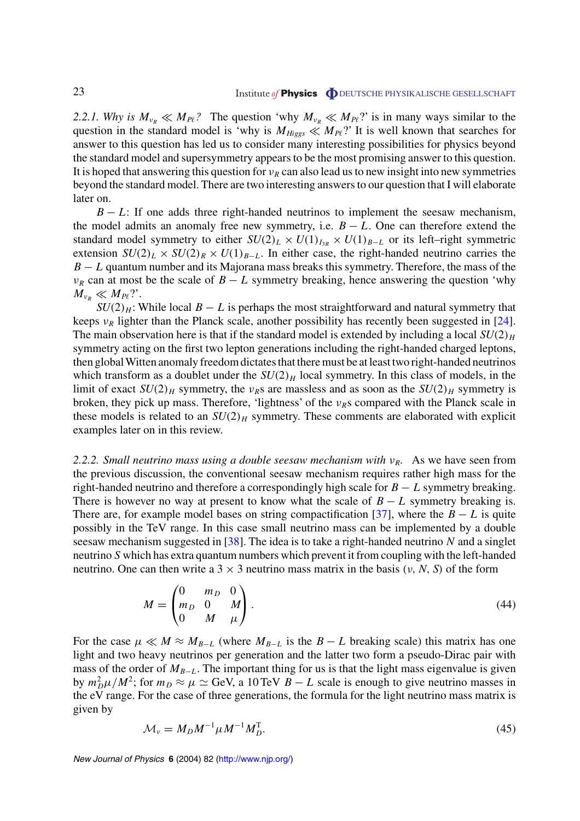<span id="page-22-0"></span>*2.2.1. Why is*  $M_{\nu_R} \ll M_{Pl}$ ? The question 'why  $M_{\nu_R} \ll M_{Pl}$ ?' is in many ways similar to the question in the standard model is 'why is  $M_{Higgs} \ll M_{Pl}$ ?' It is well known that searches for answer to this question has led us to consider many interesting possibilities for physics beyond the standard model and supersymmetry appears to be the most promising answer to this question. It is hoped that answering this question for  $v_R$  can also lead us to new insight into new symmetries beyond the standard model. There are two interesting answers to our question that I will elaborate later on.

*B* − *L*: If one adds three right-handed neutrinos to implement the seesaw mechanism, the model admits an anomaly free new symmetry, i.e.  $B - L$ . One can therefore extend the standard model symmetry to either  $SU(2)_L \times U(1)_{I_{3R}} \times U(1)_{B-L}$  or its left–right symmetric extension  $SU(2)_L \times SU(2)_R \times U(1)_{B-L}$ . In either case, the right-handed neutrino carries the *B* − *L* quantum number and its Majorana mass breaks this symmetry. Therefore, the mass of the *v<sub>R</sub>* can at most be the scale of  $B - L$  symmetry breaking, hence answering the question 'why  $M_{\nu_R} \ll M_{P\ell}$ ?'.

 $SU(2)_H$ : While local *B* − *L* is perhaps the most straightforward and natural symmetry that keeps  $v_R$  lighter than the Planck scale, another possibility has recently been suggested in [\[24](#page-50-0)]. The main observation here is that if the standard model is extended by including a local  $SU(2)_H$ symmetry acting on the first two lepton generations including the right-handed charged leptons, then globalWitten anomaly freedom dictates that there must be at least two right-handed neutrinos which transform as a doublet under the  $SU(2)_H$  local symmetry. In this class of models, in the limit of exact  $SU(2)_H$  symmetry, the *v<sub>R</sub>*s are massless and as soon as the  $SU(2)_H$  symmetry is broken, they pick up mass. Therefore, 'lightness' of the *ν<sub>R</sub>s* compared with the Planck scale in these models is related to an  $SU(2)_H$  symmetry. These comments are elaborated with explicit examples later on in this review.

*2.2.2. Small neutrino mass using a double seesaw mechanism with νR.* As we have seen from the previous discussion, the conventional seesaw mechanism requires rather high mass for the right-handed neutrino and therefore a correspondingly high scale for *B* − *L* symmetry breaking. There is however no way at present to know what the scale of  $B - L$  symmetry breaking is. There are, for example model bases on string compactification [\[37](#page-51-0)], where the  $B - L$  is quite possibly in the TeV range. In this case small neutrino mass can be implemented by a double seesaw mechanism suggested in [[38\]](#page-51-0). The idea is to take a right-handed neutrino *N* and a singlet neutrino *S* which has extra quantum numbers which prevent it from coupling with the left-handed neutrino. One can then write a  $3 \times 3$  neutrino mass matrix in the basis  $(v, N, S)$  of the form

$$
M = \begin{pmatrix} 0 & m_D & 0 \\ m_D & 0 & M \\ 0 & M & \mu \end{pmatrix}.
$$
 (44)

For the case  $\mu \ll M \approx M_{B-L}$  (where  $M_{B-L}$  is the  $B - L$  breaking scale) this matrix has one light and two heavy neutrinos per generation and the latter two form a pseudo-Dirac pair with mass of the order of  $M_{B-L}$ . The important thing for us is that the light mass eigenvalue is given by  $m_D^2 \mu / M^2$ ; for  $m_D \approx \mu \simeq$  GeV, a 10 TeV  $B - L$  scale is enough to give neutrino masses in the eV range. For the case of three generations, the formula for the light neutrino mass matrix is given by

$$
\mathcal{M}_{\nu} = M_D M^{-1} \mu M^{-1} M_D^{\mathrm{T}}.
$$
\n(45)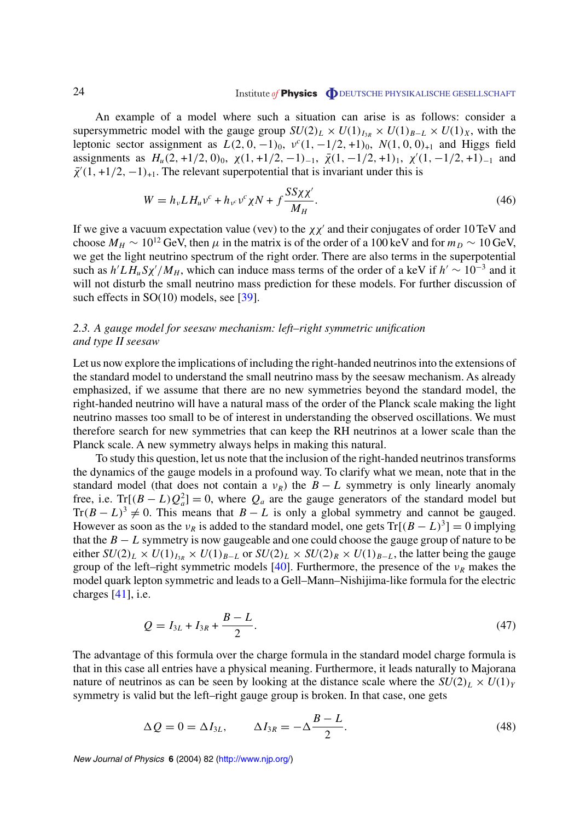# <span id="page-23-0"></span>24 Institute of **Physics** DEUTSCHE PHYSIKALISCHE GESELLSCHAFT

An example of a model where such a situation can arise is as follows: consider a supersymmetric model with the gauge group  $SU(2)_L \times U(1)_{I_{3R}} \times U(1)_{B-L} \times U(1)_X$ , with the leptonic sector assignment as  $L(2, 0, -1)_0$ ,  $v^c(1, -1/2, +1)_0$ ,  $N(1, 0, 0)_{+1}$  and Higgs field assignments as  $H_u(2, +1/2, 0)_0$ ,  $\chi(1, +1/2, -1)_{-1}$ ,  $\bar{\chi}(1, -1/2, +1)_1$ ,  $\chi'(1, -1/2, +1)_{-1}$  and  $\bar{\chi}'(1, +1/2, -1)_{+1}$ . The relevant superpotential that is invariant under this is

$$
W = h_{\nu} L H_{\mu} v^c + h_{\nu^c} v^c \chi N + f \frac{SS \chi \chi'}{M_H}.
$$
\n(46)

If we give a vacuum expectation value (vev) to the *χχ* and their conjugates of order 10 TeV and choose  $M_H \sim 10^{12}$  GeV, then  $\mu$  in the matrix is of the order of a 100 keV and for  $m_D \sim 10$  GeV, we get the light neutrino spectrum of the right order. There are also terms in the superpotential such as  $h'LH_uS\chi'/M_H$ , which can induce mass terms of the order of a keV if  $h' \sim 10^{-3}$  and it will not disturb the small neutrino mass prediction for these models. For further discussion of such effects in  $SO(10)$  models, see [[39\]](#page-51-0).

### *2.3. A gauge model for seesaw mechanism: left–right symmetric unification and type II seesaw*

Let us now explore the implications of including the right-handed neutrinos into the extensions of the standard model to understand the small neutrino mass by the seesaw mechanism. As already emphasized, if we assume that there are no new symmetries beyond the standard model, the right-handed neutrino will have a natural mass of the order of the Planck scale making the light neutrino masses too small to be of interest in understanding the observed oscillations. We must therefore search for new symmetries that can keep the RH neutrinos at a lower scale than the Planck scale. A new symmetry always helps in making this natural.

To study this question, let us note that the inclusion of the right-handed neutrinos transforms the dynamics of the gauge models in a profound way. To clarify what we mean, note that in the standard model (that does not contain a  $v_R$ ) the  $B - L$  symmetry is only linearly anomaly free, i.e.  $Tr[(B - L)Q_a^2] = 0$ , where  $Q_a$  are the gauge generators of the standard model but Tr $(B - L)^3 \neq 0$ . This means that  $B - L$  is only a global symmetry and cannot be gauged. However as soon as the  $v_R$  is added to the standard model, one gets  $Tr[(B - L)^3] = 0$  implying that the *B* − *L* symmetry is now gaugeable and one could choose the gauge group of nature to be either  $SU(2)_L \times U(1)_{I_{3R}} \times U(1)_{B-L}$  or  $SU(2)_L \times SU(2)_R \times U(1)_{B-L}$ , the latter being the gauge group of the left–right symmetric models [[40\]](#page-51-0). Furthermore, the presence of the *νR* makes the model quark lepton symmetric and leads to a Gell–Mann–Nishijima-like formula for the electric charges  $[41]$  $[41]$ , i.e.

$$
Q = I_{3L} + I_{3R} + \frac{B - L}{2}.\tag{47}
$$

The advantage of this formula over the charge formula in the standard model charge formula is that in this case all entries have a physical meaning. Furthermore, it leads naturally to Majorana nature of neutrinos as can be seen by looking at the distance scale where the  $SU(2)_L \times U(1)_Y$ symmetry is valid but the left–right gauge group is broken. In that case, one gets

$$
\Delta Q = 0 = \Delta I_{3L}, \qquad \Delta I_{3R} = -\Delta \frac{B - L}{2}.
$$
\n(48)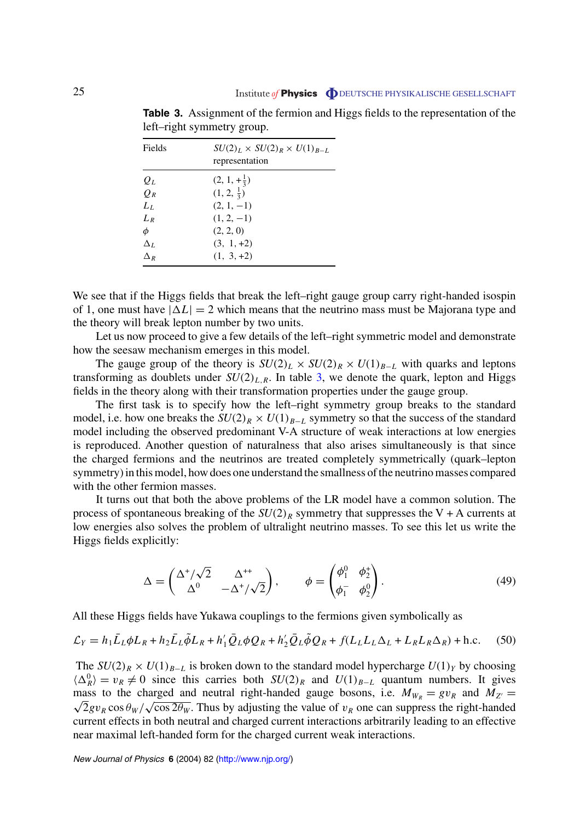| Fields     | $SU(2)_L \times SU(2)_R \times U(1)_{B-L}$<br>representation |
|------------|--------------------------------------------------------------|
| $Q_L$      | $(2, 1, +\frac{1}{3})$                                       |
| $Q_R$      | $(1, 2, \frac{1}{3})$                                        |
| $L_L$      | $(2, 1, -1)$                                                 |
| $L_R$      | $(1, 2, -1)$                                                 |
| $\phi$     | (2, 2, 0)                                                    |
| $\Delta_L$ | $(3, 1, +2)$                                                 |
| $\Delta_R$ | $(1, 3, +2)$                                                 |

**Table 3.** Assignment of the fermion and Higgs fields to the representation of the left–right symmetry group.

We see that if the Higgs fields that break the left–right gauge group carry right-handed isospin of 1, one must have  $|\Delta L| = 2$  which means that the neutrino mass must be Majorana type and the theory will break lepton number by two units.

Let us now proceed to give a few details of the left–right symmetric model and demonstrate how the seesaw mechanism emerges in this model.

The gauge group of the theory is  $SU(2)_L \times SU(2)_R \times U(1)_{B-L}$  with quarks and leptons transforming as doublets under  $SU(2)_{L,R}$ . In table 3, we denote the quark, lepton and Higgs fields in the theory along with their transformation properties under the gauge group.

The first task is to specify how the left–right symmetry group breaks to the standard model, i.e. how one breaks the  $SU(2)_R \times U(1)_{B-L}$  symmetry so that the success of the standard model including the observed predominant V-A structure of weak interactions at low energies is reproduced. Another question of naturalness that also arises simultaneously is that since the charged fermions and the neutrinos are treated completely symmetrically (quark–lepton symmetry) in this model, how does one understand the smallness of the neutrino masses compared with the other fermion masses.

It turns out that both the above problems of the LR model have a common solution. The process of spontaneous breaking of the  $SU(2)_R$  symmetry that suppresses the V + A currents at low energies also solves the problem of ultralight neutrino masses. To see this let us write the Higgs fields explicitly:

$$
\Delta = \begin{pmatrix} \Delta^+/\sqrt{2} & \Delta^{++} \\ \Delta^0 & -\Delta^+/\sqrt{2} \end{pmatrix}, \qquad \phi = \begin{pmatrix} \phi_1^0 & \phi_2^+ \\ \phi_1^- & \phi_2^0 \end{pmatrix}.
$$
 (49)

All these Higgs fields have Yukawa couplings to the fermions given symbolically as

$$
\mathcal{L}_Y = h_1 L_L \phi L_R + h_2 L_L \phi L_R + h'_1 Q_L \phi Q_R + h'_2 Q_L \phi Q_R + f(L_L L_L \Delta_L + L_R L_R \Delta_R) + \text{h.c.}
$$
 (50)

The  $SU(2)_R \times U(1)_{B-L}$  is broken down to the standard model hypercharge  $U(1)_Y$  by choosing  $\langle \Delta_R^0 \rangle = v_R \neq 0$  since this carries both  $SU(2)_R$  and  $U(1)_{B-L}$  quantum numbers. It gives mass to the charged and neutral right-handed gauge bosons, i.e.  $M_{W_R} = gv_R$  and  $M_{Z'} =$  $\sqrt{2gv_R}$  cos  $\theta_W/\sqrt{\cos 2\theta_W}$ . Thus by adjusting the value of  $v_R$  one can suppress the right-handed current effects in both neutral and charged current interactions arbitrarily leading to an effective near maximal left-handed form for the charged current weak interactions.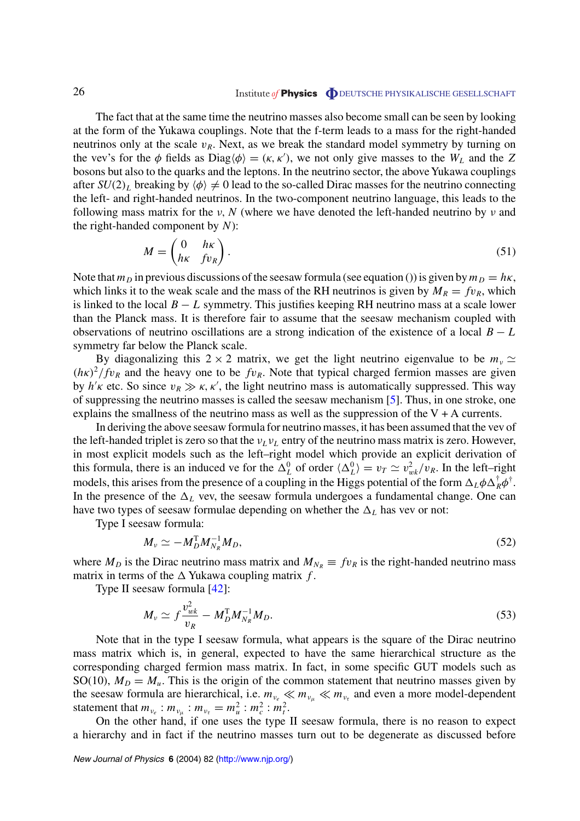The fact that at the same time the neutrino masses also become small can be seen by looking at the form of the Yukawa couplings. Note that the f-term leads to a mass for the right-handed neutrinos only at the scale  $v_R$ . Next, as we break the standard model symmetry by turning on the vev's for the  $\phi$  fields as  $Diag(\phi) = (\kappa, \kappa')$ , we not only give masses to the  $W_L$  and the *Z* bosons but also to the quarks and the leptons. In the neutrino sector, the above Yukawa couplings after  $SU(2)_L$  breaking by  $\langle \phi \rangle \neq 0$  lead to the so-called Dirac masses for the neutrino connecting the left- and right-handed neutrinos. In the two-component neutrino language, this leads to the following mass matrix for the *ν, N* (where we have denoted the left-handed neutrino by *ν* and the right-handed component by *N*):

$$
M = \begin{pmatrix} 0 & h\kappa \\ h\kappa & f v_R \end{pmatrix}.
$$
 (51)

Note that  $m_D$  in previous discussions of the seesaw formula (see equation ()) is given by  $m_D = h\kappa$ , which links it to the weak scale and the mass of the RH neutrinos is given by  $M_R = f v_R$ , which is linked to the local  $B - L$  symmetry. This justifies keeping RH neutrino mass at a scale lower than the Planck mass. It is therefore fair to assume that the seesaw mechanism coupled with observations of neutrino oscillations are a strong indication of the existence of a local *B* − *L* symmetry far below the Planck scale.

By diagonalizing this  $2 \times 2$  matrix, we get the light neutrino eigenvalue to be  $m_v \simeq$  $(h\kappa)^2/fv_R$  and the heavy one to be  $fv_R$ . Note that typical charged fermion masses are given by  $h'$ <sub>K</sub> etc. So since  $v_R \gg \kappa$ ,  $\kappa'$ , the light neutrino mass is automatically suppressed. This way of suppressing the neutrino masses is called the seesaw mechanism [\[5](#page-49-0)]. Thus, in one stroke, one explains the smallness of the neutrino mass as well as the suppression of the  $V + A$  currents.

In deriving the above seesaw formula for neutrino masses, it has been assumed that the vev of the left-handed triplet is zero so that the  $v_L v_L$  entry of the neutrino mass matrix is zero. However, in most explicit models such as the left–right model which provide an explicit derivation of this formula, there is an induced ve for the  $\Delta_L^0$  of order  $\langle \Delta_L^0 \rangle = v_T \simeq v_{wk}^2/v_R$ . In the left–right models, this arises from the presence of a coupling in the Higgs potential of the form  $\Delta_L \phi \Delta_R^{\dagger} \phi^{\dagger}$ . In the presence of the  $\Delta_L$  vev, the seesaw formula undergoes a fundamental change. One can have two types of seesaw formulae depending on whether the  $\Delta_L$  has vev or not:

Type I seesaw formula:

$$
M_{\nu} \simeq -M_D^{\rm T} M_{N_R}^{-1} M_D, \tag{52}
$$

where  $M_D$  is the Dirac neutrino mass matrix and  $M_{N_R} \equiv f v_R$  is the right-handed neutrino mass matrix in terms of the  $\Delta$  Yukawa coupling matrix  $f$ .

Type II seesaw formula [\[42](#page-51-0)]:

$$
M_{\nu} \simeq f \frac{v_{wk}^2}{v_R} - M_D^{\rm T} M_{N_R}^{-1} M_D. \tag{53}
$$

Note that in the type I seesaw formula, what appears is the square of the Dirac neutrino mass matrix which is, in general, expected to have the same hierarchical structure as the corresponding charged fermion mass matrix. In fact, in some specific GUT models such as SO(10),  $M_D = M_u$ . This is the origin of the common statement that neutrino masses given by the seesaw formula are hierarchical, i.e.  $m_{\nu_e} \ll m_{\nu_\mu} \ll m_{\nu_\tau}$  and even a more model-dependent statement that  $m_{\nu_e} : m_{\nu_\mu} : m_{\nu_\tau} = m_u^2 : m_c^2 : m_t^2$ .

On the other hand, if one uses the type II seesaw formula, there is no reason to expect a hierarchy and in fact if the neutrino masses turn out to be degenerate as discussed before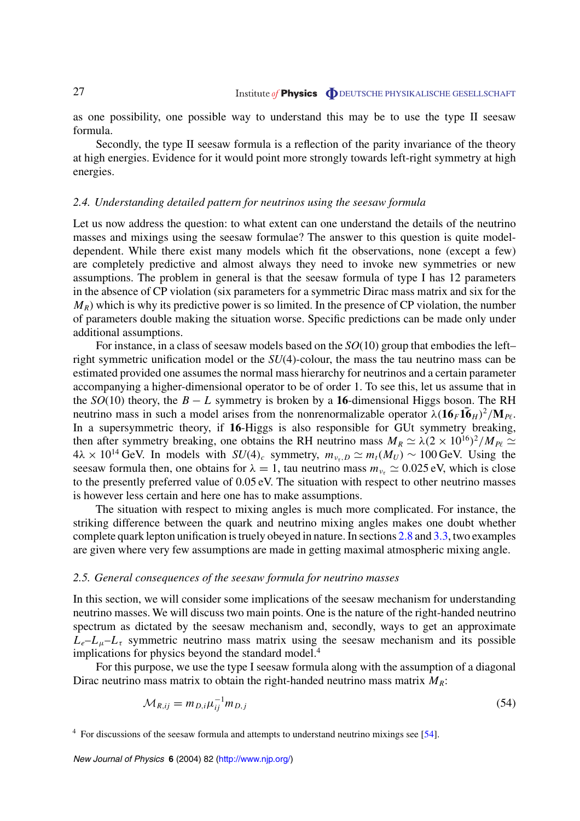<span id="page-26-0"></span>as one possibility, one possible way to understand this may be to use the type II seesaw formula.

Secondly, the type II seesaw formula is a reflection of the parity invariance of the theory at high energies. Evidence for it would point more strongly towards left-right symmetry at high energies.

#### *2.4. Understanding detailed pattern for neutrinos using the seesaw formula*

Let us now address the question: to what extent can one understand the details of the neutrino masses and mixings using the seesaw formulae? The answer to this question is quite modeldependent. While there exist many models which fit the observations, none (except a few) are completely predictive and almost always they need to invoke new symmetries or new assumptions. The problem in general is that the seesaw formula of type I has 12 parameters in the absence of CP violation (six parameters for a symmetric Dirac mass matrix and six for the  $M_R$ ) which is why its predictive power is so limited. In the presence of CP violation, the number of parameters double making the situation worse. Specific predictions can be made only under additional assumptions.

For instance, in a class of seesaw models based on the *SO*(10) group that embodies the left– right symmetric unification model or the *SU*(4)-colour, the mass the tau neutrino mass can be estimated provided one assumes the normal mass hierarchy for neutrinos and a certain parameter accompanying a higher-dimensional operator to be of order 1. To see this, let us assume that in the  $SO(10)$  theory, the  $B - L$  symmetry is broken by a 16-dimensional Higgs boson. The RH neutrino mass in such a model arises from the nonrenormalizable operator  $\lambda (16_F 16_H)^2/M_{Pl}$ . In a supersymmetric theory, if **16**-Higgs is also responsible for GUt symmetry breaking, then after symmetry breaking, one obtains the RH neutrino mass  $M_R \simeq \lambda (2 \times 10^{16})^2 / M_{Pl} \simeq$  $4\lambda \times 10^{14}$  GeV. In models with  $SU(4)_c$  symmetry,  $m_{\nu_t,D} \simeq m_t(M_U) \sim 100$  GeV. Using the seesaw formula then, one obtains for  $\lambda = 1$ , tau neutrino mass  $m_{\nu_\tau} \simeq 0.025$  eV, which is close to the presently preferred value of 0.05 eV. The situation with respect to other neutrino masses is however less certain and here one has to make assumptions.

The situation with respect to mixing angles is much more complicated. For instance, the striking difference between the quark and neutrino mixing angles makes one doubt whether complete quark lepton unification is truely obeyed in nature. In sections [2.8](#page-29-0) and [3.3,](#page-37-0) two examples are given where very few assumptions are made in getting maximal atmospheric mixing angle.

#### *2.5. General consequences of the seesaw formula for neutrino masses*

In this section, we will consider some implications of the seesaw mechanism for understanding neutrino masses. We will discuss two main points. One is the nature of the right-handed neutrino spectrum as dictated by the seesaw mechanism and, secondly, ways to get an approximate  $L_e - L_u - L_\tau$  symmetric neutrino mass matrix using the seesaw mechanism and its possible implications for physics beyond the standard model.<sup>4</sup>

For this purpose, we use the type I seesaw formula along with the assumption of a diagonal Dirac neutrino mass matrix to obtain the right-handed neutrino mass matrix  $M_R$ :

$$
\mathcal{M}_{R,ij} = m_{D,i} \mu_{ij}^{-1} m_{D,j} \tag{54}
$$

<sup>4</sup> For discussions of the seesaw formula and attempts to understand neutrino mixings see [\[54](#page-51-0)].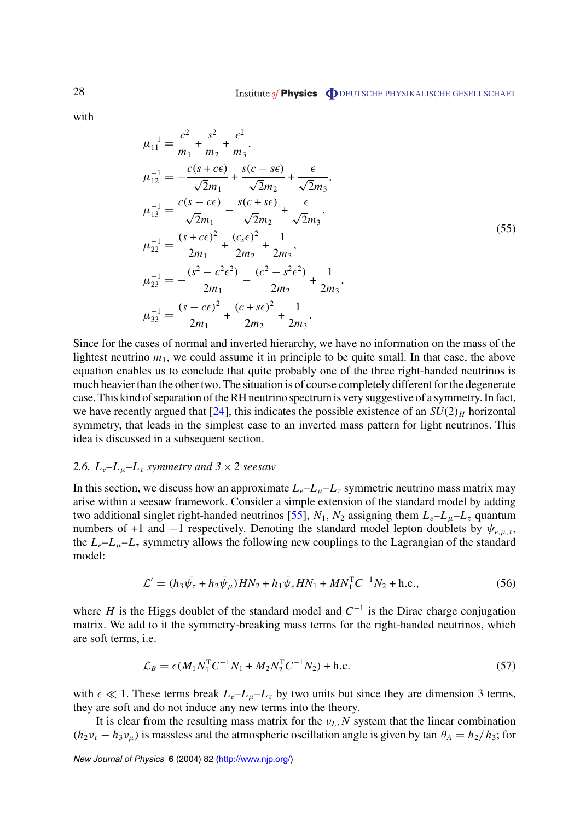<span id="page-27-0"></span>with

$$
\mu_{11}^{-1} = \frac{c^2}{m_1} + \frac{s^2}{m_2} + \frac{\epsilon^2}{m_3},
$$
\n
$$
\mu_{12}^{-1} = -\frac{c(s + c\epsilon)}{\sqrt{2}m_1} + \frac{s(c - s\epsilon)}{\sqrt{2}m_2} + \frac{\epsilon}{\sqrt{2}m_3},
$$
\n
$$
\mu_{13}^{-1} = \frac{c(s - c\epsilon)}{\sqrt{2}m_1} - \frac{s(c + s\epsilon)}{\sqrt{2}m_2} + \frac{\epsilon}{\sqrt{2}m_3},
$$
\n
$$
\mu_{22}^{-1} = \frac{(s + c\epsilon)^2}{2m_1} + \frac{(c_s\epsilon)^2}{2m_2} + \frac{1}{2m_3},
$$
\n
$$
\mu_{23}^{-1} = -\frac{(s^2 - c^2\epsilon^2)}{2m_1} - \frac{(c^2 - s^2\epsilon^2)}{2m_2} + \frac{1}{2m_3},
$$
\n
$$
\mu_{33}^{-1} = \frac{(s - c\epsilon)^2}{2m_1} + \frac{(c + s\epsilon)^2}{2m_2} + \frac{1}{2m_3}.
$$
\n(55)

Since for the cases of normal and inverted hierarchy, we have no information on the mass of the lightest neutrino  $m_1$ , we could assume it in principle to be quite small. In that case, the above equation enables us to conclude that quite probably one of the three right-handed neutrinos is much heavier than the other two. The situation is of course completely different for the degenerate case. This kind of separation of the RH neutrino spectrum is very suggestive of a symmetry. In fact, we have recently argued that  $[24]$  $[24]$ , this indicates the possible existence of an  $SU(2)_H$  horizontal symmetry, that leads in the simplest case to an inverted mass pattern for light neutrinos. This idea is discussed in a subsequent section.

#### 2.6.  $L_e - L_\mu - L_\tau$  *symmetry and 3*  $\times$  2 *seesaw*

In this section, we discuss how an approximate  $L_e - L_\mu - L_\tau$  symmetric neutrino mass matrix may arise within a seesaw framework. Consider a simple extension of the standard model by adding two additional singlet right-handed neutrinos [[55\]](#page-52-0),  $N_1$ ,  $N_2$  assigning them  $L_e - L_\mu - L_\tau$  quantum numbers of +1 and  $-1$  respectively. Denoting the standard model lepton doublets by  $\psi_{e,\mu,\tau}$ , the  $L_e - L_\mu - L_\tau$  symmetry allows the following new couplings to the Lagrangian of the standard model:

$$
\mathcal{L}' = (h_3 \bar{\psi_\tau} + h_2 \bar{\psi_\mu}) H N_2 + h_1 \bar{\psi}_e H N_1 + M N_1^{\mathrm{T}} C^{-1} N_2 + \text{h.c.},\tag{56}
$$

where *H* is the Higgs doublet of the standard model and  $C^{-1}$  is the Dirac charge conjugation matrix. We add to it the symmetry-breaking mass terms for the right-handed neutrinos, which are soft terms, i.e.

$$
\mathcal{L}_B = \epsilon (M_1 N_1^{\mathrm{T}} C^{-1} N_1 + M_2 N_2^{\mathrm{T}} C^{-1} N_2) + \text{h.c.}
$$
\n(57)

with  $\epsilon \ll 1$ . These terms break  $L_e - L_\mu - L_\tau$  by two units but since they are dimension 3 terms, they are soft and do not induce any new terms into the theory.

It is clear from the resulting mass matrix for the  $v_L$ , N system that the linear combination  $(h_2v_\tau - h_3v_\mu)$  is massless and the atmospheric oscillation angle is given by tan  $\theta_A = h_2/h_3$ ; for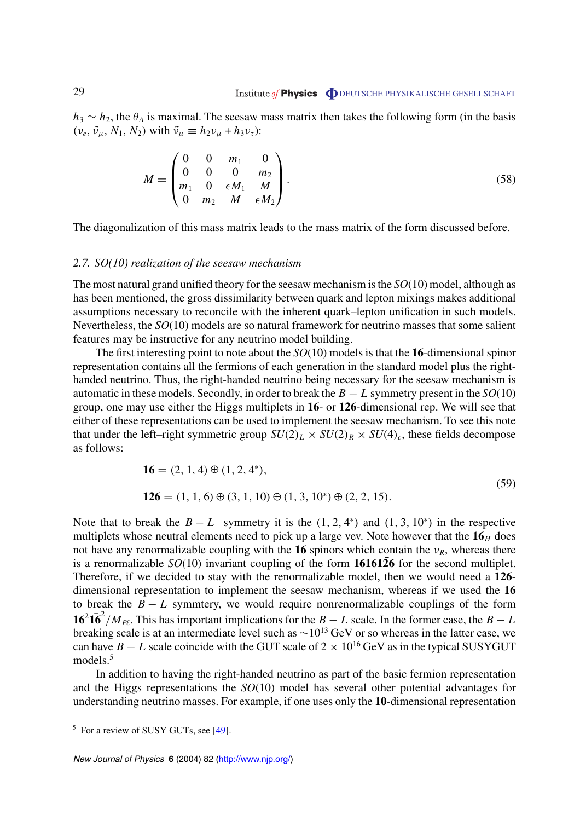<span id="page-28-0"></span> $h_3 \sim h_2$ , the  $\theta_A$  is maximal. The seesaw mass matrix then takes the following form (in the basis  $(v_e, \tilde{v}_\mu, N_1, N_2)$  with  $\tilde{v}_\mu \equiv h_2 v_\mu + h_3 v_\tau$ :

$$
M = \begin{pmatrix} 0 & 0 & m_1 & 0 \\ 0 & 0 & 0 & m_2 \\ m_1 & 0 & \epsilon M_1 & M \\ 0 & m_2 & M & \epsilon M_2 \end{pmatrix}.
$$
 (58)

The diagonalization of this mass matrix leads to the mass matrix of the form discussed before.

#### *2.7. SO(10) realization of the seesaw mechanism*

The most natural grand unified theory for the seesaw mechanism is the *SO*(10) model, although as has been mentioned, the gross dissimilarity between quark and lepton mixings makes additional assumptions necessary to reconcile with the inherent quark–lepton unification in such models. Nevertheless, the *SO*(10) models are so natural framework for neutrino masses that some salient features may be instructive for any neutrino model building.

The first interesting point to note about the *SO*(10) models is that the **16**-dimensional spinor representation contains all the fermions of each generation in the standard model plus the righthanded neutrino. Thus, the right-handed neutrino being necessary for the seesaw mechanism is automatic in these models. Secondly, in order to break the  $B - L$  symmetry present in the  $SO(10)$ group, one may use either the Higgs multiplets in **16**- or **126**-dimensional rep. We will see that either of these representations can be used to implement the seesaw mechanism. To see this note that under the left–right symmetric group  $SU(2)_L \times SU(2)_R \times SU(4)_c$ , these fields decompose as follows:

$$
16 = (2, 1, 4) \oplus (1, 2, 4^*),
$$
  

$$
126 = (1, 1, 6) \oplus (3, 1, 10) \oplus (1, 3, 10^*) \oplus (2, 2, 15).
$$
 (59)

Note that to break the  $B - L$  symmetry it is the  $(1, 2, 4^*)$  and  $(1, 3, 10^*)$  in the respective multiplets whose neutral elements need to pick up a large vev. Note however that the  $16<sub>H</sub>$  does not have any renormalizable coupling with the 16 spinors which contain the  $v_R$ , whereas there is a renormalizable  $SO(10)$  invariant coupling of the form **1616126** for the second multiplet. Therefore, if we decided to stay with the renormalizable model, then we would need a **126** dimensional representation to implement the seesaw mechanism, whereas if we used the **16** to break the  $B - L$  symmtery, we would require nonrenormalizable couplings of the form **16<sup>2</sup>**  $1\overline{6}^2/M_{P\ell}$ . This has important implications for the *B* − *L* scale. In the former case, the *B* − *L* breaking scale is at an intermediate level such as  $\sim 10^{13}$  GeV or so whereas in the latter case, we can have *B* − *L* scale coincide with the GUT scale of  $2 \times 10^{16}$  GeV as in the typical SUSYGUT models.<sup>5</sup>

In addition to having the right-handed neutrino as part of the basic fermion representation and the Higgs representations the *SO*(10) model has several other potential advantages for understanding neutrino masses. For example, if one uses only the **10**-dimensional representation

<sup>&</sup>lt;sup>5</sup> For a review of SUSY GUTs, see [[49\]](#page-51-0).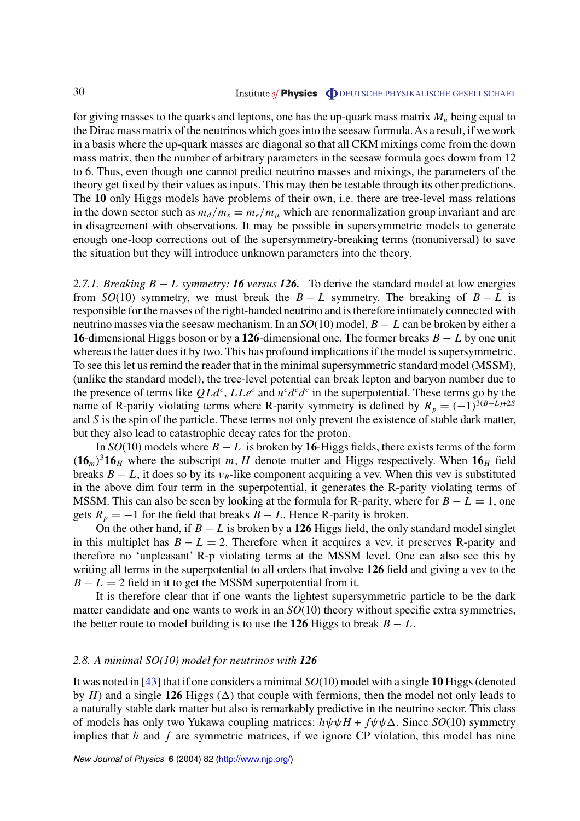<span id="page-29-0"></span>for giving masses to the quarks and leptons, one has the up-quark mass matrix  $M_{\mu}$  being equal to the Dirac mass matrix of the neutrinos which goes into the seesaw formula.As a result, if we work in a basis where the up-quark masses are diagonal so that all CKM mixings come from the down mass matrix, then the number of arbitrary parameters in the seesaw formula goes dowm from 12 to 6. Thus, even though one cannot predict neutrino masses and mixings, the parameters of the theory get fixed by their values as inputs. This may then be testable through its other predictions. The **10** only Higgs models have problems of their own, i.e. there are tree-level mass relations in the down sector such as  $m_d/m_s = m_e/m_\mu$  which are renormalization group invariant and are in disagreement with observations. It may be possible in supersymmetric models to generate enough one-loop corrections out of the supersymmetry-breaking terms (nonuniversal) to save the situation but they will introduce unknown parameters into the theory.

*2.7.1. Breaking B* − *L symmetry: 16 versus 126.* To derive the standard model at low energies from *SO*(10) symmetry, we must break the  $B - L$  symmetry. The breaking of  $B - L$  is responsible for the masses of the right-handed neutrino and is therefore intimately connected with neutrino masses via the seesaw mechanism. In an *SO*(10) model, *B* − *L* can be broken by either a **16**-dimensional Higgs boson or by a **126**-dimensional one. The former breaks *B* − *L* by one unit whereas the latter does it by two. This has profound implications if the model is supersymmetric. To see this let us remind the reader that in the minimal supersymmetric standard model (MSSM), (unlike the standard model), the tree-level potential can break lepton and baryon number due to the presence of terms like  $QLd^c$ ,  $LLe^c$  and  $u^cd^c d^c$  in the superpotential. These terms go by the name of R-parity violating terms where R-parity symmetry is defined by  $R_p = (-1)^{3(B-L)+2S}$ and *S* is the spin of the particle. These terms not only prevent the existence of stable dark matter, but they also lead to catastrophic decay rates for the proton.

In  $SO(10)$  models where  $B - L$  is broken by 16-Higgs fields, there exists terms of the form  $(16<sub>m</sub>)<sup>3</sup>16<sub>H</sub>$  where the subscript *m*, *H* denote matter and Higgs respectively. When  $16<sub>H</sub>$  field breaks  $B - L$ , it does so by its *v<sub>R</sub>*-like component acquiring a vev. When this vev is substituted in the above dim four term in the superpotential, it generates the R-parity violating terms of MSSM. This can also be seen by looking at the formula for R-parity, where for *B* − *L* = 1, one gets  $R_p = -1$  for the field that breaks  $B - L$ . Hence R-parity is broken.

On the other hand, if *B* − *L* is broken by a **126** Higgs field, the only standard model singlet in this multiplet has  $B - L = 2$ . Therefore when it acquires a vev, it preserves R-parity and therefore no 'unpleasant' R-p violating terms at the MSSM level. One can also see this by writing all terms in the superpotential to all orders that involve **126** field and giving a vev to the  $B - L = 2$  field in it to get the MSSM superpotential from it.

It is therefore clear that if one wants the lightest supersymmetric particle to be the dark matter candidate and one wants to work in an *SO*(10) theory without specific extra symmetries, the better route to model building is to use the **126** Higgs to break  $B - L$ .

#### *2.8. A minimal SO(10) model for neutrinos with 126*

It was noted in [\[43](#page-51-0)] that if one considers a minimal *SO*(10) model with a single **10** Higgs (denoted by *H*) and a single 126 Higgs ( $\Delta$ ) that couple with fermions, then the model not only leads to a naturally stable dark matter but also is remarkably predictive in the neutrino sector. This class of models has only two Yukawa coupling matrices: *hψψH* + *fψψ*. Since *SO*(10) symmetry implies that *h* and *f* are symmetric matrices, if we ignore CP violation, this model has nine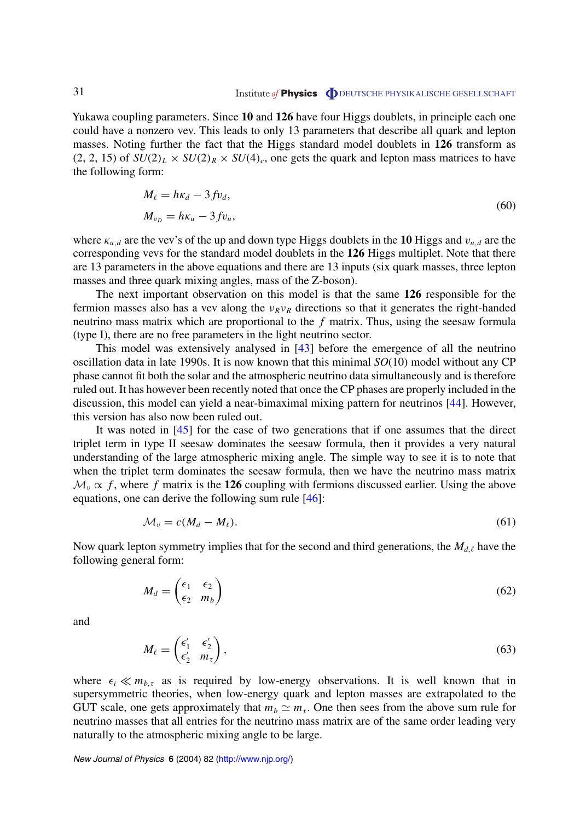Yukawa coupling parameters. Since **10** and **126** have four Higgs doublets, in principle each one could have a nonzero vev. This leads to only 13 parameters that describe all quark and lepton masses. Noting further the fact that the Higgs standard model doublets in **126** transform as  $(2, 2, 15)$  of  $SU(2)_L \times SU(2)_R \times SU(4)_c$ , one gets the quark and lepton mass matrices to have the following form:

$$
M_{\ell} = h\kappa_d - 3fv_d,
$$
  
\n
$$
M_{\nu_D} = h\kappa_u - 3fv_u,
$$
\n(60)

where  $\kappa_{u,d}$  are the vev's of the up and down type Higgs doublets in the 10 Higgs and  $v_{u,d}$  are the corresponding vevs for the standard model doublets in the **126** Higgs multiplet. Note that there are 13 parameters in the above equations and there are 13 inputs (six quark masses, three lepton masses and three quark mixing angles, mass of the Z-boson).

The next important observation on this model is that the same **126** responsible for the fermion masses also has a vev along the  $v_R v_R$  directions so that it generates the right-handed neutrino mass matrix which are proportional to the *f* matrix. Thus, using the seesaw formula (type I), there are no free parameters in the light neutrino sector.

This model was extensively analysed in [\[43\]](#page-51-0) before the emergence of all the neutrino oscillation data in late 1990s. It is now known that this minimal *SO*(10) model without any CP phase cannot fit both the solar and the atmospheric neutrino data simultaneously and is therefore ruled out. It has however been recently noted that once the CP phases are properly included in the discussion, this model can yield a near-bimaximal mixing pattern for neutrinos [[44\]](#page-51-0). However, this version has also now been ruled out.

It was noted in [[45\]](#page-51-0) for the case of two generations that if one assumes that the direct triplet term in type II seesaw dominates the seesaw formula, then it provides a very natural understanding of the large atmospheric mixing angle. The simple way to see it is to note that when the triplet term dominates the seesaw formula, then we have the neutrino mass matrix  $\mathcal{M}_{\nu} \propto f$ , where f matrix is the 126 coupling with fermions discussed earlier. Using the above equations, one can derive the following sum rule [\[46](#page-51-0)]:

$$
\mathcal{M}_{\nu} = c(M_d - M_{\ell}).\tag{61}
$$

Now quark lepton symmetry implies that for the second and third generations, the  $M_{d,\ell}$  have the following general form:

$$
M_d = \begin{pmatrix} \epsilon_1 & \epsilon_2 \\ \epsilon_2 & m_b \end{pmatrix} \tag{62}
$$

and

$$
M_{\ell} = \begin{pmatrix} \epsilon_1' & \epsilon_2' \\ \epsilon_2' & m_{\tau} \end{pmatrix},\tag{63}
$$

where  $\epsilon_i \ll m_{b,\tau}$  as is required by low-energy observations. It is well known that in supersymmetric theories, when low-energy quark and lepton masses are extrapolated to the GUT scale, one gets approximately that  $m_b \simeq m_\tau$ . One then sees from the above sum rule for neutrino masses that all entries for the neutrino mass matrix are of the same order leading very naturally to the atmospheric mixing angle to be large.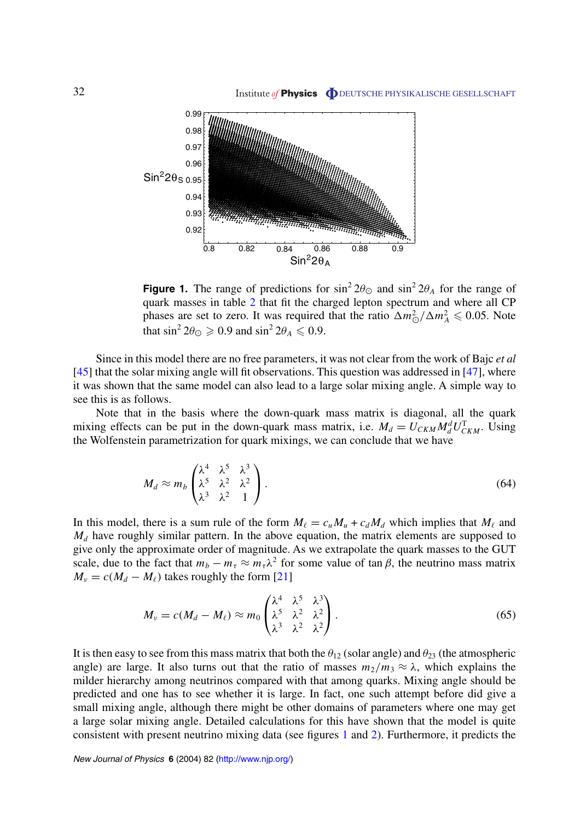

**Figure 1.** The range of predictions for  $\sin^2 2\theta_{\odot}$  and  $\sin^2 2\theta_A$  for the range of quark masses in table [2](#page-20-0) that fit the charged lepton spectrum and where all CP phases are set to zero. It was required that the ratio  $\Delta m_{\odot}^2 / \Delta m_A^2 \leq 0.05$ . Note that  $\sin^2 2\theta_{\odot} \geqslant 0.9$  and  $\sin^2 2\theta_A \leqslant 0.9$ .

Since in this model there are no free parameters, it was not clear from the work of Bajc *et al* [[45\]](#page-51-0) that the solar mixing angle will fit observations. This question was addressed in [[47\]](#page-51-0), where it was shown that the same model can also lead to a large solar mixing angle. A simple way to see this is as follows.

Note that in the basis where the down-quark mass matrix is diagonal, all the quark mixing effects can be put in the down-quark mass matrix, i.e.  $M_d = U_{CKM} M_d^d U_{CKM}^T$ . Using the Wolfenstein parametrization for quark mixings, we can conclude that we have

$$
M_d \approx m_b \begin{pmatrix} \lambda^4 & \lambda^5 & \lambda^3 \\ \lambda^5 & \lambda^2 & \lambda^2 \\ \lambda^3 & \lambda^2 & 1 \end{pmatrix} . \tag{64}
$$

In this model, there is a sum rule of the form  $M_{\ell} = c_u M_u + c_d M_d$  which implies that  $M_{\ell}$  and  $M_d$  have roughly similar pattern. In the above equation, the matrix elements are supposed to give only the approximate order of magnitude. As we extrapolate the quark masses to the GUT scale, due to the fact that  $m_b - m_\tau \approx m_\tau \lambda^2$  for some value of tan  $\beta$ , the neutrino mass matrix  $M_v = c(M_d - M_\ell)$  takes roughly the form [\[21](#page-50-0)]

$$
M_{\nu} = c(M_d - M_{\ell}) \approx m_0 \begin{pmatrix} \lambda^4 & \lambda^5 & \lambda^3 \\ \lambda^5 & \lambda^2 & \lambda^2 \\ \lambda^3 & \lambda^2 & \lambda^2 \end{pmatrix} . \tag{65}
$$

It is then easy to see from this mass matrix that both the  $\theta_{12}$  (solar angle) and  $\theta_{23}$  (the atmospheric angle) are large. It also turns out that the ratio of masses  $m_2/m_3 \approx \lambda$ , which explains the milder hierarchy among neutrinos compared with that among quarks. Mixing angle should be predicted and one has to see whether it is large. In fact, one such attempt before did give a small mixing angle, although there might be other domains of parameters where one may get a large solar mixing angle. Detailed calculations for this have shown that the model is quite consistent with present neutrino mixing data (see figures 1 and [2\)](#page-32-0). Furthermore, it predicts the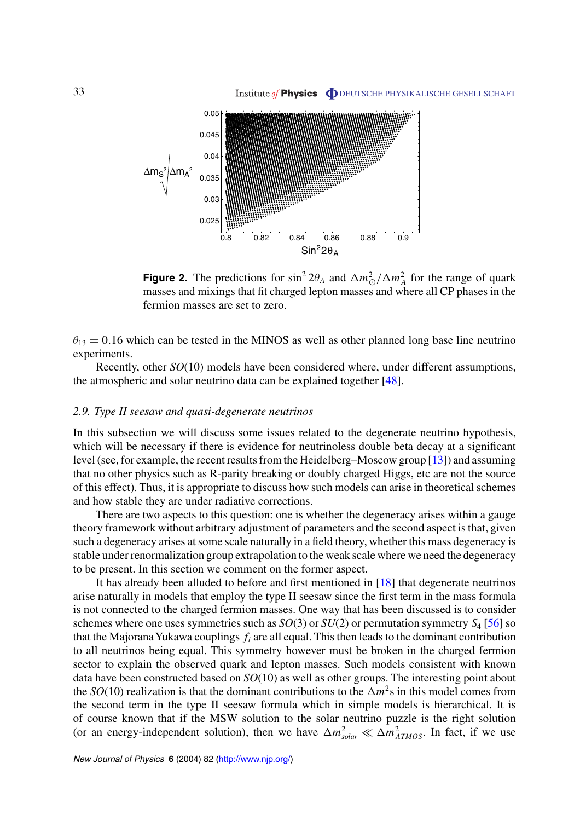<span id="page-32-0"></span>



**Figure 2.** The predictions for  $\sin^2 2\theta_A$  and  $\Delta m^2 \Delta / \Delta m^2_A$  for the range of quark masses and mixings that fit charged lepton masses and where all CP phases in the fermion masses are set to zero.

 $\theta_{13} = 0.16$  which can be tested in the MINOS as well as other planned long base line neutrino experiments.

Recently, other *SO*(10) models have been considered where, under different assumptions, the atmospheric and solar neutrino data can be explained together [[48](#page-51-0)].

#### *2.9. Type II seesaw and quasi-degenerate neutrinos*

In this subsection we will discuss some issues related to the degenerate neutrino hypothesis, which will be necessary if there is evidence for neutrinoless double beta decay at a significant level (see, for example, the recent results from the Heidelberg–Moscow group [\[13](#page-49-0)]) and assuming that no other physics such as R-parity breaking or doubly charged Higgs, etc are not the source of this effect). Thus, it is appropriate to discuss how such models can arise in theoretical schemes and how stable they are under radiative corrections.

There are two aspects to this question: one is whether the degeneracy arises within a gauge theory framework without arbitrary adjustment of parameters and the second aspect is that, given such a degeneracy arises at some scale naturally in a field theory, whether this mass degeneracy is stable under renormalization group extrapolation to the weak scale where we need the degeneracy to be present. In this section we comment on the former aspect.

It has already been alluded to before and first mentioned in [[18\]](#page-49-0) that degenerate neutrinos arise naturally in models that employ the type II seesaw since the first term in the mass formula is not connected to the charged fermion masses. One way that has been discussed is to consider schemes where one uses symmetries such as *SO*(3) or *SU*(2) or permutation symmetry *S*<sup>4</sup> [\[56](#page-52-0)] so that the Majorana Yukawa couplings  $f_i$  are all equal. This then leads to the dominant contribution to all neutrinos being equal. This symmetry however must be broken in the charged fermion sector to explain the observed quark and lepton masses. Such models consistent with known data have been constructed based on *SO*(10) as well as other groups. The interesting point about the *SO*(10) realization is that the dominant contributions to the  $\Delta m^2$ s in this model comes from the second term in the type II seesaw formula which in simple models is hierarchical. It is of course known that if the MSW solution to the solar neutrino puzzle is the right solution (or an energy-independent solution), then we have  $\Delta m_{solar}^2 \ll \Delta m_{ATMOS}^2$ . In fact, if we use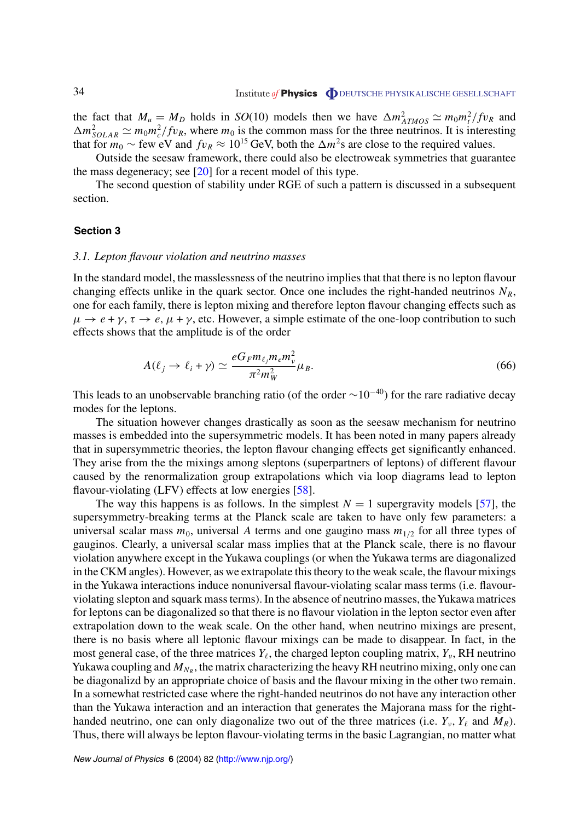<span id="page-33-0"></span>the fact that  $M_u = M_D$  holds in *SO*(10) models then we have  $\Delta m_{ATMOS}^2 \simeq m_0 m_t^2 / f v_R$  and  $\Delta m_{SOLAR}^2 \simeq m_0 m_c^2/fv_R$ , where  $m_0$  is the common mass for the three neutrinos. It is interesting that for  $m_0 \sim$  few eV and  $f v_R \approx 10^{15}$  GeV, both the  $\Delta m^2$ s are close to the required values.

Outside the seesaw framework, there could also be electroweak symmetries that guarantee the mass degeneracy; see  $[20]$  $[20]$  for a recent model of this type.

The second question of stability under RGE of such a pattern is discussed in a subsequent section.

#### **Section 3**

#### *3.1. Lepton flavour violation and neutrino masses*

In the standard model, the masslessness of the neutrino implies that that there is no lepton flavour changing effects unlike in the quark sector. Once one includes the right-handed neutrinos  $N_R$ , one for each family, there is lepton mixing and therefore lepton flavour changing effects such as  $\mu \to e + \gamma$ ,  $\tau \to e$ ,  $\mu + \gamma$ , etc. However, a simple estimate of the one-loop contribution to such effects shows that the amplitude is of the order

$$
A(\ell_j \to \ell_i + \gamma) \simeq \frac{eG_F m_{\ell_j} m_e m_{\nu}^2}{\pi^2 m_W^2} \mu_B.
$$
\n(66)

This leads to an unobservable branching ratio (of the order  $\sim 10^{-40}$ ) for the rare radiative decay modes for the leptons.

The situation however changes drastically as soon as the seesaw mechanism for neutrino masses is embedded into the supersymmetric models. It has been noted in many papers already that in supersymmetric theories, the lepton flavour changing effects get significantly enhanced. They arise from the the mixings among sleptons (superpartners of leptons) of different flavour caused by the renormalization group extrapolations which via loop diagrams lead to lepton flavour-violating (LFV) effects at low energies [[58](#page-52-0)].

The way this happens is as follows. In the simplest  $N = 1$  supergravity models [\[57\]](#page-52-0), the supersymmetry-breaking terms at the Planck scale are taken to have only few parameters: a universal scalar mass  $m_0$ , universal A terms and one gaugino mass  $m_{1/2}$  for all three types of gauginos. Clearly, a universal scalar mass implies that at the Planck scale, there is no flavour violation anywhere except in the Yukawa couplings (or when the Yukawa terms are diagonalized in the CKM angles). However, as we extrapolate this theory to the weak scale, the flavour mixings in the Yukawa interactions induce nonuniversal flavour-violating scalar mass terms (i.e. flavourviolating slepton and squark mass terms). In the absence of neutrino masses, theYukawa matrices for leptons can be diagonalized so that there is no flavour violation in the lepton sector even after extrapolation down to the weak scale. On the other hand, when neutrino mixings are present, there is no basis where all leptonic flavour mixings can be made to disappear. In fact, in the most general case, of the three matrices  $Y_{\ell}$ , the charged lepton coupling matrix,  $Y_{\nu}$ , RH neutrino Yukawa coupling and  $M_{N_R}$ , the matrix characterizing the heavy RH neutrino mixing, only one can be diagonalizd by an appropriate choice of basis and the flavour mixing in the other two remain. In a somewhat restricted case where the right-handed neutrinos do not have any interaction other than the Yukawa interaction and an interaction that generates the Majorana mass for the righthanded neutrino, one can only diagonalize two out of the three matrices (i.e.  $Y_v$ ,  $Y_\ell$  and  $M_R$ ). Thus, there will always be lepton flavour-violating terms in the basic Lagrangian, no matter what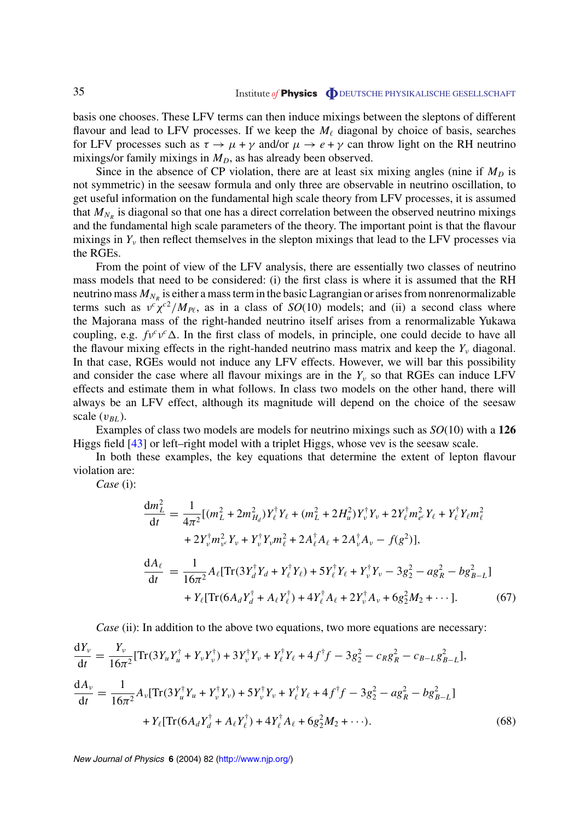basis one chooses. These LFV terms can then induce mixings between the sleptons of different flavour and lead to LFV processes. If we keep the  $M_{\ell}$  diagonal by choice of basis, searches for LFV processes such as  $\tau \to \mu + \gamma$  and/or  $\mu \to e + \gamma$  can throw light on the RH neutrino mixings/or family mixings in  $M<sub>D</sub>$ , as has already been observed.

Since in the absence of CP violation, there are at least six mixing angles (nine if  $M_D$  is not symmetric) in the seesaw formula and only three are observable in neutrino oscillation, to get useful information on the fundamental high scale theory from LFV processes, it is assumed that  $M_{N_R}$  is diagonal so that one has a direct correlation between the observed neutrino mixings and the fundamental high scale parameters of the theory. The important point is that the flavour mixings in  $Y_\nu$  then reflect themselves in the slepton mixings that lead to the LFV processes via the RGEs.

From the point of view of the LFV analysis, there are essentially two classes of neutrino mass models that need to be considered: (i) the first class is where it is assumed that the RH neutrino mass  $M_{N_R}$  is either a mass term in the basic Lagrangian or arises from nonrenormalizable terms such as  $v^c \chi^{c^2} / M_{P\ell}$ , as in a class of *SO*(10) models; and (ii) a second class where the Majorana mass of the right-handed neutrino itself arises from a renormalizable Yukawa coupling, e.g.  $f v^c v^c \Delta$ . In the first class of models, in principle, one could decide to have all the flavour mixing effects in the right-handed neutrino mass matrix and keep the  $Y_\nu$  diagonal. In that case, RGEs would not induce any LFV effects. However, we will bar this possibility and consider the case where all flavour mixings are in the  $Y_{\nu}$  so that RGEs can induce LFV effects and estimate them in what follows. In class two models on the other hand, there will always be an LFV effect, although its magnitude will depend on the choice of the seesaw scale  $(v_{BL})$ .

Examples of class two models are models for neutrino mixings such as *SO*(10) with a **126** Higgs field [[43\]](#page-51-0) or left–right model with a triplet Higgs, whose vev is the seesaw scale.

In both these examples, the key equations that determine the extent of lepton flavour violation are:

*Case* (i):

$$
\frac{dm_L^2}{dt} = \frac{1}{4\pi^2} [(m_L^2 + 2m_{H_d}^2)Y_\ell^\dagger Y_\ell + (m_L^2 + 2H_u^2)Y_\nu^\dagger Y_\nu + 2Y_\ell^\dagger m_{e^c}^2 Y_\ell + Y_\ell^\dagger Y_\ell m_\ell^2 \n+ 2Y_\nu^\dagger m_{\nu^c}^2 Y_\nu + Y_\nu^\dagger Y_\nu m_\ell^2 + 2A_\ell^\dagger A_\ell + 2A_\nu^\dagger A_\nu - f(g^2)],
$$
\n
$$
\frac{dA_\ell}{dt} = \frac{1}{16\pi^2} A_\ell [Tr(3Y_d^\dagger Y_d + Y_\ell^\dagger Y_\ell) + 5Y_\ell^\dagger Y_\ell + Y_\nu^\dagger Y_\nu - 3g_2^2 - ag_R^2 - bg_{B-L}^2] \n+ Y_\ell [Tr(6A_dY_d^\dagger + A_\ell Y_\ell^\dagger) + 4Y_\ell^\dagger A_\ell + 2Y_\nu^\dagger A_\nu + 6g_2^2 M_2 + \cdots]. \tag{67}
$$

*Case* (ii): In addition to the above two equations, two more equations are necessary:

$$
\frac{dY_{\nu}}{dt} = \frac{Y_{\nu}}{16\pi^2} [\text{Tr}(3Y_{u}Y_{u}^{\dagger} + Y_{\nu}Y_{\nu}^{\dagger}) + 3Y_{\nu}^{\dagger}Y_{\nu} + Y_{\ell}^{\dagger}Y_{\ell} + 4f^{\dagger}f - 3g_{2}^{2} - c_{R}g_{R}^{2} - c_{B-L}g_{B-L}^{2}],
$$
\n
$$
\frac{dA_{\nu}}{dt} = \frac{1}{16\pi^2} A_{\nu} [\text{Tr}(3Y_{u}^{\dagger}Y_{u} + Y_{\nu}^{\dagger}Y_{\nu}) + 5Y_{\nu}^{\dagger}Y_{\nu} + Y_{\ell}^{\dagger}Y_{\ell} + 4f^{\dagger}f - 3g_{2}^{2} - ag_{R}^{2} - bg_{B-L}^{2}]
$$
\n
$$
+ Y_{\ell} [\text{Tr}(6A_{d}Y_{d}^{\dagger} + A_{\ell}Y_{\ell}^{\dagger}) + 4Y_{\ell}^{\dagger}A_{\ell} + 6g_{2}^{2}M_{2} + \cdots].
$$
\n(68)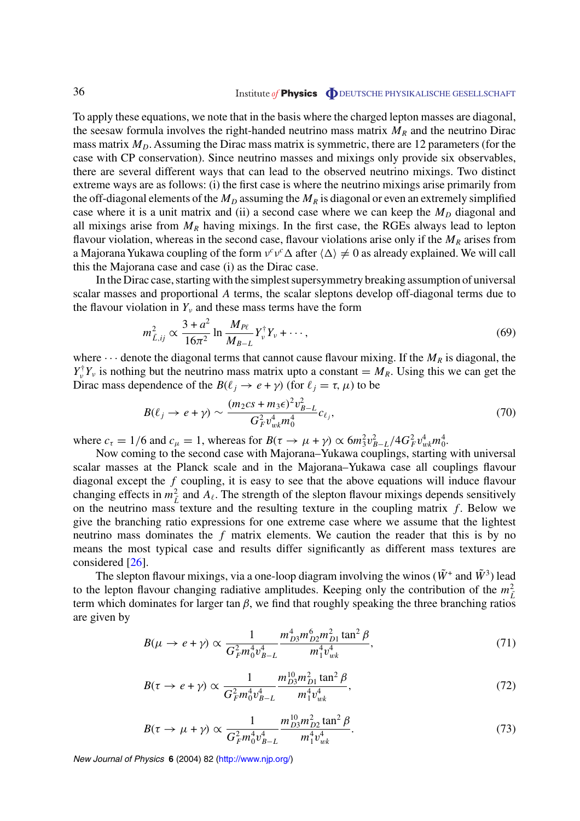To apply these equations, we note that in the basis where the charged lepton masses are diagonal, the seesaw formula involves the right-handed neutrino mass matrix  $M_R$  and the neutrino Dirac mass matrix  $M_D$ . Assuming the Dirac mass matrix is symmetric, there are 12 parameters (for the case with CP conservation). Since neutrino masses and mixings only provide six observables, there are several different ways that can lead to the observed neutrino mixings. Two distinct extreme ways are as follows: (i) the first case is where the neutrino mixings arise primarily from the off-diagonal elements of the  $M<sub>D</sub>$  assuming the  $M<sub>R</sub>$  is diagonal or even an extremely simplified case where it is a unit matrix and (ii) a second case where we can keep the  $M<sub>D</sub>$  diagonal and all mixings arise from  $M_R$  having mixings. In the first case, the RGEs always lead to lepton flavour violation, whereas in the second case, flavour violations arise only if the  $M_R$  arises from a Majorana Yukawa coupling of the form  $v^c v^c \Delta$  after  $\langle \Delta \rangle \neq 0$  as already explained. We will call this the Majorana case and case (i) as the Dirac case.

In the Dirac case, starting with the simplest supersymmetry breaking assumption of universal scalar masses and proportional *A* terms, the scalar sleptons develop off-diagonal terms due to the flavour violation in  $Y_{\nu}$  and these mass terms have the form

$$
m_{\tilde{L},ij}^2 \propto \frac{3 + a^2}{16\pi^2} \ln \frac{M_{P\ell}}{M_{B-L}} Y_{\nu}^{\dagger} Y_{\nu} + \cdots, \qquad (69)
$$

where  $\cdots$  denote the diagonal terms that cannot cause flavour mixing. If the  $M_R$  is diagonal, the  $Y^{\dagger}_v Y_v$  is nothing but the neutrino mass matrix upto a constant =  $M_R$ . Using this we can get the Dirac mass dependence of the  $B(\ell_j \to e + \gamma)$  (for  $\ell_j = \tau, \mu$ ) to be

$$
B(\ell_j \to e + \gamma) \sim \frac{(m_2 c s + m_3 \epsilon)^2 v_{B-L}^2}{G_F^2 v_{wk}^4 m_0^4} c_{\ell_j},\tag{70}
$$

where  $c_{\tau} = 1/6$  and  $c_{\mu} = 1$ , whereas for  $B(\tau \to \mu + \gamma) \propto 6m_3^2 v_{B-L}^2/4G_F^2 v_{wk}^4 m_0^4$ .

Now coming to the second case with Majorana–Yukawa couplings, starting with universal scalar masses at the Planck scale and in the Majorana–Yukawa case all couplings flavour diagonal except the *f* coupling, it is easy to see that the above equations will induce flavour changing effects in  $m_{\tilde{L}}^2$  and  $A_{\ell}$ . The strength of the slepton flavour mixings depends sensitively on the neutrino mass texture and the resulting texture in the coupling matrix *f*. Below we give the branching ratio expressions for one extreme case where we assume that the lightest neutrino mass dominates the *f* matrix elements. We caution the reader that this is by no means the most typical case and results differ significantly as different mass textures are considered [[26\]](#page-50-0).

The slepton flavour mixings, via a one-loop diagram involving the winos ( $\tilde{W}^+$  and  $\tilde{W}^3$ ) lead to the lepton flavour changing radiative amplitudes. Keeping only the contribution of the  $m_{\tilde{t}}^2$ term which dominates for larger tan *β*, we find that roughly speaking the three branching ratios are given by

$$
B(\mu \to e + \gamma) \propto \frac{1}{G_F^2 m_0^4 v_{B-L}^4} \frac{m_{D3}^4 m_{D2}^6 m_{D1}^2 \tan^2 \beta}{m_1^4 v_{wk}^4},\tag{71}
$$

$$
B(\tau \to e + \gamma) \propto \frac{1}{G_F^2 m_0^4 v_{B-L}^4} \frac{m_{D3}^{10} m_{D1}^2 \tan^2 \beta}{m_1^4 v_{wk}^4},\tag{72}
$$

$$
B(\tau \to \mu + \gamma) \propto \frac{1}{G_F^2 m_0^4 v_{B-L}^4} \frac{m_{D3}^{10} m_{D2}^2 \tan^2 \beta}{m_1^4 v_{wk}^4}.
$$
 (73)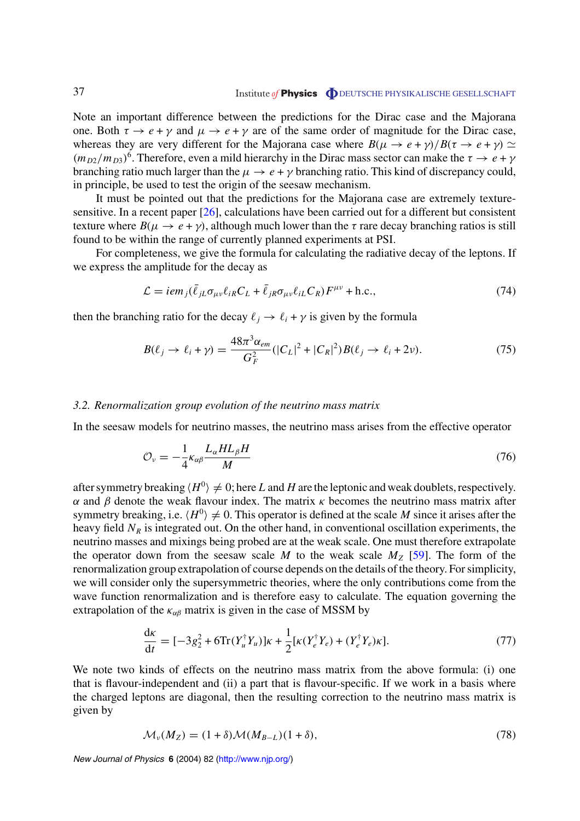<span id="page-36-0"></span>Note an important difference between the predictions for the Dirac case and the Majorana one. Both  $\tau \to e + \gamma$  and  $\mu \to e + \gamma$  are of the same order of magnitude for the Dirac case, whereas they are very different for the Majorana case where  $B(\mu \to e + \gamma)/B(\tau \to e + \gamma) \simeq$  $(m_{D2}/m_{D3})^6$ . Therefore, even a mild hierarchy in the Dirac mass sector can make the  $\tau \to e + \gamma$ branching ratio much larger than the  $\mu \to e + \gamma$  branching ratio. This kind of discrepancy could, in principle, be used to test the origin of the seesaw mechanism.

It must be pointed out that the predictions for the Majorana case are extremely texturesensitive. In a recent paper [[26\]](#page-50-0), calculations have been carried out for a different but consistent texture where  $B(\mu \to e + \gamma)$ , although much lower than the  $\tau$  rare decay branching ratios is still found to be within the range of currently planned experiments at PSI.

For completeness, we give the formula for calculating the radiative decay of the leptons. If we express the amplitude for the decay as

$$
\mathcal{L} = i e m_j (\bar{\ell}_{jL} \sigma_{\mu\nu} \ell_{iR} C_L + \bar{\ell}_{jR} \sigma_{\mu\nu} \ell_{iL} C_R) F^{\mu\nu} + \text{h.c.},\tag{74}
$$

then the branching ratio for the decay  $\ell_i \rightarrow \ell_i + \gamma$  is given by the formula

$$
B(\ell_j \to \ell_i + \gamma) = \frac{48\pi^3 \alpha_{em}}{G_F^2} (|C_L|^2 + |C_R|^2) B(\ell_j \to \ell_i + 2\nu). \tag{75}
$$

#### *3.2. Renormalization group evolution of the neutrino mass matrix*

In the seesaw models for neutrino masses, the neutrino mass arises from the effective operator

$$
\mathcal{O}_{\nu} = -\frac{1}{4} \kappa_{\alpha\beta} \frac{L_{\alpha} HL_{\beta} H}{M} \tag{76}
$$

after symmetry breaking  $\langle H^0 \rangle \neq 0$ ; here *L* and *H* are the leptonic and weak doublets, respectively. *α* and *β* denote the weak flavour index. The matrix *κ* becomes the neutrino mass matrix after symmetry breaking, i.e.  $\langle H^0 \rangle \neq 0$ . This operator is defined at the scale *M* since it arises after the heavy field  $N_R$  is integrated out. On the other hand, in conventional oscillation experiments, the neutrino masses and mixings being probed are at the weak scale. One must therefore extrapolate the operator down from the seesaw scale *M* to the weak scale  $M<sub>Z</sub>$  [[59\]](#page-52-0). The form of the renormalization group extrapolation of course depends on the details of the theory. For simplicity, we will consider only the supersymmetric theories, where the only contributions come from the wave function renormalization and is therefore easy to calculate. The equation governing the extrapolation of the  $\kappa_{\alpha\beta}$  matrix is given in the case of MSSM by

$$
\frac{d\kappa}{dt} = [-3g_2^2 + 6\text{Tr}(Y_u^{\dagger}Y_u)]\kappa + \frac{1}{2}[\kappa(Y_e^{\dagger}Y_e) + (Y_e^{\dagger}Y_e)\kappa].
$$
\n(77)

We note two kinds of effects on the neutrino mass matrix from the above formula: (i) one that is flavour-independent and (ii) a part that is flavour-specific. If we work in a basis where the charged leptons are diagonal, then the resulting correction to the neutrino mass matrix is given by

$$
\mathcal{M}_{\nu}(M_Z) = (1+\delta)\mathcal{M}(M_{B-L})(1+\delta),\tag{78}
$$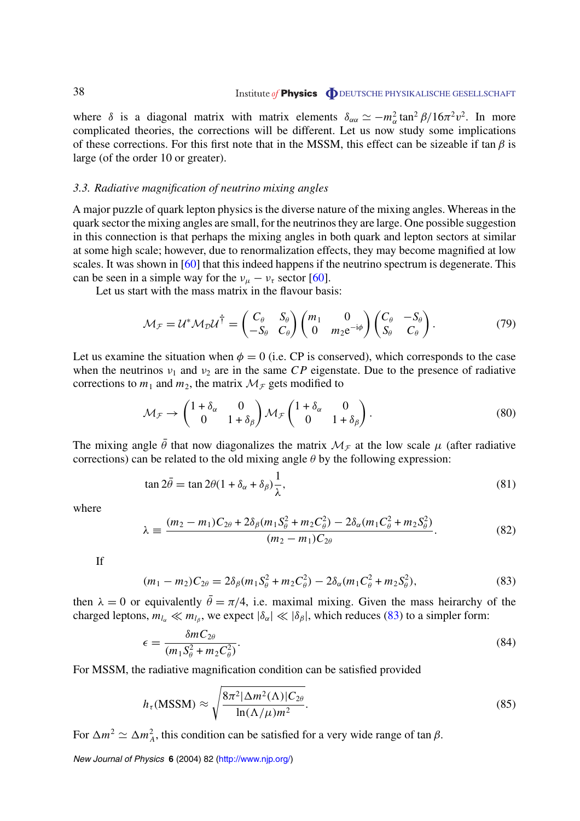<span id="page-37-0"></span>where  $\delta$  is a diagonal matrix with matrix elements  $\delta_{\alpha\alpha} \simeq -m_{\alpha}^2 \tan^2 \beta / 16\pi^2 v^2$ . In more complicated theories, the corrections will be different. Let us now study some implications of these corrections. For this first note that in the MSSM, this effect can be sizeable if tan  $\beta$  is large (of the order 10 or greater).

#### *3.3. Radiative magnification of neutrino mixing angles*

A major puzzle of quark lepton physics is the diverse nature of the mixing angles. Whereas in the quark sector the mixing angles are small, for the neutrinos they are large. One possible suggestion in this connection is that perhaps the mixing angles in both quark and lepton sectors at similar at some high scale; however, due to renormalization effects, they may become magnified at low scales. It was shown in [\[60](#page-52-0)] that this indeed happens if the neutrino spectrum is degenerate. This can be seen in a simple way for the  $v_{\mu} - v_{\tau}$  sector [[60\]](#page-52-0).

Let us start with the mass matrix in the flavour basis:

$$
\mathcal{M}_{\mathcal{F}} = \mathcal{U}^* \mathcal{M}_{\mathcal{D}} \mathcal{U}^{\dagger} = \begin{pmatrix} C_{\theta} & S_{\theta} \\ -S_{\theta} & C_{\theta} \end{pmatrix} \begin{pmatrix} m_1 & 0 \\ 0 & m_2 e^{-i\phi} \end{pmatrix} \begin{pmatrix} C_{\theta} & -S_{\theta} \\ S_{\theta} & C_{\theta} \end{pmatrix}.
$$
 (79)

Let us examine the situation when  $\phi = 0$  (i.e. CP is conserved), which corresponds to the case when the neutrinos  $v_1$  and  $v_2$  are in the same *CP* eigenstate. Due to the presence of radiative corrections to  $m_1$  and  $m_2$ , the matrix  $\mathcal{M}_{\mathcal{F}}$  gets modified to

$$
\mathcal{M}_{\mathcal{F}} \to \begin{pmatrix} 1 + \delta_{\alpha} & 0 \\ 0 & 1 + \delta_{\beta} \end{pmatrix} \mathcal{M}_{\mathcal{F}} \begin{pmatrix} 1 + \delta_{\alpha} & 0 \\ 0 & 1 + \delta_{\beta} \end{pmatrix}.
$$
 (80)

The mixing angle  $\bar{\theta}$  that now diagonalizes the matrix  $\mathcal{M}_{\mathcal{F}}$  at the low scale  $\mu$  (after radiative corrections) can be related to the old mixing angle *θ* by the following expression:

$$
\tan 2\bar{\theta} = \tan 2\theta (1 + \delta_{\alpha} + \delta_{\beta}) \frac{1}{\lambda},\tag{81}
$$

where

$$
\lambda = \frac{(m_2 - m_1)C_{2\theta} + 2\delta_{\beta}(m_1 S_{\theta}^2 + m_2 C_{\theta}^2) - 2\delta_{\alpha}(m_1 C_{\theta}^2 + m_2 S_{\theta}^2)}{(m_2 - m_1)C_{2\theta}}.
$$
\n(82)

If

$$
(m_1 - m_2)C_{2\theta} = 2\delta_\beta (m_1 S_\theta^2 + m_2 C_\theta^2) - 2\delta_\alpha (m_1 C_\theta^2 + m_2 S_\theta^2),\tag{83}
$$

then  $\lambda = 0$  or equivalently  $\bar{\theta} = \pi/4$ , i.e. maximal mixing. Given the mass heirarchy of the charged leptons,  $m_{l_{\alpha}} \ll m_{l_{\beta}}$ , we expect  $|\delta_{\alpha}| \ll |\delta_{\beta}|$ , which reduces (83) to a simpler form:

$$
\epsilon = \frac{\delta m C_{2\theta}}{(m_1 S_\theta^2 + m_2 C_\theta^2)}.\tag{84}
$$

For MSSM, the radiative magnification condition can be satisfied provided

$$
h_{\tau}(\text{MSSM}) \approx \sqrt{\frac{8\pi^2 |\Delta m^2(\Lambda)| C_{2\theta}}{\ln(\Lambda/\mu) m^2}}.
$$
\n(85)

For  $\Delta m^2 \simeq \Delta m_A^2$ , this condition can be satisfied for a very wide range of tan  $\beta$ .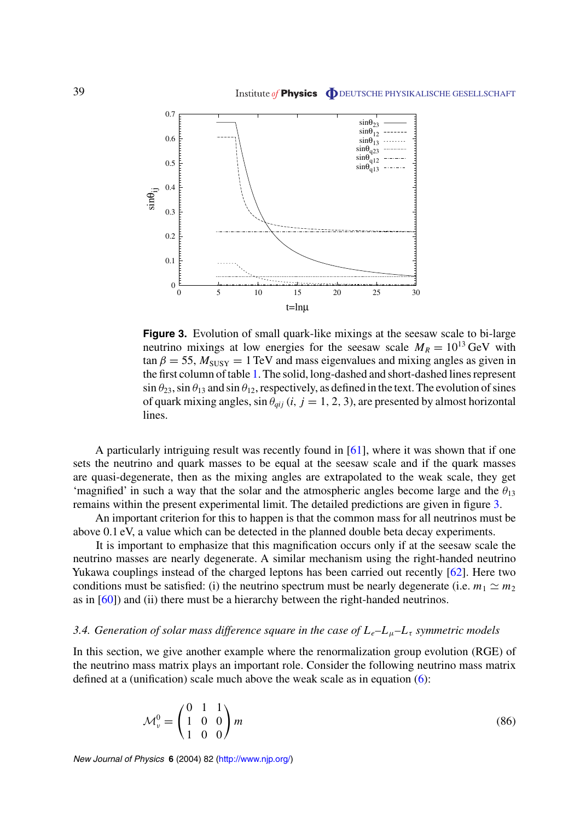<span id="page-38-0"></span>

**Figure 3.** Evolution of small quark-like mixings at the seesaw scale to bi-large neutrino mixings at low energies for the seesaw scale  $M_R = 10^{13}$  GeV with  $\tan \beta = 55$ ,  $M_{SUSY} = 1$  TeV and mass eigenvalues and mixing angles as given in the first column of table [1.](#page-13-0) The solid, long-dashed and short-dashed lines represent  $\sin \theta_{23}$ ,  $\sin \theta_{13}$  and  $\sin \theta_{12}$ , respectively, as defined in the text. The evolution of sines of quark mixing angles,  $\sin \theta_{qij}$  (*i*, *j* = 1, 2, 3), are presented by almost horizontal lines.

A particularly intriguing result was recently found in [[61\]](#page-52-0), where it was shown that if one sets the neutrino and quark masses to be equal at the seesaw scale and if the quark masses are quasi-degenerate, then as the mixing angles are extrapolated to the weak scale, they get 'magnified' in such a way that the solar and the atmospheric angles become large and the  $\theta_{13}$ remains within the present experimental limit. The detailed predictions are given in figure 3.

An important criterion for this to happen is that the common mass for all neutrinos must be above 0.1 eV, a value which can be detected in the planned double beta decay experiments.

It is important to emphasize that this magnification occurs only if at the seesaw scale the neutrino masses are nearly degenerate. A similar mechanism using the right-handed neutrino Yukawa couplings instead of the charged leptons has been carried out recently [\[62](#page-52-0)]. Here two conditions must be satisfied: (i) the neutrino spectrum must be nearly degenerate (i.e.  $m_1 \simeq m_2$ as in  $[60]$  $[60]$  and (ii) there must be a hierarchy between the right-handed neutrinos.

#### *3.4. Generation of solar mass difference square in the case of Le–Lµ–Lτ symmetric models*

In this section, we give another example where the renormalization group evolution (RGE) of the neutrino mass matrix plays an important role. Consider the following neutrino mass matrix defined at a (unification) scale much above the weak scale as in equation ([6\)](#page-5-0):

$$
\mathcal{M}_{\nu}^{0} = \begin{pmatrix} 0 & 1 & 1 \\ 1 & 0 & 0 \\ 1 & 0 & 0 \end{pmatrix} m \tag{86}
$$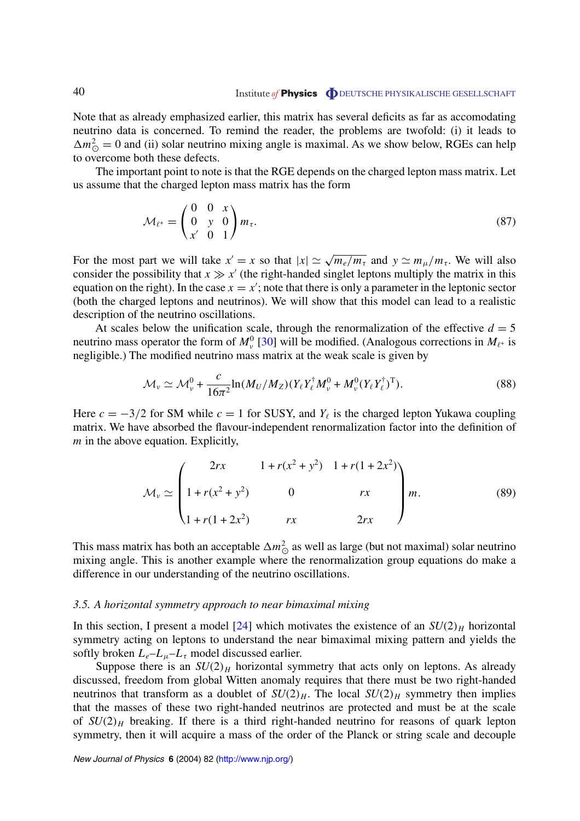<span id="page-39-0"></span>Note that as already emphasized earlier, this matrix has several deficits as far as accomodating neutrino data is concerned. To remind the reader, the problems are twofold: (i) it leads to  $\Delta m_{\odot}^2 = 0$  and (ii) solar neutrino mixing angle is maximal. As we show below, RGEs can help to overcome both these defects.

The important point to note is that the RGE depends on the charged lepton mass matrix. Let us assume that the charged lepton mass matrix has the form

$$
\mathcal{M}_{\ell^+} = \begin{pmatrix} 0 & 0 & x \\ 0 & y & 0 \\ x' & 0 & 1 \end{pmatrix} m_{\tau}.
$$
\n
$$
(87)
$$

For the most part we will take  $x' = x$  so that  $|x| \simeq \sqrt{m_e/m_{\tau}}$  and  $y \simeq m_{\mu}/m_{\tau}$ . We will also consider the possibility that  $x \gg x'$  (the right-handed singlet leptons multiply the matrix in this equation on the right). In the case  $x = x'$ ; note that there is only a parameter in the leptonic sector (both the charged leptons and neutrinos). We will show that this model can lead to a realistic description of the neutrino oscillations.

At scales below the unification scale, through the renormalization of the effective  $d = 5$ neutrino mass operator the form of  $M_{\nu}^0$  [\[30](#page-50-0)] will be modified. (Analogous corrections in  $M_{\ell^+}$  is negligible.) The modified neutrino mass matrix at the weak scale is given by

$$
\mathcal{M}_{\nu} \simeq \mathcal{M}_{\nu}^0 + \frac{c}{16\pi^2} \ln(M_U/M_Z) (Y_{\ell} Y_{\ell}^{\dagger} M_{\nu}^0 + M_{\nu}^0 (Y_{\ell} Y_{\ell}^{\dagger})^{\mathrm{T}}). \tag{88}
$$

Here  $c = -3/2$  for SM while  $c = 1$  for SUSY, and  $Y_{\ell}$  is the charged lepton Yukawa coupling matrix. We have absorbed the flavour-independent renormalization factor into the definition of *m* in the above equation. Explicitly,

$$
\mathcal{M}_{\nu} \simeq \begin{pmatrix} 2rx & 1 + r(x^2 + y^2) & 1 + r(1 + 2x^2) \\ 1 + r(x^2 + y^2) & 0 & rx \\ 1 + r(1 + 2x^2) & rx & 2rx \end{pmatrix} m.
$$
 (89)

This mass matrix has both an acceptable  $\Delta m^2_{\odot}$  as well as large (but not maximal) solar neutrino mixing angle. This is another example where the renormalization group equations do make a difference in our understanding of the neutrino oscillations.

#### *3.5. A horizontal symmetry approach to near bimaximal mixing*

In this section, I present a model  $[24]$  $[24]$  which motivates the existence of an  $SU(2)_H$  horizontal symmetry acting on leptons to understand the near bimaximal mixing pattern and yields the softly broken  $L_e - L_\mu - L_\tau$  model discussed earlier.

Suppose there is an  $SU(2)_H$  horizontal symmetry that acts only on leptons. As already discussed, freedom from global Witten anomaly requires that there must be two right-handed neutrinos that transform as a doublet of  $SU(2)_H$ . The local  $SU(2)_H$  symmetry then implies that the masses of these two right-handed neutrinos are protected and must be at the scale of  $SU(2)_H$  breaking. If there is a third right-handed neutrino for reasons of quark lepton symmetry, then it will acquire a mass of the order of the Planck or string scale and decouple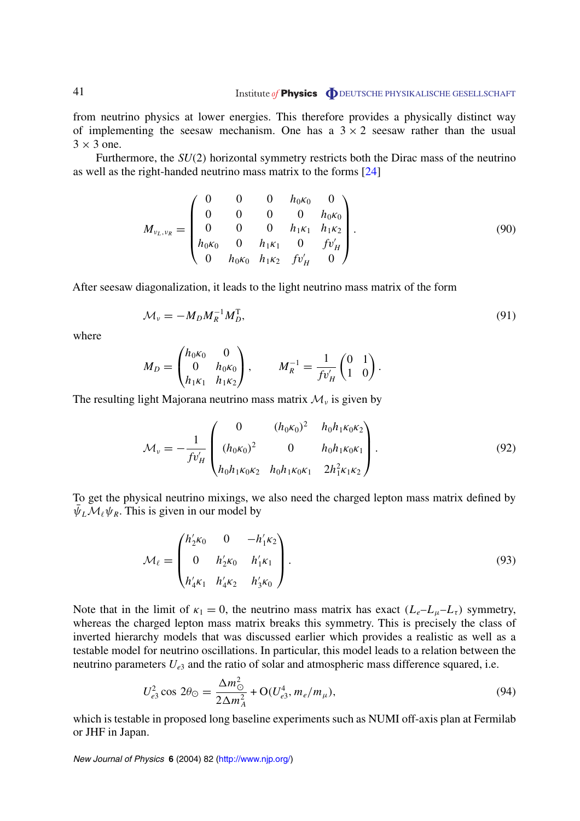from neutrino physics at lower energies. This therefore provides a physically distinct way of implementing the seesaw mechanism. One has a  $3 \times 2$  seesaw rather than the usual  $3 \times 3$  one.

Furthermore, the *SU(*2*)* horizontal symmetry restricts both the Dirac mass of the neutrino as well as the right-handed neutrino mass matrix to the forms [[24\]](#page-50-0)

$$
M_{\nu_L,\nu_R} = \begin{pmatrix} 0 & 0 & 0 & h_0 \kappa_0 & 0 \\ 0 & 0 & 0 & 0 & h_0 \kappa_0 \\ 0 & 0 & 0 & h_1 \kappa_1 & h_1 \kappa_2 \\ h_0 \kappa_0 & 0 & h_1 \kappa_1 & 0 & f \nu'_H \\ 0 & h_0 \kappa_0 & h_1 \kappa_2 & f \nu'_H & 0 \end{pmatrix} . \tag{90}
$$

After seesaw diagonalization, it leads to the light neutrino mass matrix of the form

$$
\mathcal{M}_{\nu} = -M_D M_R^{-1} M_D^{\mathrm{T}},\tag{91}
$$

where

$$
M_D = \begin{pmatrix} h_0 \kappa_0 & 0 \\ 0 & h_0 \kappa_0 \\ h_1 \kappa_1 & h_1 \kappa_2 \end{pmatrix}, \qquad M_R^{-1} = \frac{1}{f v'_H} \begin{pmatrix} 0 & 1 \\ 1 & 0 \end{pmatrix}.
$$

The resulting light Majorana neutrino mass matrix  $\mathcal{M}_{\nu}$  is given by

$$
\mathcal{M}_{\nu} = -\frac{1}{f v_H'} \begin{pmatrix} 0 & (h_0 \kappa_0)^2 & h_0 h_1 \kappa_0 \kappa_2 \\ (h_0 \kappa_0)^2 & 0 & h_0 h_1 \kappa_0 \kappa_1 \\ h_0 h_1 \kappa_0 \kappa_2 & h_0 h_1 \kappa_0 \kappa_1 & 2 h_1^2 \kappa_1 \kappa_2 \end{pmatrix} . \tag{92}
$$

To get the physical neutrino mixings, we also need the charged lepton mass matrix defined by  $\bar{\psi}_L \mathcal{M}_\ell \psi_R$ . This is given in our model by

$$
\mathcal{M}_{\ell} = \begin{pmatrix} h'_2 \kappa_0 & 0 & -h'_1 \kappa_2 \\ 0 & h'_2 \kappa_0 & h'_1 \kappa_1 \\ h'_4 \kappa_1 & h'_4 \kappa_2 & h'_3 \kappa_0 \end{pmatrix} . \tag{93}
$$

Note that in the limit of  $\kappa_1 = 0$ , the neutrino mass matrix has exact  $(L_e - L_\mu - L_\tau)$  symmetry, whereas the charged lepton mass matrix breaks this symmetry. This is precisely the class of inverted hierarchy models that was discussed earlier which provides a realistic as well as a testable model for neutrino oscillations. In particular, this model leads to a relation between the neutrino parameters *Ue*<sup>3</sup> and the ratio of solar and atmospheric mass difference squared, i.e.

$$
U_{e3}^2 \cos 2\theta_{\odot} = \frac{\Delta m_{\odot}^2}{2\Delta m_A^2} + \mathcal{O}(U_{e3}^4, m_e/m_\mu),\tag{94}
$$

which is testable in proposed long baseline experiments such as NUMI off-axis plan at Fermilab or JHF in Japan.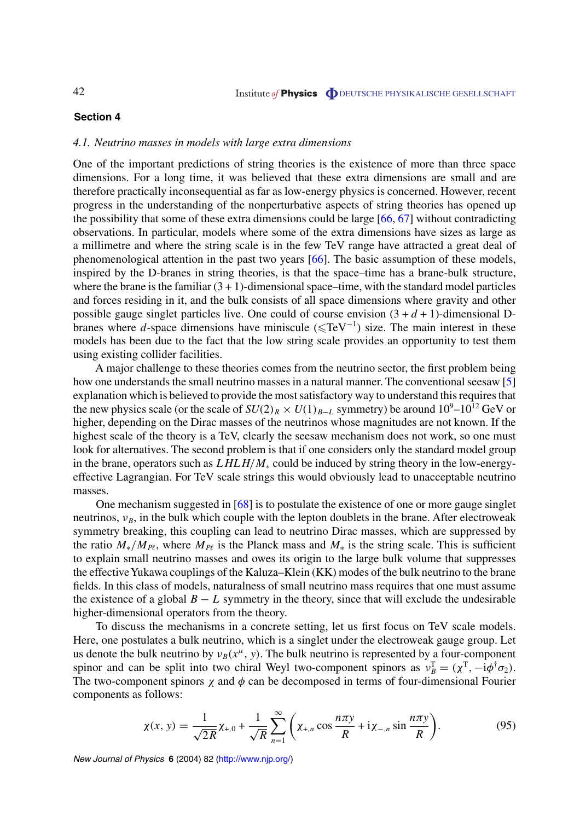#### <span id="page-41-0"></span>**Section 4**

#### *4.1. Neutrino masses in models with large extra dimensions*

One of the important predictions of string theories is the existence of more than three space dimensions. For a long time, it was believed that these extra dimensions are small and are therefore practically inconsequential as far as low-energy physics is concerned. However, recent progress in the understanding of the nonperturbative aspects of string theories has opened up the possibility that some of these extra dimensions could be large [[66,](#page-52-0) [67](#page-52-0)] without contradicting observations. In particular, models where some of the extra dimensions have sizes as large as a millimetre and where the string scale is in the few TeV range have attracted a great deal of phenomenological attention in the past two years [[66\]](#page-52-0). The basic assumption of these models, inspired by the D-branes in string theories, is that the space–time has a brane-bulk structure, where the brane is the familiar  $(3 + 1)$ -dimensional space–time, with the standard model particles and forces residing in it, and the bulk consists of all space dimensions where gravity and other possible gauge singlet particles live. One could of course envision  $(3 + d + 1)$ -dimensional Dbranes where *d*-space dimensions have miniscule ( $\leq T$ eV<sup>-1</sup>) size. The main interest in these models has been due to the fact that the low string scale provides an opportunity to test them using existing collider facilities.

A major challenge to these theories comes from the neutrino sector, the first problem being how one understands the small neutrino masses in a natural manner. The conventional seesaw [\[5](#page-49-0)] explanation which is believed to provide the most satisfactory way to understand this requires that the new physics scale (or the scale of  $SU(2)_R \times U(1)_{B-L}$  symmetry) be around  $10^9-10^{12}$  GeV or higher, depending on the Dirac masses of the neutrinos whose magnitudes are not known. If the highest scale of the theory is a TeV, clearly the seesaw mechanism does not work, so one must look for alternatives. The second problem is that if one considers only the standard model group in the brane, operators such as *LHLH/M*<sup>∗</sup> could be induced by string theory in the low-energyeffective Lagrangian. For TeV scale strings this would obviously lead to unacceptable neutrino masses.

One mechanism suggested in [[68](#page-52-0)] is to postulate the existence of one or more gauge singlet neutrinos,  $v_B$ , in the bulk which couple with the lepton doublets in the brane. After electroweak symmetry breaking, this coupling can lead to neutrino Dirac masses, which are suppressed by the ratio  $M_*/M_{P\ell}$ , where  $M_{P\ell}$  is the Planck mass and  $M_*$  is the string scale. This is sufficient to explain small neutrino masses and owes its origin to the large bulk volume that suppresses the effectiveYukawa couplings of the Kaluza–Klein (KK) modes of the bulk neutrino to the brane fields. In this class of models, naturalness of small neutrino mass requires that one must assume the existence of a global  $B - L$  symmetry in the theory, since that will exclude the undesirable higher-dimensional operators from the theory.

To discuss the mechanisms in a concrete setting, let us first focus on TeV scale models. Here, one postulates a bulk neutrino, which is a singlet under the electroweak gauge group. Let us denote the bulk neutrino by  $v_B(x^\mu, y)$ . The bulk neutrino is represented by a four-component spinor and can be split into two chiral Weyl two-component spinors as  $v_B^T = (\chi^T, -i\phi^\dagger \sigma_2)$ . The two-component spinors *χ* and *φ* can be decomposed in terms of four-dimensional Fourier components as follows:

$$
\chi(x, y) = \frac{1}{\sqrt{2R}} \chi_{+,0} + \frac{1}{\sqrt{R}} \sum_{n=1}^{\infty} \left( \chi_{+,n} \cos \frac{n\pi y}{R} + i \chi_{-,n} \sin \frac{n\pi y}{R} \right).
$$
(95)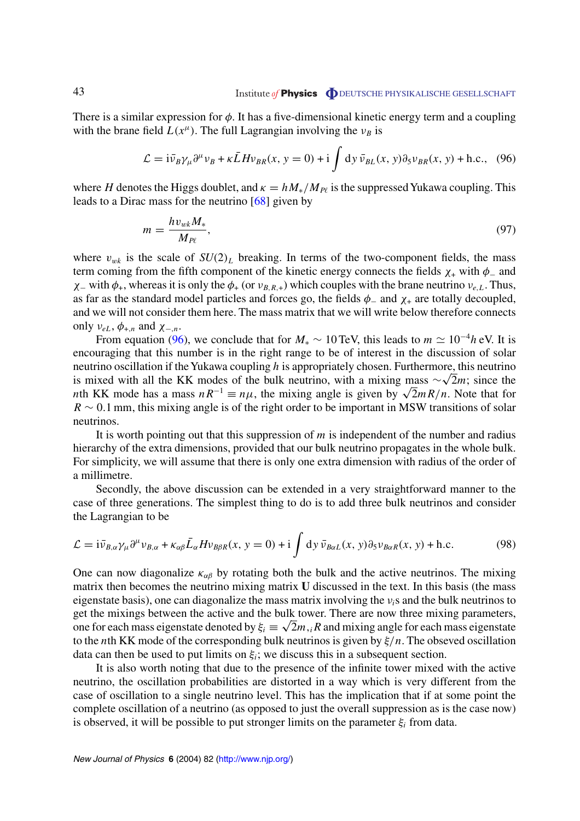There is a similar expression for  $\phi$ . It has a five-dimensional kinetic energy term and a coupling with the brane field  $L(x^{\mu})$ . The full Lagrangian involving the  $v_B$  is

$$
\mathcal{L} = i\bar{\nu}_B \gamma_\mu \partial^\mu \nu_B + \kappa \bar{L} H \nu_{BR}(x, y = 0) + i \int dy \, \bar{\nu}_{BL}(x, y) \partial_5 \nu_{BR}(x, y) + \text{h.c.,} \tag{96}
$$

where *H* denotes the Higgs doublet, and  $\kappa = h M_*/M_{Pl}$  is the suppressed Yukawa coupling. This leads to a Dirac mass for the neutrino [[68\]](#page-52-0) given by

$$
m = \frac{hv_{wk}M_*}{M_{P\ell}},\tag{97}
$$

where  $v_{wk}$  is the scale of  $SU(2)_L$  breaking. In terms of the two-component fields, the mass term coming from the fifth component of the kinetic energy connects the fields  $\chi$ <sub>+</sub> with  $\phi$ <sub>−</sub> and *χ*− with  $\phi$ <sub>+</sub>, whereas it is only the  $\phi$ <sub>+</sub> (or *v<sub>B,R,+</sub>*) which couples with the brane neutrino *v<sub>e,L</sub>*. Thus, as far as the standard model particles and forces go, the fields  $\phi$ <sup>−</sup> and  $\chi$ <sup>+</sup> are totally decoupled, and we will not consider them here. The mass matrix that we will write below therefore connects only  $ν_{eL}$ ,  $φ_{+,n}$  and  $χ_{-,n}$ .

From equation (96), we conclude that for  $M_* \sim 10$  TeV, this leads to  $m \simeq 10^{-4}h$  eV. It is encouraging that this number is in the right range to be of interest in the discussion of solar neutrino oscillation if the Yukawa coupling *h* is appropriately chosen. Furthermore, this neutrino is mixed with all the KK modes of the bulk neutrino, with a mixing mass ∼ <sup>√</sup>2*m*; since the *n*th KK mode has a mass  $nR^{-1} \equiv n\mu$ , the mixing angle is given by  $\sqrt{2mR/n}$ . Note that for *R* ∼ 0.1 mm, this mixing angle is of the right order to be important in MSW transitions of solar neutrinos.

It is worth pointing out that this suppression of *m* is independent of the number and radius hierarchy of the extra dimensions, provided that our bulk neutrino propagates in the whole bulk. For simplicity, we will assume that there is only one extra dimension with radius of the order of a millimetre.

Secondly, the above discussion can be extended in a very straightforward manner to the case of three generations. The simplest thing to do is to add three bulk neutrinos and consider the Lagrangian to be

$$
\mathcal{L} = i\bar{\nu}_{B,\alpha}\gamma_{\mu}\partial^{\mu}\nu_{B,\alpha} + \kappa_{\alpha\beta}\bar{L}_{\alpha}H\nu_{B\beta R}(x, y = 0) + i\int dy \,\bar{\nu}_{B\alpha L}(x, y)\partial_5\nu_{B\alpha R}(x, y) + \text{h.c.}
$$
\n(98)

One can now diagonalize  $\kappa_{\alpha\beta}$  by rotating both the bulk and the active neutrinos. The mixing matrix then becomes the neutrino mixing matrix **U** discussed in the text. In this basis (the mass eigenstate basis), one can diagonalize the mass matrix involving the  $v_i$ s and the bulk neutrinos to get the mixings between the active and the bulk tower. There are now three mixing parameters, one for each mass eigenstate denoted by  $\xi_i = \sqrt{2m_{i,i}R}$  and mixing angle for each mass eigenstate to the *n*th KK mode of the corresponding bulk neutrinos is given by *ξ/n*. The obseved oscillation data can then be used to put limits on  $\xi_i$ ; we discuss this in a subsequent section.

It is also worth noting that due to the presence of the infinite tower mixed with the active neutrino, the oscillation probabilities are distorted in a way which is very different from the case of oscillation to a single neutrino level. This has the implication that if at some point the complete oscillation of a neutrino (as opposed to just the overall suppression as is the case now) is observed, it will be possible to put stronger limits on the parameter  $\xi$ <sup>*i*</sup> from data.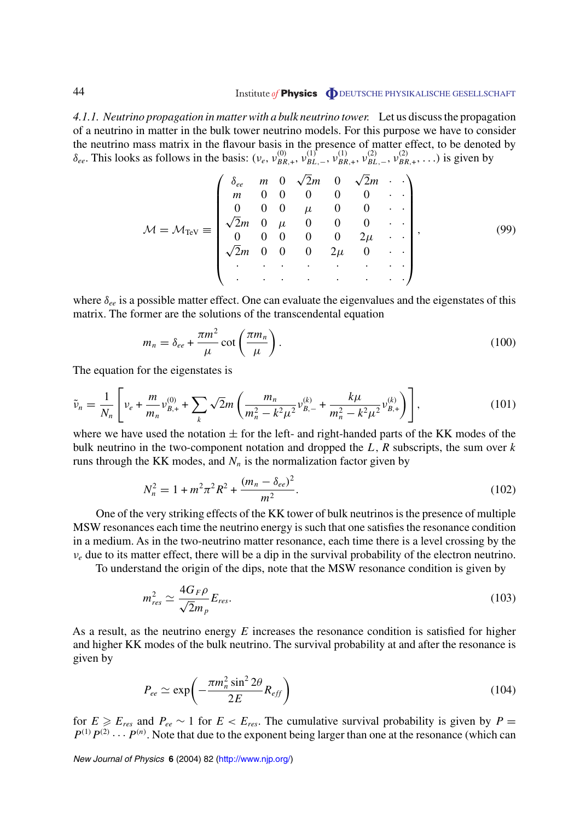<span id="page-43-0"></span>*4.1.1. Neutrino propagation in matter with a bulk neutrino tower.* Let us discuss the propagation of a neutrino in matter in the bulk tower neutrino models. For this purpose we have to consider the neutrino mass matrix in the flavour basis in the presence of matter effect, to be denoted by  $\delta_{ee}$ . This looks as follows in the basis:  $(v_e, v_{BR,+}^{(0)}, v_{BL,-}^{(1)}, v_{BR,+}^{(1)}, v_{BL,-}^{(2)}, v_{BR,+}^{(2)}, \ldots)$  is given by

$$
\mathcal{M} = \mathcal{M}_{\text{TeV}} = \begin{pmatrix}\n\delta_{ee} & m & 0 & \sqrt{2}m & 0 & \sqrt{2}m & \cdots \\
m & 0 & 0 & 0 & 0 & 0 & \cdots \\
0 & 0 & 0 & \mu & 0 & 0 & \cdots \\
\sqrt{2}m & 0 & \mu & 0 & 0 & 0 & \cdots \\
0 & 0 & 0 & 0 & 0 & 2\mu & \cdots \\
\sqrt{2}m & 0 & 0 & 0 & 2\mu & 0 & \cdots \\
\vdots & \vdots & \vdots & \vdots & \vdots & \vdots & \ddots & \vdots & \ddots\n\end{pmatrix},
$$
\n(99)

where *δee* is a possible matter effect. One can evaluate the eigenvalues and the eigenstates of this matrix. The former are the solutions of the transcendental equation

$$
m_n = \delta_{ee} + \frac{\pi m^2}{\mu} \cot\left(\frac{\pi m_n}{\mu}\right). \tag{100}
$$

The equation for the eigenstates is

$$
\tilde{\nu}_n = \frac{1}{N_n} \left[ \nu_e + \frac{m}{m_n} \nu_{B,+}^{(0)} + \sum_k \sqrt{2} m \left( \frac{m_n}{m_n^2 - k^2 \mu^2} \nu_{B,-}^{(k)} + \frac{k \mu}{m_n^2 - k^2 \mu^2} \nu_{B,+}^{(k)} \right) \right],\tag{101}
$$

where we have used the notation  $\pm$  for the left- and right-handed parts of the KK modes of the bulk neutrino in the two-component notation and dropped the *L, R* subscripts, the sum over *k* runs through the KK modes, and  $N_n$  is the normalization factor given by

$$
N_n^2 = 1 + m^2 \pi^2 R^2 + \frac{(m_n - \delta_{ee})^2}{m^2}.
$$
 (102)

One of the very striking effects of the KK tower of bulk neutrinos is the presence of multiple MSW resonances each time the neutrino energy is such that one satisfies the resonance condition in a medium. As in the two-neutrino matter resonance, each time there is a level crossing by the *νe* due to its matter effect, there will be a dip in the survival probability of the electron neutrino.

To understand the origin of the dips, note that the MSW resonance condition is given by

$$
m_{res}^2 \simeq \frac{4G_F \rho}{\sqrt{2}m_p} E_{res}.\tag{103}
$$

As a result, as the neutrino energy *E* increases the resonance condition is satisfied for higher and higher KK modes of the bulk neutrino. The survival probability at and after the resonance is given by

$$
P_{ee} \simeq \exp\left(-\frac{\pi m_n^2 \sin^2 2\theta}{2E} R_{eff}\right) \tag{104}
$$

for  $E \ge E_{res}$  and  $P_{ee} \sim 1$  for  $E < E_{res}$ . The cumulative survival probability is given by  $P =$  $P^{(1)}P^{(2)} \cdots P^{(n)}$ . Note that due to the exponent being larger than one at the resonance (which can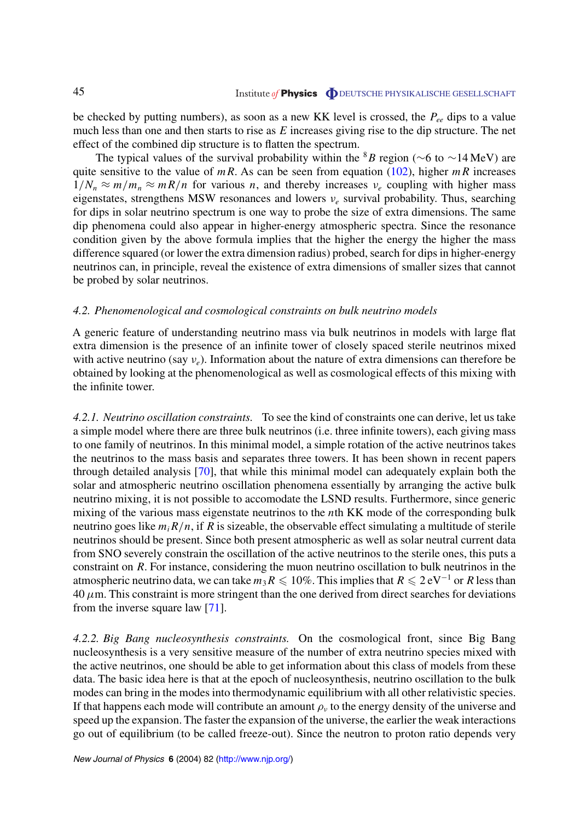<span id="page-44-0"></span>be checked by putting numbers), as soon as a new KK level is crossed, the  $P_{ee}$  dips to a value much less than one and then starts to rise as *E* increases giving rise to the dip structure. The net effect of the combined dip structure is to flatten the spectrum.

The typical values of the survival probability within the <sup>8</sup>*B* region ( $\sim$ 6 to  $\sim$ 14 MeV) are quite sensitive to the value of  $mR$ . As can be seen from equation ([102\)](#page-43-0), higher  $mR$  increases  $1/N_n \approx m/m_n \approx mR/n$  for various *n*, and thereby increases  $v_e$  coupling with higher mass eigenstates, strengthens MSW resonances and lowers *νe* survival probability. Thus, searching for dips in solar neutrino spectrum is one way to probe the size of extra dimensions. The same dip phenomena could also appear in higher-energy atmospheric spectra. Since the resonance condition given by the above formula implies that the higher the energy the higher the mass difference squared (or lower the extra dimension radius) probed, search for dips in higher-energy neutrinos can, in principle, reveal the existence of extra dimensions of smaller sizes that cannot be probed by solar neutrinos.

#### *4.2. Phenomenological and cosmological constraints on bulk neutrino models*

A generic feature of understanding neutrino mass via bulk neutrinos in models with large flat extra dimension is the presence of an infinite tower of closely spaced sterile neutrinos mixed with active neutrino (say *ν<sub>e</sub>*). Information about the nature of extra dimensions can therefore be obtained by looking at the phenomenological as well as cosmological effects of this mixing with the infinite tower.

*4.2.1. Neutrino oscillation constraints.* To see the kind of constraints one can derive, let us take a simple model where there are three bulk neutrinos (i.e. three infinite towers), each giving mass to one family of neutrinos. In this minimal model, a simple rotation of the active neutrinos takes the neutrinos to the mass basis and separates three towers. It has been shown in recent papers through detailed analysis [\[70](#page-53-0)], that while this minimal model can adequately explain both the solar and atmospheric neutrino oscillation phenomena essentially by arranging the active bulk neutrino mixing, it is not possible to accomodate the LSND results. Furthermore, since generic mixing of the various mass eigenstate neutrinos to the *n*th KK mode of the corresponding bulk neutrino goes like  $m_i R/n$ , if R is sizeable, the observable effect simulating a multitude of sterile neutrinos should be present. Since both present atmospheric as well as solar neutral current data from SNO severely constrain the oscillation of the active neutrinos to the sterile ones, this puts a constraint on *R*. For instance, considering the muon neutrino oscillation to bulk neutrinos in the atmospheric neutrino data, we can take  $m_3 R \le 10\%$ . This implies that  $R \le 2 eV^{-1}$  or R less than  $40 \mu$ m. This constraint is more stringent than the one derived from direct searches for deviations from the inverse square law [[71\]](#page-53-0).

*4.2.2. Big Bang nucleosynthesis constraints.* On the cosmological front, since Big Bang nucleosynthesis is a very sensitive measure of the number of extra neutrino species mixed with the active neutrinos, one should be able to get information about this class of models from these data. The basic idea here is that at the epoch of nucleosynthesis, neutrino oscillation to the bulk modes can bring in the modes into thermodynamic equilibrium with all other relativistic species. If that happens each mode will contribute an amount  $\rho_{\nu}$  to the energy density of the universe and speed up the expansion. The faster the expansion of the universe, the earlier the weak interactions go out of equilibrium (to be called freeze-out). Since the neutron to proton ratio depends very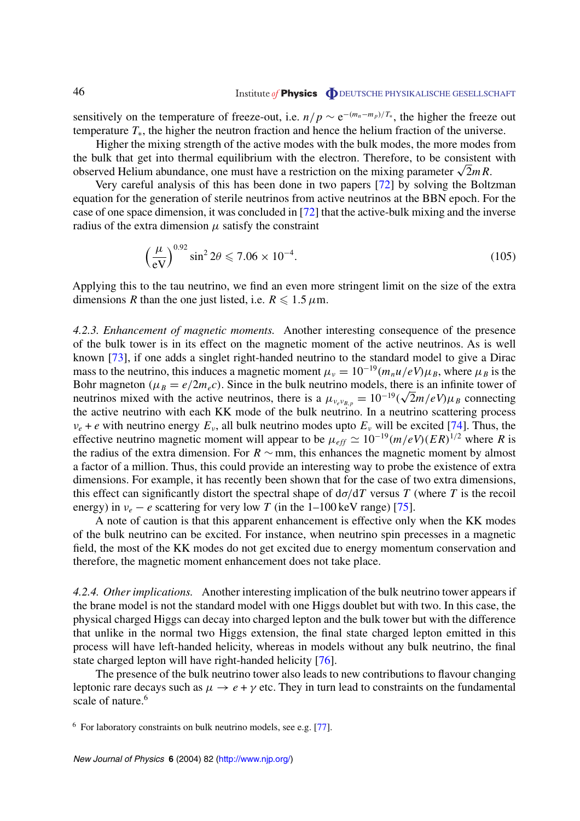<span id="page-45-0"></span>sensitively on the temperature of freeze-out, i.e.  $n/p \sim e^{-(m_n-m_p)/T_*}$ , the higher the freeze out temperature *T*∗, the higher the neutron fraction and hence the helium fraction of the universe.

Higher the mixing strength of the active modes with the bulk modes, the more modes from the bulk that get into thermal equilibrium with the electron. Therefore, to be consistent with observed Helium abundance, one must have a restriction on the mixing parameter  $\sqrt{2mR}$ .

Very careful analysis of this has been done in two papers [[72\]](#page-53-0) by solving the Boltzman equation for the generation of sterile neutrinos from active neutrinos at the BBN epoch. For the case of one space dimension, it was concluded in [\[72](#page-53-0)] that the active-bulk mixing and the inverse radius of the extra dimension  $\mu$  satisfy the constraint

$$
\left(\frac{\mu}{\rm eV}\right)^{0.92} \sin^2 2\theta \leq 7.06 \times 10^{-4}.\tag{105}
$$

Applying this to the tau neutrino, we find an even more stringent limit on the size of the extra dimensions *R* than the one just listed, i.e.  $R \leq 1.5 \,\mu\text{m}$ .

*4.2.3. Enhancement of magnetic moments.* Another interesting consequence of the presence of the bulk tower is in its effect on the magnetic moment of the active neutrinos. As is well known [[73\]](#page-53-0), if one adds a singlet right-handed neutrino to the standard model to give a Dirac mass to the neutrino, this induces a magnetic moment  $\mu_{\nu} = 10^{-19} (m_n u/eV) \mu_B$ , where  $\mu_B$  is the Bohr magneton  $(\mu_B = e/2m_e c)$ . Since in the bulk neutrino models, there is an infinite tower of neutrinos mixed with the active neutrinos, there is a  $\mu_{\nu_e \nu_{B,p}} = 10^{-19} (\sqrt{2}m/eV) \mu_B$  connecting the active neutrino with each KK mode of the bulk neutrino. In a neutrino scattering process  $v_e + e$  with neutrino energy  $E_v$ , all bulk neutrino modes upto  $E_v$  will be excited [[74\]](#page-53-0). Thus, the effective neutrino magnetic moment will appear to be  $\mu_{eff} \simeq 10^{-19} (m/eV)(ER)^{1/2}$  where *R* is the radius of the extra dimension. For  $R \sim$  mm, this enhances the magnetic moment by almost a factor of a million. Thus, this could provide an interesting way to probe the existence of extra dimensions. For example, it has recently been shown that for the case of two extra dimensions, this effect can significantly distort the spectral shape of  $d\sigma/dT$  versus *T* (where *T* is the recoil energy) in  $v_e - e$  scattering for very low *T* (in the 1–100 keV range) [[75](#page-53-0)].

A note of caution is that this apparent enhancement is effective only when the KK modes of the bulk neutrino can be excited. For instance, when neutrino spin precesses in a magnetic field, the most of the KK modes do not get excited due to energy momentum conservation and therefore, the magnetic moment enhancement does not take place.

*4.2.4. Other implications.* Another interesting implication of the bulk neutrino tower appears if the brane model is not the standard model with one Higgs doublet but with two. In this case, the physical charged Higgs can decay into charged lepton and the bulk tower but with the difference that unlike in the normal two Higgs extension, the final state charged lepton emitted in this process will have left-handed helicity, whereas in models without any bulk neutrino, the final state charged lepton will have right-handed helicity [\[76\]](#page-53-0).

The presence of the bulk neutrino tower also leads to new contributions to flavour changing leptonic rare decays such as  $\mu \to e + \gamma$  etc. They in turn lead to constraints on the fundamental scale of nature.<sup>6</sup>

 $6$  For laboratory constraints on bulk neutrino models, see e.g. [\[77](#page-53-0)].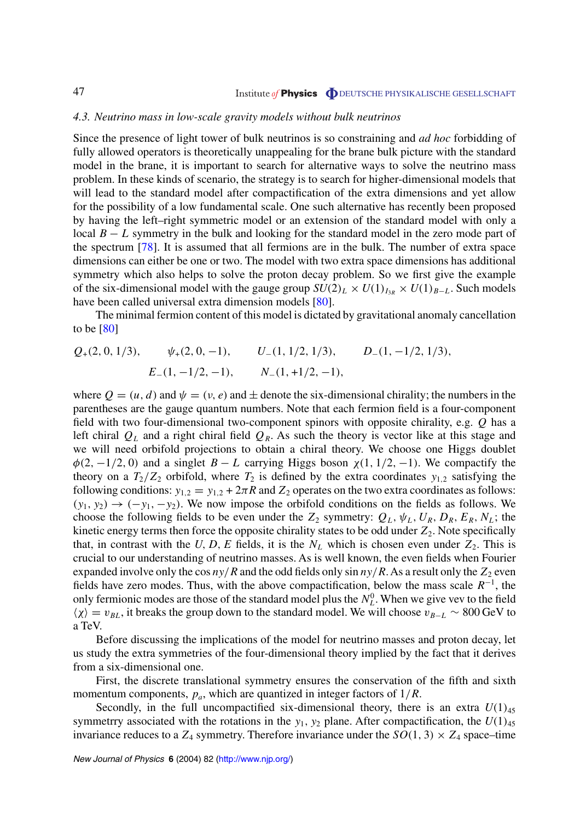#### <span id="page-46-0"></span>*4.3. Neutrino mass in low-scale gravity models without bulk neutrinos*

Since the presence of light tower of bulk neutrinos is so constraining and *ad hoc* forbidding of fully allowed operators is theoretically unappealing for the brane bulk picture with the standard model in the brane, it is important to search for alternative ways to solve the neutrino mass problem. In these kinds of scenario, the strategy is to search for higher-dimensional models that will lead to the standard model after compactification of the extra dimensions and yet allow for the possibility of a low fundamental scale. One such alternative has recently been proposed by having the left–right symmetric model or an extension of the standard model with only a local *B* − *L* symmetry in the bulk and looking for the standard model in the zero mode part of the spectrum [\[78](#page-53-0)]. It is assumed that all fermions are in the bulk. The number of extra space dimensions can either be one or two. The model with two extra space dimensions has additional symmetry which also helps to solve the proton decay problem. So we first give the example of the six-dimensional model with the gauge group  $SU(2)_L \times U(1)_{I_{3R}} \times U(1)_{B-L}$ . Such models have been called universal extra dimension models [[80\]](#page-53-0).

The minimal fermion content of this model is dictated by gravitational anomaly cancellation to be [[80](#page-53-0)]

$$
Q_{+}(2, 0, 1/3),
$$
  $\psi_{+}(2, 0, -1),$   $U_{-}(1, 1/2, 1/3),$   $D_{-}(1, -1/2, 1/3),$   
 $E_{-}(1, -1/2, -1),$   $N_{-}(1, +1/2, -1),$ 

where  $Q = (u, d)$  and  $\psi = (v, e)$  and  $\pm$  denote the six-dimensional chirality; the numbers in the parentheses are the gauge quantum numbers. Note that each fermion field is a four-component field with two four-dimensional two-component spinors with opposite chirality, e.g. *Q* has a left chiral  $Q_L$  and a right chiral field  $Q_R$ . As such the theory is vector like at this stage and we will need orbifold projections to obtain a chiral theory. We choose one Higgs doublet  $\phi(2, -1/2, 0)$  and a singlet *B* − *L* carrying Higgs boson  $\chi(1, 1/2, -1)$ . We compactify the theory on a  $T_2/Z_2$  orbifold, where  $T_2$  is defined by the extra coordinates  $y_{1,2}$  satisfying the following conditions:  $y_{1,2} = y_{1,2} + 2\pi R$  and  $Z_2$  operates on the two extra coordinates as follows:  $(y_1, y_2) \rightarrow (-y_1, -y_2)$ . We now impose the orbifold conditions on the fields as follows. We choose the following fields to be even under the  $Z_2$  symmetry:  $Q_L$ ,  $\psi_L$ ,  $U_R$ ,  $D_R$ ,  $E_R$ ,  $N_L$ ; the kinetic energy terms then force the opposite chirality states to be odd under  $Z_2$ . Note specifically that, in contrast with the *U*, *D*, *E* fields, it is the  $N_L$  which is chosen even under  $Z_2$ . This is crucial to our understanding of neutrino masses. As is well known, the even fields when Fourier expanded involve only the cos  $ny/R$  and the odd fields only  $\sin ny/R$ . As a result only the  $Z_2$  even fields have zero modes. Thus, with the above compactification, below the mass scale *R*−1, the only fermionic modes are those of the standard model plus the  $N_L^0$ . When we give vev to the field  $\langle \chi \rangle = v_{BL}$ , it breaks the group down to the standard model. We will choose  $v_{B-L} \sim 800$  GeV to a TeV.

Before discussing the implications of the model for neutrino masses and proton decay, let us study the extra symmetries of the four-dimensional theory implied by the fact that it derives from a six-dimensional one.

First, the discrete translational symmetry ensures the conservation of the fifth and sixth momentum components,  $p_a$ , which are quantized in integer factors of  $1/R$ .

Secondly, in the full uncompactified six-dimensional theory, there is an extra  $U(1)_{45}$ symmetrry associated with the rotations in the  $y_1$ ,  $y_2$  plane. After compactification, the  $U(1)_{45}$ invariance reduces to a  $Z_4$  symmetry. Therefore invariance under the  $SO(1, 3) \times Z_4$  space–time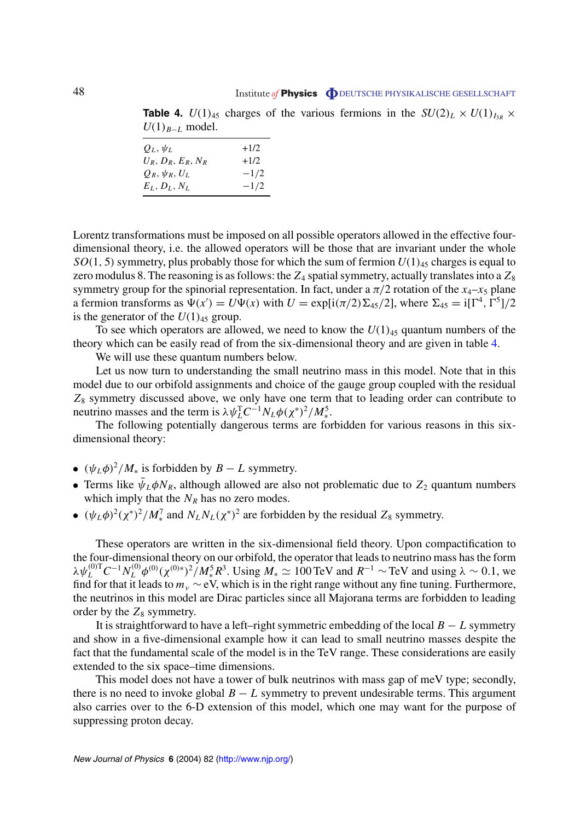**Table 4.**  $U(1)_{45}$  charges of the various fermions in the  $SU(2)_L \times U(1)_{I_{3R}} \times$  $U(1)_{B-L}$  model.

| $Q_L, \psi_L$        | $+1/2$ |
|----------------------|--------|
| $U_R, D_R, E_R, N_R$ | $+1/2$ |
| $Q_R, \psi_R, U_L$   | $-1/2$ |
| $E_L, D_L, N_L$      | $-1/2$ |
|                      |        |

Lorentz transformations must be imposed on all possible operators allowed in the effective fourdimensional theory, i.e. the allowed operators will be those that are invariant under the whole  $SO(1, 5)$  symmetry, plus probably those for which the sum of fermion  $U(1)_{45}$  charges is equal to zero modulus 8. The reasoning is as follows: the  $Z_4$  spatial symmetry, actually translates into a  $Z_8$ symmetry group for the spinorial representation. In fact, under a  $\pi/2$  rotation of the  $x_4-x_5$  plane a fermion transforms as  $\Psi(x') = U\Psi(x)$  with  $U = \exp[i(\pi/2)\Sigma_{45}/2]$ , where  $\Sigma_{45} = i[\Gamma^4, \Gamma^5]/2$ is the generator of the  $U(1)_{45}$  group.

To see which operators are allowed, we need to know the  $U(1)_{45}$  quantum numbers of the theory which can be easily read of from the six-dimensional theory and are given in table 4.

We will use these quantum numbers below.

Let us now turn to understanding the small neutrino mass in this model. Note that in this model due to our orbifold assignments and choice of the gauge group coupled with the residual *Z*<sup>8</sup> symmetry discussed above, we only have one term that to leading order can contribute to neutrino masses and the term is  $\lambda \psi_L^T C^{-1} N_L \phi(\chi^*)^2 / M_s^5$ .

The following potentially dangerous terms are forbidden for various reasons in this sixdimensional theory:

- $(\psi_L \phi)^2 / M_*$  is forbidden by *B* − *L* symmetry.
- Terms like  $\bar{\psi}_L \phi N_R$ , although allowed are also not problematic due to  $Z_2$  quantum numbers which imply that the  $N_R$  has no zero modes.
- $(\psi_L \phi)^2 (\chi^*)^2 / M_*^7$  and  $N_L N_L (\chi^*)^2$  are forbidden by the residual  $Z_8$  symmetry.

These operators are written in the six-dimensional field theory. Upon compactification to the four-dimensional theory on our orbifold, the operator that leads to neutrino mass has the form  $\lambda \psi_L^{(0)T} C^{-1} N_L^{(0)} \phi^{(0)} (\chi^{(0)*})^2 / M_*^5 R^3$ . Using  $M_* \simeq 100 \,\text{TeV}$  and  $R^{-1} \sim \text{TeV}$  and using  $\lambda \sim 0.1$ , we find for that it leads to  $m_v \sim eV$ , which is in the right range without any fine tuning. Furthermore, the neutrinos in this model are Dirac particles since all Majorana terms are forbidden to leading order by the  $Z_8$  symmetry.

It is straightforward to have a left–right symmetric embedding of the local *B* − *L* symmetry and show in a five-dimensional example how it can lead to small neutrino masses despite the fact that the fundamental scale of the model is in the TeV range. These considerations are easily extended to the six space–time dimensions.

This model does not have a tower of bulk neutrinos with mass gap of meV type; secondly, there is no need to invoke global  $B - L$  symmetry to prevent undesirable terms. This argument also carries over to the 6-D extension of this model, which one may want for the purpose of suppressing proton decay.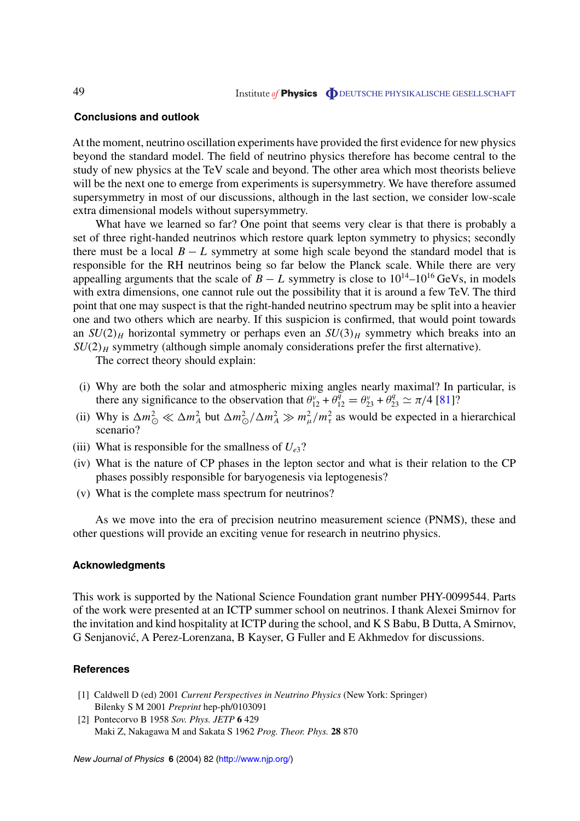#### <span id="page-48-0"></span>**Conclusions and outlook**

At the moment, neutrino oscillation experiments have provided the first evidence for new physics beyond the standard model. The field of neutrino physics therefore has become central to the study of new physics at the TeV scale and beyond. The other area which most theorists believe will be the next one to emerge from experiments is supersymmetry. We have therefore assumed supersymmetry in most of our discussions, although in the last section, we consider low-scale extra dimensional models without supersymmetry.

What have we learned so far? One point that seems very clear is that there is probably a set of three right-handed neutrinos which restore quark lepton symmetry to physics; secondly there must be a local  $B - L$  symmetry at some high scale beyond the standard model that is responsible for the RH neutrinos being so far below the Planck scale. While there are very appealling arguments that the scale of  $B - L$  symmetry is close to  $10^{14} - 10^{16}$  GeVs, in models with extra dimensions, one cannot rule out the possibility that it is around a few TeV. The third point that one may suspect is that the right-handed neutrino spectrum may be split into a heavier one and two others which are nearby. If this suspicion is confirmed, that would point towards an  $SU(2)_H$  horizontal symmetry or perhaps even an  $SU(3)_H$  symmetry which breaks into an  $SU(2)_H$  symmetry (although simple anomaly considerations prefer the first alternative).

The correct theory should explain:

- (i) Why are both the solar and atmospheric mixing angles nearly maximal? In particular, is there any significance to the observation that  $\theta_{12}^{\nu} + \theta_{12}^{\bar{q}} = \theta_{23}^{\nu} + \theta_{23}^{\bar{q}} \simeq \pi/4$  [[81\]](#page-53-0)?
- (ii) Why is  $\Delta m_{\odot}^2 \ll \Delta m_A^2$  but  $\Delta m_{\odot}^2 / \Delta m_A^2 \gg m_{\mu}^2 / m_{\tau}^2$  as would be expected in a hierarchical scenario?
- (iii) What is responsible for the smallness of  $U_{e3}$ ?
- (iv) What is the nature of CP phases in the lepton sector and what is their relation to the CP phases possibly responsible for baryogenesis via leptogenesis?
- (v) What is the complete mass spectrum for neutrinos?

As we move into the era of precision neutrino measurement science (PNMS), these and other questions will provide an exciting venue for research in neutrino physics.

#### **Acknowledgments**

This work is supported by the National Science Foundation grant number PHY-0099544. Parts of the work were presented at an ICTP summer school on neutrinos. I thank Alexei Smirnov for the invitation and kind hospitality at ICTP during the school, and K S Babu, B Dutta, A Smirnov, G Senjanović, A Perez-Lorenzana, B Kayser, G Fuller and E Akhmedov for discussions.

#### **References**

- [1] Caldwell D (ed) 2001 *Current Perspectives in Neutrino Physics* (New York: Springer) Bilenky S M 2001 *Preprint* hep-ph/0103091
- [2] Pontecorvo B 1958 *Sov. Phys. JETP* **6** 429 Maki Z, Nakagawa M and Sakata S 1962 *Prog. Theor. Phys.* **28** 870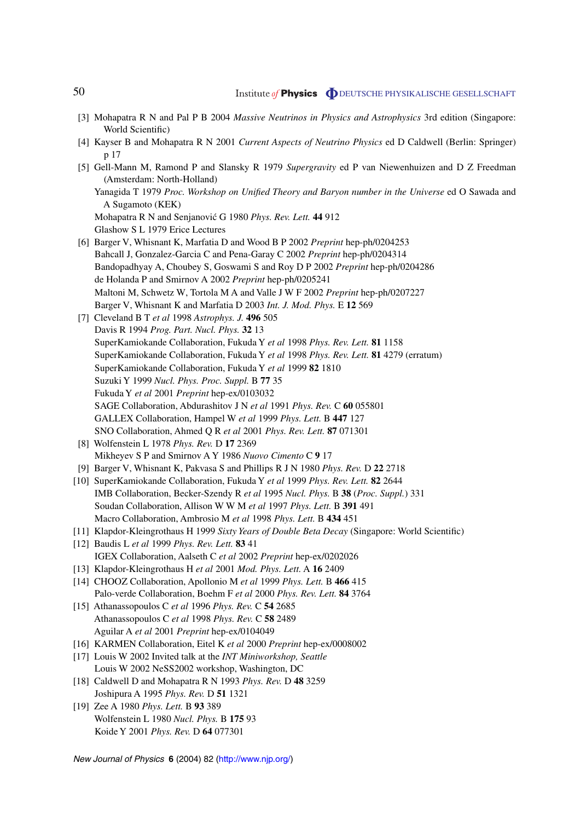- [3] Mohapatra R N and Pal P B 2004 *Massive Neutrinos in Physics and Astrophysics* 3rd edition (Singapore: World Scientific)
- [4] Kayser B and Mohapatra R N 2001 *Current Aspects of Neutrino Physics* ed D Caldwell (Berlin: Springer) p 17
- [5] Gell-Mann M, Ramond P and Slansky R 1979 *Supergravity* ed P van Niewenhuizen and D Z Freedman (Amsterdam: North-Holland)
	- Yanagida T 1979 *Proc. Workshop on Unified Theory and Baryon number in the Universe* ed O Sawada and A Sugamoto (KEK)
	- Mohapatra R N and Senjanović G 1980 Phys. Rev. Lett. 44 912 Glashow S L 1979 Erice Lectures
- [6] Barger V, Whisnant K, Marfatia D and Wood B P 2002 *Preprint* hep-ph/0204253 Bahcall J, Gonzalez-Garcia C and Pena-Garay C 2002 *Preprint* hep-ph/0204314 Bandopadhyay A, Choubey S, Goswami S and Roy D P 2002 *Preprint* hep-ph/0204286 de Holanda P and Smirnov A 2002 *Preprint* hep-ph/0205241 Maltoni M, Schwetz W, Tortola M A and Valle J W F 2002 *Preprint* hep-ph/0207227 Barger V, Whisnant K and Marfatia D 2003 *Int. J. Mod. Phys.* E **12** 569
- [7] Cleveland B T *et al* 1998 *Astrophys. J.* **496** 505 Davis R 1994 *Prog. Part. Nucl. Phys.* **32** 13 SuperKamiokande Collaboration, Fukuda Y *et al* 1998 *Phys. Rev. Lett.* **81** 1158 SuperKamiokande Collaboration, Fukuda Y *et al* 1998 *Phys. Rev. Lett.* **81** 4279 (erratum) SuperKamiokande Collaboration, Fukuda Y *et al* 1999 **82** 1810 Suzuki Y 1999 *Nucl. Phys. Proc. Suppl.* B **77** 35 Fukuda Y *et al* 2001 *Preprint* hep-ex/0103032 SAGE Collaboration, Abdurashitov J N *et al* 1991 *Phys. Rev.* C **60** 055801 GALLEX Collaboration, Hampel W *et al* 1999 *Phys. Lett.* B **447** 127 SNO Collaboration, Ahmed Q R *et al* 2001 *Phys. Rev. Lett.* **87** 071301
- [8] Wolfenstein L 1978 *Phys. Rev.* D **17** 2369 Mikheyev S P and Smirnov A Y 1986 *Nuovo Cimento* C **9** 17
- [9] Barger V, Whisnant K, Pakvasa S and PhillipsRJN 1980 *Phys. Rev.* D **22** 2718
- [10] SuperKamiokande Collaboration, Fukuda Y *et al* 1999 *Phys. Rev. Lett.* **82** 2644 IMB Collaboration, Becker-Szendy R *et al* 1995 *Nucl. Phys.* B **38** (*Proc. Suppl.*) 331 Soudan Collaboration, Allison W W M *et al* 1997 *Phys. Lett.* B **391** 491 Macro Collaboration, Ambrosio M *et al* 1998 *Phys. Lett.* B **434** 451
- [11] Klapdor-Kleingrothaus H 1999 *Sixty Years of Double Beta Decay* (Singapore: World Scientific) [12] Baudis L *et al* 1999 *Phys. Rev. Lett.* **83** 41
- IGEX Collaboration, Aalseth C *et al* 2002 *Preprint* hep-ex/0202026
- [13] Klapdor-Kleingrothaus H *et al* 2001 *Mod. Phys. Lett.* A **16** 2409
- [14] CHOOZ Collaboration, Apollonio M *et al* 1999 *Phys. Lett.* B **466** 415 Palo-verde Collaboration, Boehm F *et al* 2000 *Phys. Rev. Lett.* **84** 3764
- [15] Athanassopoulos C *et al* 1996 *Phys. Rev.* C **54** 2685 Athanassopoulos C *et al* 1998 *Phys. Rev.* C **58** 2489 Aguilar A *et al* 2001 *Preprint* hep-ex/0104049
- [16] KARMEN Collaboration, Eitel K *et al* 2000 *Preprint* hep-ex/0008002
- [17] Louis W 2002 Invited talk at the *INT Miniworkshop, Seattle* Louis W 2002 NeSS2002 workshop, Washington, DC
- [18] Caldwell D and Mohapatra R N 1993 *Phys. Rev.* D **48** 3259 Joshipura A 1995 *Phys. Rev.* D **51** 1321
- [19] Zee A 1980 *Phys. Lett.* B **93** 389 Wolfenstein L 1980 *Nucl. Phys.* B **175** 93 Koide Y 2001 *Phys. Rev.* D **64** 077301

<span id="page-49-0"></span>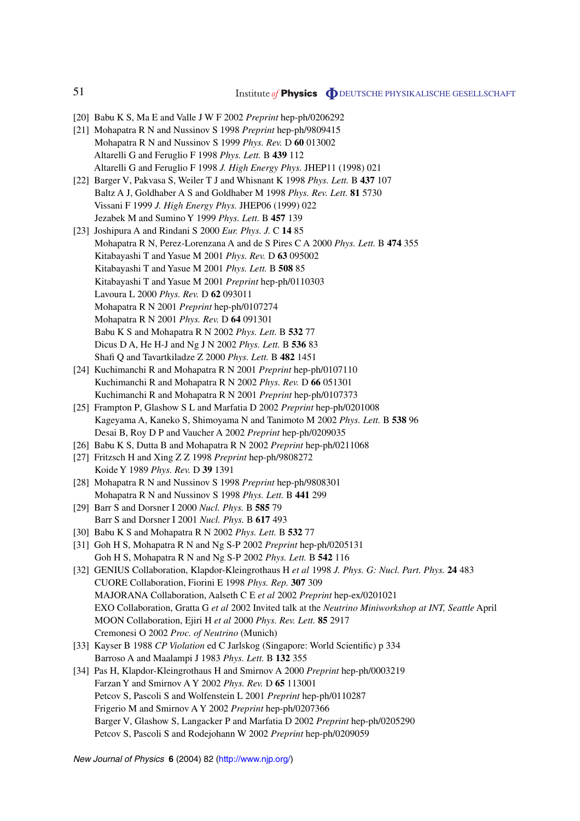### <span id="page-50-0"></span>51 Institute of **Physics DEUTSCHE PHYSIKALISCHE GESELLSCHAFT**

- [20] Babu K S, Ma E and Valle J W F 2002 *Preprint* hep-ph/0206292
- [21] Mohapatra R N and Nussinov S 1998 *Preprint* hep-ph/9809415 Mohapatra R N and Nussinov S 1999 *Phys. Rev.* D **60** 013002 Altarelli G and Feruglio F 1998 *Phys. Lett.* B **439** 112 Altarelli G and Feruglio F 1998 *J. High Energy Phys.* JHEP11 (1998) 021
- [22] Barger V, Pakvasa S, Weiler T J and Whisnant K 1998 *Phys. Lett.* B **437** 107 Baltz A J, Goldhaber A S and Goldhaber M 1998 *Phys. Rev. Lett.* **81** 5730 Vissani F 1999 *J. High Energy Phys.* JHEP06 (1999) 022 Jezabek M and Sumino Y 1999 *Phys. Lett.* B **457** 139
- [23] Joshipura A and Rindani S 2000 *Eur. Phys. J.* C **14** 85 Mohapatra R N, Perez-Lorenzana A and de S Pires C A 2000 *Phys. Lett.* B **474** 355 Kitabayashi T and Yasue M 2001 *Phys. Rev.* D **63** 095002 Kitabayashi T and Yasue M 2001 *Phys. Lett.* B **508** 85 Kitabayashi T and Yasue M 2001 *Preprint* hep-ph/0110303 Lavoura L 2000 *Phys. Rev.* D **62** 093011 Mohapatra R N 2001 *Preprint* hep-ph/0107274 Mohapatra R N 2001 *Phys. Rev.* D **64** 091301 Babu K S and Mohapatra R N 2002 *Phys. Lett.* B **532** 77 Dicus D A, He H-J and Ng J N 2002 *Phys. Lett.* B **536** 83 Shafi Q and Tavartkiladze Z 2000 *Phys. Lett.* B **482** 1451
- [24] Kuchimanchi R and Mohapatra R N 2001 *Preprint* hep-ph/0107110 Kuchimanchi R and Mohapatra R N 2002 *Phys. Rev.* D **66** 051301 Kuchimanchi R and Mohapatra R N 2001 *Preprint* hep-ph/0107373
- [25] Frampton P, Glashow S L and Marfatia D 2002 *Preprint* hep-ph/0201008 Kageyama A, Kaneko S, Shimoyama N and Tanimoto M 2002 *Phys. Lett.* B **538** 96 Desai B, Roy D P and Vaucher A 2002 *Preprint* hep-ph/0209035
- [26] Babu K S, Dutta B and Mohapatra R N 2002 *Preprint* hep-ph/0211068
- [27] Fritzsch H and Xing Z Z 1998 *Preprint* hep-ph/9808272 Koide Y 1989 *Phys. Rev.* D **39** 1391
- [28] Mohapatra R N and Nussinov S 1998 *Preprint* hep-ph/9808301 Mohapatra R N and Nussinov S 1998 *Phys. Lett.* B **441** 299
- [29] Barr S and Dorsner I 2000 *Nucl. Phys.* B **585** 79 Barr S and Dorsner I 2001 *Nucl. Phys.* B **617** 493
- [30] Babu K S and Mohapatra R N 2002 *Phys. Lett.* B **532** 77
- [31] Goh H S, Mohapatra R N and Ng S-P 2002 *Preprint* hep-ph/0205131 Goh H S, Mohapatra R N and Ng S-P 2002 *Phys. Lett.* B **542** 116
- [32] GENIUS Collaboration, Klapdor-Kleingrothaus H *et al* 1998 *J. Phys. G: Nucl. Part. Phys.* **24** 483 CUORE Collaboration, Fiorini E 1998 *Phys. Rep.* **307** 309 MAJORANA Collaboration, Aalseth C E *et al* 2002 *Preprint* hep-ex/0201021 EXO Collaboration, Gratta G *et al* 2002 Invited talk at the *Neutrino Miniworkshop at INT, Seattle* April MOON Collaboration, Ejiri H *et al* 2000 *Phys. Rev. Lett.* **85** 2917 Cremonesi O 2002 *Proc. of Neutrino* (Munich) [33] Kayser B 1988 *CP Violation* ed C Jarlskog (Singapore: World Scientific) p 334
- Barroso A and Maalampi J 1983 *Phys. Lett.* B **132** 355
- [34] Pas H, Klapdor-Kleingrothaus H and Smirnov A 2000 *Preprint* hep-ph/0003219 Farzan Y and Smirnov A Y 2002 *Phys. Rev.* D **65** 113001 Petcov S, Pascoli S and Wolfenstein L 2001 *Preprint* hep-ph/0110287 Frigerio M and Smirnov A Y 2002 *Preprint* hep-ph/0207366 Barger V, Glashow S, Langacker P and Marfatia D 2002 *Preprint* hep-ph/0205290 Petcov S, Pascoli S and Rodejohann W 2002 *Preprint* hep-ph/0209059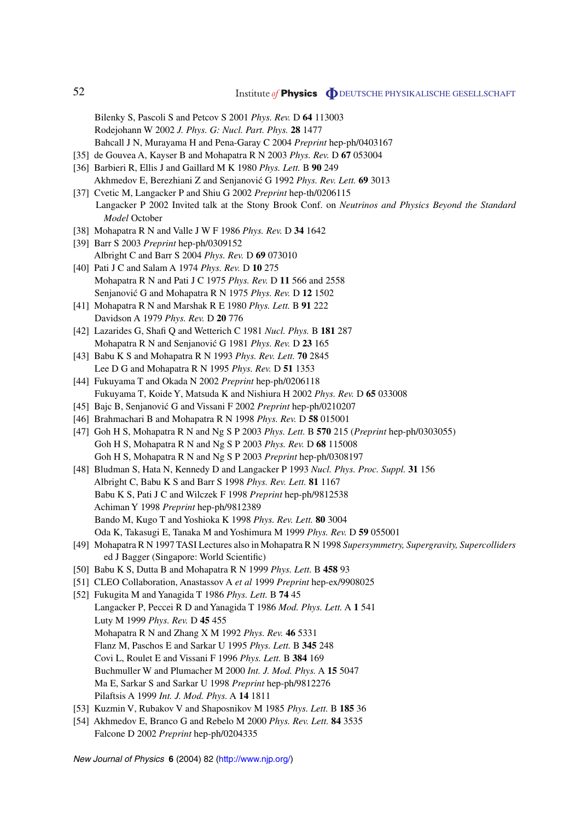Bilenky S, Pascoli S and Petcov S 2001 *Phys. Rev.* D **64** 113003 Rodejohann W 2002 *J. Phys. G: Nucl. Part. Phys.* **28** 1477 Bahcall J N, Murayama H and Pena-Garay C 2004 *Preprint* hep-ph/0403167

- [35] de Gouvea A, Kayser B and Mohapatra R N 2003 *Phys. Rev.* D **67** 053004
- [36] Barbieri R, Ellis J and Gaillard M K 1980 *Phys. Lett.* B **90** 249 Akhmedov E, Berezhiani Z and Senjanović G 1992 Phys. Rev. Lett. 69 3013
- [37] Cvetic M, Langacker P and Shiu G 2002 *Preprint* hep-th/0206115 Langacker P 2002 Invited talk at the Stony Brook Conf. on *Neutrinos and Physics Beyond the Standard Model* October
- [38] Mohapatra R N and Valle J W F 1986 *Phys. Rev.* D **34** 1642
- [39] Barr S 2003 *Preprint* hep-ph/0309152 Albright C and Barr S 2004 *Phys. Rev.* D **69** 073010
- [40] Pati J C and Salam A 1974 *Phys. Rev.* D **10** 275 Mohapatra R N and Pati J C 1975 *Phys. Rev.* D **11** 566 and 2558 Senjanović G and Mohapatra R N 1975 *Phys. Rev.* D 12 1502
- [41] Mohapatra R N and Marshak R E 1980 *Phys. Lett.* B **91** 222 Davidson A 1979 *Phys. Rev.* D **20** 776
- [42] Lazarides G, Shafi Q and Wetterich C 1981 *Nucl. Phys.* B **181** 287 Mohapatra R N and Senjanović G 1981 *Phys. Rev.* D 23 165
- [43] Babu K S and Mohapatra R N 1993 *Phys. Rev. Lett.* **70** 2845 Lee D G and Mohapatra R N 1995 *Phys. Rev.* D **51** 1353
- [44] Fukuyama T and Okada N 2002 *Preprint* hep-ph/0206118 Fukuyama T, Koide Y, Matsuda K and Nishiura H 2002 *Phys. Rev.* D **65** 033008
- [45] Bajc B, Senjanović G and Vissani F 2002 *Preprint* hep-ph/0210207
- [46] Brahmachari B and Mohapatra R N 1998 *Phys. Rev.* D **58** 015001
- [47] Goh H S, Mohapatra R N and Ng S P 2003 *Phys. Lett.* B **570** 215 (*Preprint* hep-ph/0303055) Goh H S, Mohapatra R N and Ng S P 2003 *Phys. Rev.* D **68** 115008 Goh H S, Mohapatra R N and Ng S P 2003 *Preprint* hep-ph/0308197
- [48] Bludman S, Hata N, Kennedy D and Langacker P 1993 *Nucl. Phys. Proc. Suppl.* **31** 156 Albright C, Babu K S and Barr S 1998 *Phys. Rev. Lett.* **81** 1167 Babu K S, Pati J C and Wilczek F 1998 *Preprint* hep-ph/9812538 Achiman Y 1998 *Preprint* hep-ph/9812389 Bando M, Kugo T and Yoshioka K 1998 *Phys. Rev. Lett.* **80** 3004 Oda K, Takasugi E, Tanaka M and Yoshimura M 1999 *Phys. Rev.* D **59** 055001
- [49] Mohapatra R N 1997 TASI Lectures also in Mohapatra R N 1998 *Supersymmetry, Supergravity, Supercolliders* ed J Bagger (Singapore: World Scientific)
- [50] Babu K S, Dutta B and Mohapatra R N 1999 *Phys. Lett.* B **458** 93
- [51] CLEO Collaboration, Anastassov A *et al* 1999 *Preprint* hep-ex/9908025
- [52] Fukugita M and Yanagida T 1986 *Phys. Lett.* B **74** 45 Langacker P, Peccei R D and Yanagida T 1986 *Mod. Phys. Lett.* A **1** 541 Luty M 1999 *Phys. Rev.* D **45** 455 Mohapatra R N and Zhang X M 1992 *Phys. Rev.* **46** 5331 Flanz M, Paschos E and Sarkar U 1995 *Phys. Lett.* B **345** 248 Covi L, Roulet E and Vissani F 1996 *Phys. Lett.* B **384** 169 Buchmuller W and Plumacher M 2000 *Int. J. Mod. Phys.* A **15** 5047 Ma E, Sarkar S and Sarkar U 1998 *Preprint* hep-ph/9812276 Pilaftsis A 1999 *Int. J. Mod. Phys.* A **14** 1811
- [53] Kuzmin V, Rubakov V and Shaposnikov M 1985 *Phys. Lett.* B **185** 36
- [54] Akhmedov E, Branco G and Rebelo M 2000 *Phys. Rev. Lett.* **84** 3535 Falcone D 2002 *Preprint* hep-ph/0204335

<span id="page-51-0"></span>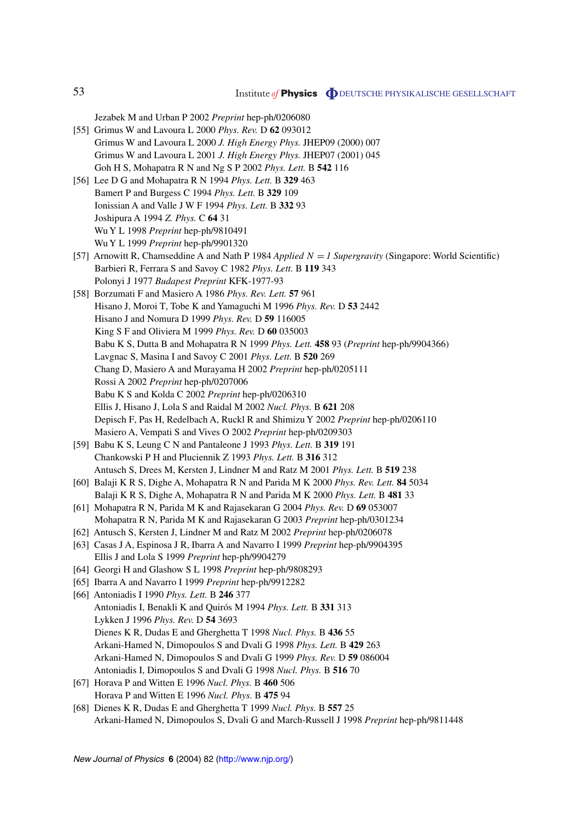Jezabek M and Urban P 2002 *Preprint* hep-ph/0206080

- [55] Grimus W and Lavoura L 2000 *Phys. Rev.* D **62** 093012 Grimus W and Lavoura L 2000 *J. High Energy Phys.* JHEP09 (2000) 007 Grimus W and Lavoura L 2001 *J. High Energy Phys.* JHEP07 (2001) 045 Goh H S, Mohapatra R N and Ng S P 2002 *Phys. Lett.* B **542** 116
- [56] Lee D G and Mohapatra R N 1994 *Phys. Lett.* B **329** 463 Bamert P and Burgess C 1994 *Phys. Lett.* B **329** 109 Ionissian A and Valle J W F 1994 *Phys. Lett.* B **332** 93 Joshipura A 1994 *Z. Phys.* C **64** 31 Wu Y L 1998 *Preprint* hep-ph/9810491 Wu Y L 1999 *Preprint* hep-ph/9901320
- [57] Arnowitt R, Chamseddine A and Nath P 1984 *Applied N* = *1 Supergravity* (Singapore: World Scientific) Barbieri R, Ferrara S and Savoy C 1982 *Phys. Lett.* B **119** 343 Polonyi J 1977 *Budapest Preprint* KFK-1977-93
- [58] Borzumati F and Masiero A 1986 *Phys. Rev. Lett.* **57** 961 Hisano J, Moroi T, Tobe K and Yamaguchi M 1996 *Phys. Rev.* D **53** 2442 Hisano J and Nomura D 1999 *Phys. Rev.* D **59** 116005 King S F and Oliviera M 1999 *Phys. Rev.* D **60** 035003 Babu K S, Dutta B and Mohapatra R N 1999 *Phys. Lett.* **458** 93 (*Preprint* hep-ph/9904366) Lavgnac S, Masina I and Savoy C 2001 *Phys. Lett.* B **520** 269 Chang D, Masiero A and Murayama H 2002 *Preprint* hep-ph/0205111 Rossi A 2002 *Preprint* hep-ph/0207006 Babu K S and Kolda C 2002 *Preprint* hep-ph/0206310 Ellis J, Hisano J, Lola S and Raidal M 2002 *Nucl. Phys.* B **621** 208 Depisch F, Pas H, Redelbach A, Ruckl R and Shimizu Y 2002 *Preprint* hep-ph/0206110 Masiero A, Vempati S and Vives O 2002 *Preprint* hep-ph/0209303 [59] Babu K S, Leung C N and Pantaleone J 1993 *Phys. Lett.* B **319** 191 Chankowski P H and Pluciennik Z 1993 *Phys. Lett.* B **316** 312 Antusch S, Drees M, Kersten J, Lindner M and Ratz M 2001 *Phys. Lett.* B **519** 238
- [60] Balaji K R S, Dighe A, Mohapatra R N and Parida M K 2000 *Phys. Rev. Lett.* **84** 5034 Balaji K R S, Dighe A, Mohapatra R N and Parida M K 2000 *Phys. Lett.* B **481** 33
- [61] Mohapatra R N, Parida M K and Rajasekaran G 2004 *Phys. Rev.* D **69** 053007 Mohapatra R N, Parida M K and Rajasekaran G 2003 *Preprint* hep-ph/0301234
- [62] Antusch S, Kersten J, Lindner M and Ratz M 2002 *Preprint* hep-ph/0206078
- [63] Casas J A, Espinosa J R, Ibarra A and Navarro I 1999 *Preprint* hep-ph/9904395 Ellis J and Lola S 1999 *Preprint* hep-ph/9904279
- [64] Georgi H and Glashow S L 1998 *Preprint* hep-ph/9808293
- [65] Ibarra A and Navarro I 1999 *Preprint* hep-ph/9912282
- [66] Antoniadis I 1990 *Phys. Lett.* B **246** 377 Antoniadis I, Benakli K and Quirós M 1994 *Phys. Lett.* B 331 313 Lykken J 1996 *Phys. Rev.* D **54** 3693 Dienes K R, Dudas E and Gherghetta T 1998 *Nucl. Phys.* B **436** 55 Arkani-Hamed N, Dimopoulos S and Dvali G 1998 *Phys. Lett.* B **429** 263 Arkani-Hamed N, Dimopoulos S and Dvali G 1999 *Phys. Rev.* D **59** 086004 Antoniadis I, Dimopoulos S and Dvali G 1998 *Nucl. Phys.* B **516** 70
- [67] Horava P and Witten E 1996 *Nucl. Phys.* B **460** 506 Horava P and Witten E 1996 *Nucl. Phys.* B **475** 94
- [68] Dienes K R, Dudas E and Gherghetta T 1999 *Nucl. Phys.* B **557** 25 Arkani-Hamed N, Dimopoulos S, Dvali G and March-Russell J 1998 *Preprint* hep-ph/9811448

<span id="page-52-0"></span>